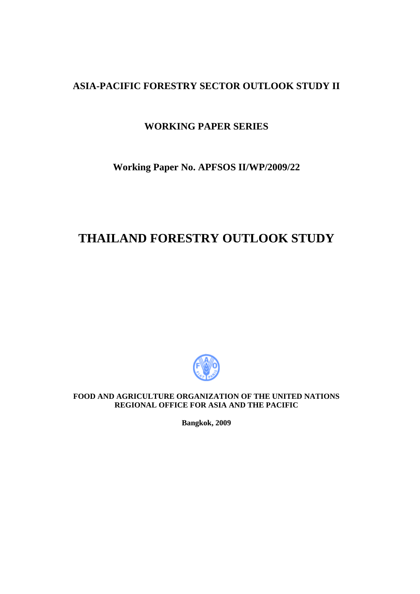## **ASIA-PACIFIC FORESTRY SECTOR OUTLOOK STUDY II**

## **WORKING PAPER SERIES**

## **Working Paper No. APFSOS II/WP/2009/22**

# **THAILAND FORESTRY OUTLOOK STUDY**



**FOOD AND AGRICULTURE ORGANIZATION OF THE UNITED NATIONS REGIONAL OFFICE FOR ASIA AND THE PACIFIC** 

**Bangkok, 2009**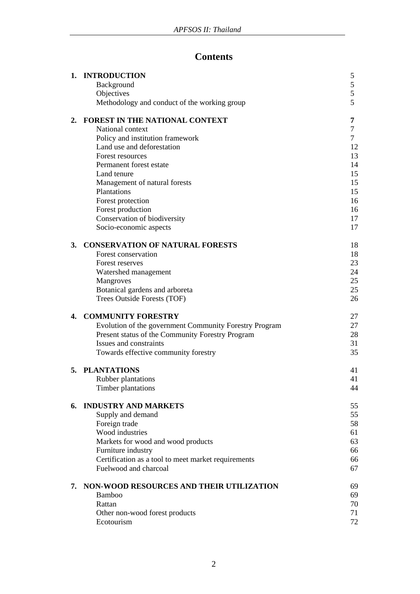## **Contents**

|    | 1. INTRODUCTION                                               | 5              |
|----|---------------------------------------------------------------|----------------|
|    | Background                                                    | 5              |
|    | Objectives                                                    | 5              |
|    | Methodology and conduct of the working group                  | 5              |
| 2. | <b>FOREST IN THE NATIONAL CONTEXT</b>                         | 7              |
|    | National context                                              | $\overline{7}$ |
|    | Policy and institution framework                              | $\overline{7}$ |
|    | Land use and deforestation                                    | 12             |
|    | Forest resources                                              | 13             |
|    | Permanent forest estate                                       | 14             |
|    | Land tenure                                                   | 15             |
|    | Management of natural forests                                 | 15             |
|    | Plantations                                                   | 15             |
|    | Forest protection                                             | 16             |
|    | Forest production<br>Conservation of biodiversity             | 16<br>17       |
|    | Socio-economic aspects                                        | 17             |
|    |                                                               |                |
| 3. | <b>CONSERVATION OF NATURAL FORESTS</b>                        | 18             |
|    | Forest conservation                                           | 18             |
|    | Forest reserves                                               | 23             |
|    | Watershed management                                          | 24             |
|    | Mangroves                                                     | 25             |
|    | Botanical gardens and arboreta<br>Trees Outside Forests (TOF) | 25<br>26       |
|    |                                                               |                |
| 4. | <b>COMMUNITY FORESTRY</b>                                     | 27             |
|    | Evolution of the government Community Forestry Program        | 27             |
|    | Present status of the Community Forestry Program              | 28             |
|    | Issues and constraints                                        | 31             |
|    | Towards effective community forestry                          | 35             |
|    | 5. PLANTATIONS                                                | 41             |
|    | Rubber plantations                                            | 41             |
|    | Timber plantations                                            | 44             |
| 6. | <b>INDUSTRY AND MARKETS</b>                                   | 55             |
|    | Supply and demand                                             | 55             |
|    | Foreign trade                                                 | 58             |
|    | Wood industries                                               | 61             |
|    | Markets for wood and wood products                            | 63             |
|    | Furniture industry                                            | 66             |
|    | Certification as a tool to meet market requirements           | 66             |
|    | Fuelwood and charcoal                                         | 67             |
| 7. | NON-WOOD RESOURCES AND THEIR UTILIZATION                      | 69             |
|    | <b>Bamboo</b>                                                 | 69             |
|    | Rattan                                                        | 70             |
|    | Other non-wood forest products                                | 71             |
|    | Ecotourism                                                    | 72             |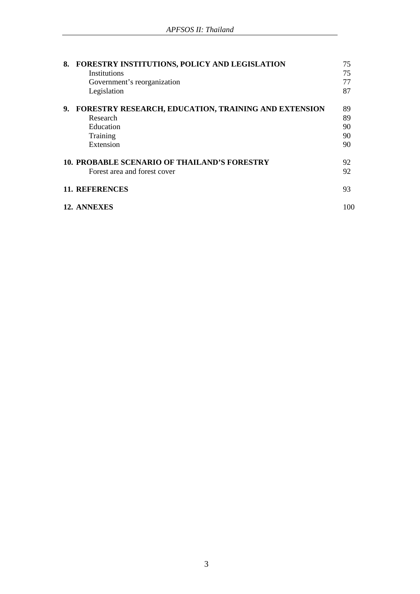| 8. | FORESTRY INSTITUTIONS, POLICY AND LEGISLATION               | 75  |
|----|-------------------------------------------------------------|-----|
|    | Institutions                                                | 75  |
|    | Government's reorganization                                 | 77  |
|    | Legislation                                                 | 87  |
| 9. | <b>FORESTRY RESEARCH, EDUCATION, TRAINING AND EXTENSION</b> | 89  |
|    | Research                                                    | 89  |
|    | Education                                                   | 90  |
|    | Training                                                    | 90  |
|    | Extension                                                   | 90  |
|    | <b>10. PROBABLE SCENARIO OF THAILAND'S FORESTRY</b>         | 92  |
|    | Forest area and forest cover                                | 92  |
|    | <b>11. REFERENCES</b>                                       | 93  |
|    | 12. ANNEXES                                                 | 100 |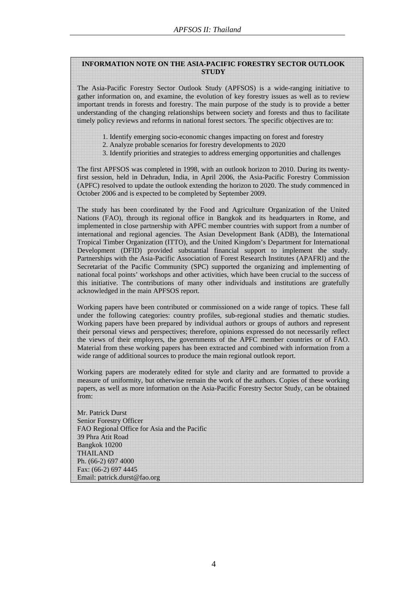#### **INFORMATION NOTE ON THE ASIA-PACIFIC FORESTRY SECTOR OUTLOOK STUDY**

The Asia-Pacific Forestry Sector Outlook Study (APFSOS) is a wide-ranging initiative to gather information on, and examine, the evolution of key forestry issues as well as to review important trends in forests and forestry. The main purpose of the study is to provide a better understanding of the changing relationships between society and forests and thus to facilitate timely policy reviews and reforms in national forest sectors. The specific objectives are to:

- 1. Identify emerging socio-economic changes impacting on forest and forestry
- 2. Analyze probable scenarios for forestry developments to 2020
- 3. Identify priorities and strategies to address emerging opportunities and challenges

The first APFSOS was completed in 1998, with an outlook horizon to 2010. During its twentyfirst session, held in Dehradun, India, in April 2006, the Asia-Pacific Forestry Commission (APFC) resolved to update the outlook extending the horizon to 2020. The study commenced in October 2006 and is expected to be completed by September 2009.

The study has been coordinated by the Food and Agriculture Organization of the United Nations (FAO), through its regional office in Bangkok and its headquarters in Rome, and implemented in close partnership with APFC member countries with support from a number of international and regional agencies. The Asian Development Bank (ADB), the International Tropical Timber Organization (ITTO), and the United Kingdom's Department for International Development (DFID) provided substantial financial support to implement the study. Partnerships with the Asia-Pacific Association of Forest Research Institutes (APAFRI) and the Secretariat of the Pacific Community (SPC) supported the organizing and implementing of national focal points' workshops and other activities, which have been crucial to the success of this initiative. The contributions of many other individuals and institutions are gratefully acknowledged in the main APFSOS report.

Working papers have been contributed or commissioned on a wide range of topics. These fall under the following categories: country profiles, sub-regional studies and thematic studies. Working papers have been prepared by individual authors or groups of authors and represent their personal views and perspectives; therefore, opinions expressed do not necessarily reflect the views of their employers, the governments of the APFC member countries or of FAO. Material from these working papers has been extracted and combined with information from a wide range of additional sources to produce the main regional outlook report.

Working papers are moderately edited for style and clarity and are formatted to provide a measure of uniformity, but otherwise remain the work of the authors. Copies of these working papers, as well as more information on the Asia-Pacific Forestry Sector Study, can be obtained from:

Mr. Patrick Durst Senior Forestry Officer FAO Regional Office for Asia and the Pacific 39 Phra Atit Road Bangkok 10200 THAILAND Ph. (66-2) 697 4000 Fax: (66-2) 697 4445 Email: patrick.durst@fao.org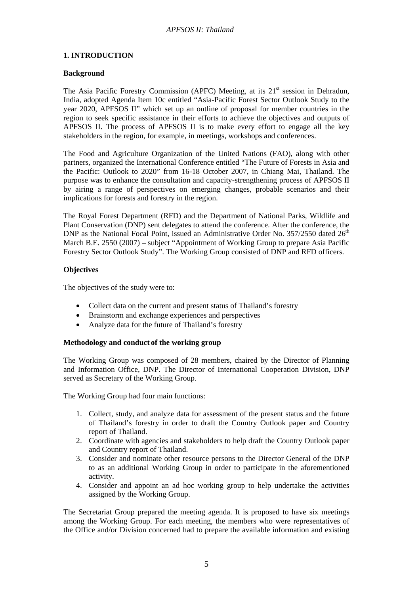## **1. INTRODUCTION**

## **Background**

The Asia Pacific Forestry Commission (APFC) Meeting, at its  $21<sup>st</sup>$  session in Dehradun, India, adopted Agenda Item 10c entitled "Asia-Pacific Forest Sector Outlook Study to the year 2020, APFSOS II" which set up an outline of proposal for member countries in the region to seek specific assistance in their efforts to achieve the objectives and outputs of APFSOS II. The process of APFSOS II is to make every effort to engage all the key stakeholders in the region, for example, in meetings, workshops and conferences.

The Food and Agriculture Organization of the United Nations (FAO), along with other partners, organized the International Conference entitled "The Future of Forests in Asia and the Pacific: Outlook to 2020" from 16-18 October 2007, in Chiang Mai, Thailand. The purpose was to enhance the consultation and capacity-strengthening process of APFSOS II by airing a range of perspectives on emerging changes, probable scenarios and their implications for forests and forestry in the region.

The Royal Forest Department (RFD) and the Department of National Parks, Wildlife and Plant Conservation (DNP) sent delegates to attend the conference. After the conference, the DNP as the National Focal Point, issued an Administrative Order No. 357/2550 dated  $26<sup>th</sup>$ March B.E. 2550 (2007) – subject "Appointment of Working Group to prepare Asia Pacific Forestry Sector Outlook Study". The Working Group consisted of DNP and RFD officers.

## **Objectives**

The objectives of the study were to:

- Collect data on the current and present status of Thailand's forestry
- Brainstorm and exchange experiences and perspectives
- Analyze data for the future of Thailand's forestry

## **Methodology and conduct of the working group**

The Working Group was composed of 28 members, chaired by the Director of Planning and Information Office, DNP. The Director of International Cooperation Division, DNP served as Secretary of the Working Group.

The Working Group had four main functions:

- 1. Collect, study, and analyze data for assessment of the present status and the future of Thailand's forestry in order to draft the Country Outlook paper and Country report of Thailand.
- 2. Coordinate with agencies and stakeholders to help draft the Country Outlook paper and Country report of Thailand.
- 3. Consider and nominate other resource persons to the Director General of the DNP to as an additional Working Group in order to participate in the aforementioned activity.
- 4. Consider and appoint an ad hoc working group to help undertake the activities assigned by the Working Group.

The Secretariat Group prepared the meeting agenda. It is proposed to have six meetings among the Working Group. For each meeting, the members who were representatives of the Office and/or Division concerned had to prepare the available information and existing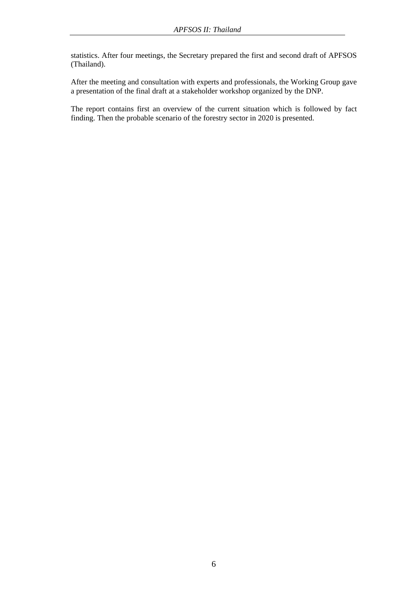statistics. After four meetings, the Secretary prepared the first and second draft of APFSOS (Thailand).

After the meeting and consultation with experts and professionals, the Working Group gave a presentation of the final draft at a stakeholder workshop organized by the DNP.

The report contains first an overview of the current situation which is followed by fact finding. Then the probable scenario of the forestry sector in 2020 is presented.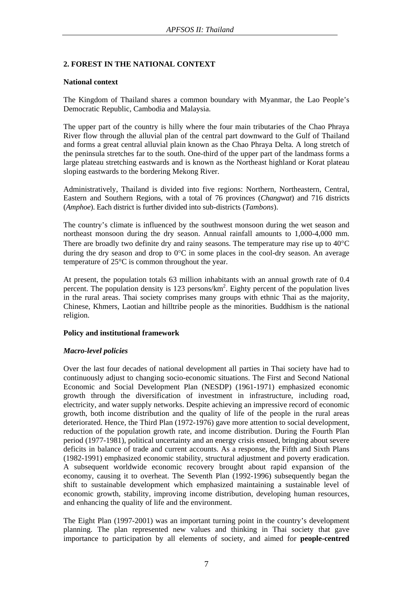## **2. FOREST IN THE NATIONAL CONTEXT**

## **National context**

The Kingdom of Thailand shares a common boundary with Myanmar, the Lao People's Democratic Republic, Cambodia and Malaysia.

The upper part of the country is hilly where the four main tributaries of the Chao Phraya River flow through the alluvial plan of the central part downward to the Gulf of Thailand and forms a great central alluvial plain known as the Chao Phraya Delta. A long stretch of the peninsula stretches far to the south. One-third of the upper part of the landmass forms a large plateau stretching eastwards and is known as the Northeast highland or Korat plateau sloping eastwards to the bordering Mekong River.

Administratively, Thailand is divided into five regions: Northern, Northeastern, Central, Eastern and Southern Regions, with a total of 76 provinces (*Changwat*) and 716 districts (*Amphoe*). Each district is further divided into sub-districts (*Tambons*).

The country's climate is influenced by the southwest monsoon during the wet season and northeast monsoon during the dry season. Annual rainfall amounts to 1,000-4,000 mm. There are broadly two definite dry and rainy seasons. The temperature may rise up to  $40^{\circ}$ C during the dry season and drop to 0°C in some places in the cool-dry season. An average temperature of 25°C is common throughout the year.

At present, the population totals 63 million inhabitants with an annual growth rate of 0.4 percent. The population density is 123 persons/km<sup>2</sup>. Eighty percent of the population lives in the rural areas. Thai society comprises many groups with ethnic Thai as the majority, Chinese, Khmers, Laotian and hilltribe people as the minorities. Buddhism is the national religion.

## **Policy and institutional framework**

## *Macro-level policies*

Over the last four decades of national development all parties in Thai society have had to continuously adjust to changing socio-economic situations. The First and Second National Economic and Social Development Plan (NESDP) (1961-1971) emphasized economic growth through the diversification of investment in infrastructure, including road, electricity, and water supply networks. Despite achieving an impressive record of economic growth, both income distribution and the quality of life of the people in the rural areas deteriorated. Hence, the Third Plan (1972-1976) gave more attention to social development, reduction of the population growth rate, and income distribution. During the Fourth Plan period (1977-1981), political uncertainty and an energy crisis ensued, bringing about severe deficits in balance of trade and current accounts. As a response, the Fifth and Sixth Plans (1982-1991) emphasized economic stability, structural adjustment and poverty eradication. A subsequent worldwide economic recovery brought about rapid expansion of the economy, causing it to overheat. The Seventh Plan (1992-1996) subsequently began the shift to sustainable development which emphasized maintaining a sustainable level of economic growth, stability, improving income distribution, developing human resources, and enhancing the quality of life and the environment.

The Eight Plan (1997-2001) was an important turning point in the country's development planning. The plan represented new values and thinking in Thai society that gave importance to participation by all elements of society, and aimed for **people-centred**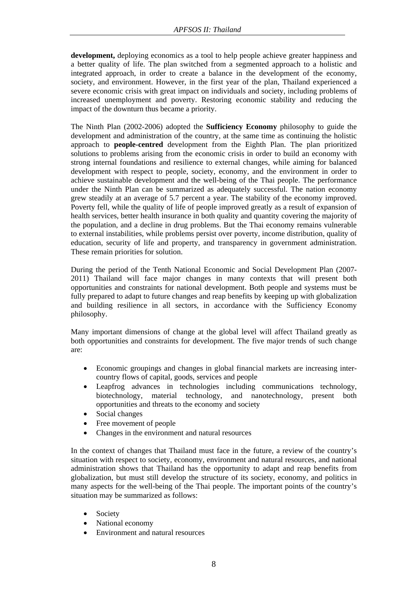**development,** deploying economics as a tool to help people achieve greater happiness and a better quality of life. The plan switched from a segmented approach to a holistic and integrated approach, in order to create a balance in the development of the economy, society, and environment. However, in the first year of the plan, Thailand experienced a severe economic crisis with great impact on individuals and society, including problems of increased unemployment and poverty. Restoring economic stability and reducing the impact of the downturn thus became a priority.

The Ninth Plan (2002-2006) adopted the **Sufficiency Economy** philosophy to guide the development and administration of the country, at the same time as continuing the holistic approach to **people-centred** development from the Eighth Plan. The plan prioritized solutions to problems arising from the economic crisis in order to build an economy with strong internal foundations and resilience to external changes, while aiming for balanced development with respect to people, society, economy, and the environment in order to achieve sustainable development and the well-being of the Thai people. The performance under the Ninth Plan can be summarized as adequately successful. The nation economy grew steadily at an average of 5.7 percent a year. The stability of the economy improved. Poverty fell, while the quality of life of people improved greatly as a result of expansion of health services, better health insurance in both quality and quantity covering the majority of the population, and a decline in drug problems. But the Thai economy remains vulnerable to external instabilities, while problems persist over poverty, income distribution, quality of education, security of life and property, and transparency in government administration. These remain priorities for solution.

During the period of the Tenth National Economic and Social Development Plan (2007- 2011) Thailand will face major changes in many contexts that will present both opportunities and constraints for national development. Both people and systems must be fully prepared to adapt to future changes and reap benefits by keeping up with globalization and building resilience in all sectors, in accordance with the Sufficiency Economy philosophy.

Many important dimensions of change at the global level will affect Thailand greatly as both opportunities and constraints for development. The five major trends of such change are:

- Economic groupings and changes in global financial markets are increasing intercountry flows of capital, goods, services and people
- Leapfrog advances in technologies including communications technology, biotechnology, material technology, and nanotechnology, present both opportunities and threats to the economy and society
- Social changes
- Free movement of people
- Changes in the environment and natural resources

In the context of changes that Thailand must face in the future, a review of the country's situation with respect to society, economy, environment and natural resources, and national administration shows that Thailand has the opportunity to adapt and reap benefits from globalization, but must still develop the structure of its society, economy, and politics in many aspects for the well-being of the Thai people. The important points of the country's situation may be summarized as follows:

- Society
- National economy
- Environment and natural resources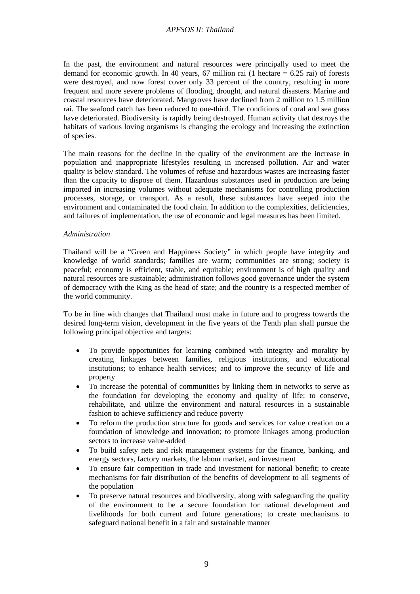In the past, the environment and natural resources were principally used to meet the demand for economic growth. In 40 years, 67 million rai (1 hectare  $= 6.25$  rai) of forests were destroyed, and now forest cover only 33 percent of the country, resulting in more frequent and more severe problems of flooding, drought, and natural disasters. Marine and coastal resources have deteriorated. Mangroves have declined from 2 million to 1.5 million rai. The seafood catch has been reduced to one-third. The conditions of coral and sea grass have deteriorated. Biodiversity is rapidly being destroyed. Human activity that destroys the habitats of various loving organisms is changing the ecology and increasing the extinction of species.

The main reasons for the decline in the quality of the environment are the increase in population and inappropriate lifestyles resulting in increased pollution. Air and water quality is below standard. The volumes of refuse and hazardous wastes are increasing faster than the capacity to dispose of them. Hazardous substances used in production are being imported in increasing volumes without adequate mechanisms for controlling production processes, storage, or transport. As a result, these substances have seeped into the environment and contaminated the food chain. In addition to the complexities, deficiencies, and failures of implementation, the use of economic and legal measures has been limited.

#### *Administration*

Thailand will be a "Green and Happiness Society" in which people have integrity and knowledge of world standards; families are warm; communities are strong; society is peaceful; economy is efficient, stable, and equitable; environment is of high quality and natural resources are sustainable; administration follows good governance under the system of democracy with the King as the head of state; and the country is a respected member of the world community.

To be in line with changes that Thailand must make in future and to progress towards the desired long-term vision, development in the five years of the Tenth plan shall pursue the following principal objective and targets:

- To provide opportunities for learning combined with integrity and morality by creating linkages between families, religious institutions, and educational institutions; to enhance health services; and to improve the security of life and property
- To increase the potential of communities by linking them in networks to serve as the foundation for developing the economy and quality of life; to conserve, rehabilitate, and utilize the environment and natural resources in a sustainable fashion to achieve sufficiency and reduce poverty
- To reform the production structure for goods and services for value creation on a foundation of knowledge and innovation; to promote linkages among production sectors to increase value-added
- To build safety nets and risk management systems for the finance, banking, and energy sectors, factory markets, the labour market, and investment
- To ensure fair competition in trade and investment for national benefit; to create mechanisms for fair distribution of the benefits of development to all segments of the population
- To preserve natural resources and biodiversity, along with safeguarding the quality of the environment to be a secure foundation for national development and livelihoods for both current and future generations; to create mechanisms to safeguard national benefit in a fair and sustainable manner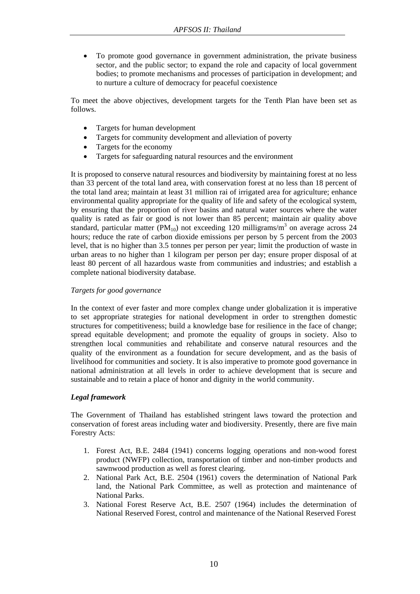• To promote good governance in government administration, the private business sector, and the public sector; to expand the role and capacity of local government bodies; to promote mechanisms and processes of participation in development; and to nurture a culture of democracy for peaceful coexistence

To meet the above objectives, development targets for the Tenth Plan have been set as follows.

- Targets for human development
- Targets for community development and alleviation of poverty
- Targets for the economy
- Targets for safeguarding natural resources and the environment

It is proposed to conserve natural resources and biodiversity by maintaining forest at no less than 33 percent of the total land area, with conservation forest at no less than 18 percent of the total land area; maintain at least 31 million rai of irrigated area for agriculture; enhance environmental quality appropriate for the quality of life and safety of the ecological system, by ensuring that the proportion of river basins and natural water sources where the water quality is rated as fair or good is not lower than 85 percent; maintain air quality above standard, particular matter (PM<sub>10</sub>) not exceeding 120 milligrams/m<sup>3</sup> on average across 24 hours; reduce the rate of carbon dioxide emissions per person by 5 percent from the 2003 level, that is no higher than 3.5 tonnes per person per year; limit the production of waste in urban areas to no higher than 1 kilogram per person per day; ensure proper disposal of at least 80 percent of all hazardous waste from communities and industries; and establish a complete national biodiversity database.

## *Targets for good governance*

In the context of ever faster and more complex change under globalization it is imperative to set appropriate strategies for national development in order to strengthen domestic structures for competitiveness; build a knowledge base for resilience in the face of change; spread equitable development; and promote the equality of groups in society. Also to strengthen local communities and rehabilitate and conserve natural resources and the quality of the environment as a foundation for secure development, and as the basis of livelihood for communities and society. It is also imperative to promote good governance in national administration at all levels in order to achieve development that is secure and sustainable and to retain a place of honor and dignity in the world community.

## *Legal framework*

The Government of Thailand has established stringent laws toward the protection and conservation of forest areas including water and biodiversity. Presently, there are five main Forestry Acts:

- 1. Forest Act, B.E. 2484 (1941) concerns logging operations and non-wood forest product (NWFP) collection, transportation of timber and non-timber products and sawnwood production as well as forest clearing.
- 2. National Park Act, B.E. 2504 (1961) covers the determination of National Park land, the National Park Committee, as well as protection and maintenance of National Parks.
- 3. National Forest Reserve Act, B.E. 2507 (1964) includes the determination of National Reserved Forest, control and maintenance of the National Reserved Forest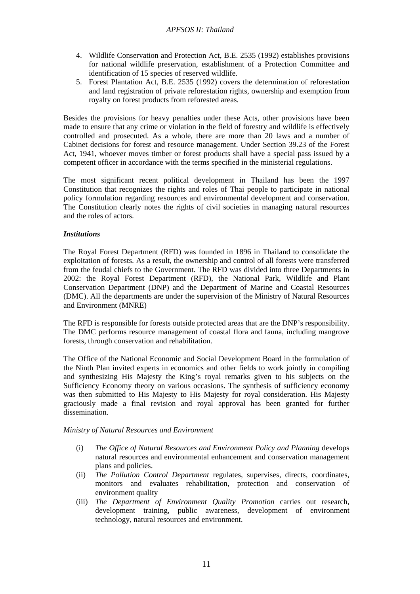- 4. Wildlife Conservation and Protection Act, B.E. 2535 (1992) establishes provisions for national wildlife preservation, establishment of a Protection Committee and identification of 15 species of reserved wildlife.
- 5. Forest Plantation Act, B.E. 2535 (1992) covers the determination of reforestation and land registration of private reforestation rights, ownership and exemption from royalty on forest products from reforested areas.

Besides the provisions for heavy penalties under these Acts, other provisions have been made to ensure that any crime or violation in the field of forestry and wildlife is effectively controlled and prosecuted. As a whole, there are more than 20 laws and a number of Cabinet decisions for forest and resource management. Under Section 39.23 of the Forest Act, 1941, whoever moves timber or forest products shall have a special pass issued by a competent officer in accordance with the terms specified in the ministerial regulations.

The most significant recent political development in Thailand has been the 1997 Constitution that recognizes the rights and roles of Thai people to participate in national policy formulation regarding resources and environmental development and conservation. The Constitution clearly notes the rights of civil societies in managing natural resources and the roles of actors.

## *Institutions*

The Royal Forest Department (RFD) was founded in 1896 in Thailand to consolidate the exploitation of forests. As a result, the ownership and control of all forests were transferred from the feudal chiefs to the Government. The RFD was divided into three Departments in 2002: the Royal Forest Department (RFD), the National Park, Wildlife and Plant Conservation Department (DNP) and the Department of Marine and Coastal Resources (DMC). All the departments are under the supervision of the Ministry of Natural Resources and Environment (MNRE)

The RFD is responsible for forests outside protected areas that are the DNP's responsibility. The DMC performs resource management of coastal flora and fauna, including mangrove forests, through conservation and rehabilitation.

The Office of the National Economic and Social Development Board in the formulation of the Ninth Plan invited experts in economics and other fields to work jointly in compiling and synthesizing His Majesty the King's royal remarks given to his subjects on the Sufficiency Economy theory on various occasions. The synthesis of sufficiency economy was then submitted to His Majesty to His Majesty for royal consideration. His Majesty graciously made a final revision and royal approval has been granted for further dissemination.

## *Ministry of Natural Resources and Environment*

- (i) *The Office of Natural Resources and Environment Policy and Planning* develops natural resources and environmental enhancement and conservation management plans and policies.
- (ii) *The Pollution Control Department* regulates, supervises, directs, coordinates, monitors and evaluates rehabilitation, protection and conservation of environment quality
- (iii) *The Department of Environment Quality Promotion* carries out research, development training, public awareness, development of environment technology, natural resources and environment.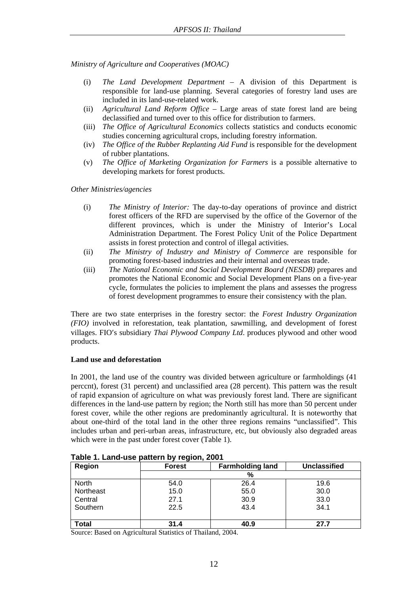*Ministry of Agriculture and Cooperatives (MOAC)* 

- (i) *The Land Development Department* A division of this Department is responsible for land-use planning. Several categories of forestry land uses are included in its land-use-related work.
- (ii) *Agricultural Land Reform Office*  Large areas of state forest land are being declassified and turned over to this office for distribution to farmers.
- (iii) *The Office of Agricultural Economics* collects statistics and conducts economic studies concerning agricultural crops, including forestry information.
- (iv) *The Office of the Rubber Replanting Aid Fund* is responsible for the development of rubber plantations.
- (v) *The Office of Marketing Organization for Farmers* is a possible alternative to developing markets for forest products.

*Other Ministries/agencies* 

- (i) *The Ministry of Interior:* The day-to-day operations of province and district forest officers of the RFD are supervised by the office of the Governor of the different provinces, which is under the Ministry of Interior's Local Administration Department. The Forest Policy Unit of the Police Department assists in forest protection and control of illegal activities.
- (ii) *The Ministry of Industry and Ministry of Commerce* are responsible for promoting forest-based industries and their internal and overseas trade.
- (iii) *The National Economic and Social Development Board (NESDB)* prepares and promotes the National Economic and Social Development Plans on a five-year cycle, formulates the policies to implement the plans and assesses the progress of forest development programmes to ensure their consistency with the plan.

There are two state enterprises in the forestry sector: the *Forest Industry Organization (FIO)* involved in reforestation, teak plantation, sawmilling, and development of forest villages. FIO′s subsidiary *Thai Plywood Company Ltd*. produces plywood and other wood products.

## **Land use and deforestation**

In 2001, the land use of the country was divided between agriculture or farmholdings (41 perccnt), forest (31 percent) and unclassified area (28 percent). This pattern was the result of rapid expansion of agriculture on what was previously forest land. There are significant differences in the land-use pattern by region; the North still has more than 50 percent under forest cover, while the other regions are predominantly agricultural. It is noteworthy that about one-third of the total land in the other three regions remains "unclassified". This includes urban and peri-urban areas, infrastructure, etc, but obviously also degraded areas which were in the past under forest cover (Table 1).

| Region    | <b>Forest</b> | <b>Farmholding land</b> | <b>Unclassified</b> |  |  |  |  |
|-----------|---------------|-------------------------|---------------------|--|--|--|--|
|           |               | %                       |                     |  |  |  |  |
| North     | 54.0          | 26.4                    | 19.6                |  |  |  |  |
| Northeast | 15.0          | 55.0                    | 30.0                |  |  |  |  |
| Central   | 27.1          | 30.9                    | 33.0                |  |  |  |  |
| Southern  | 22.5          | 43.4                    | 34.1                |  |  |  |  |
|           |               |                         |                     |  |  |  |  |
| Total     | 31.4          | 40.9                    | 27.7                |  |  |  |  |

| Table 1. Land-use pattern by region, 2001 |  |  |
|-------------------------------------------|--|--|
|                                           |  |  |

Source: Based on Agricultural Statistics of Thailand, 2004.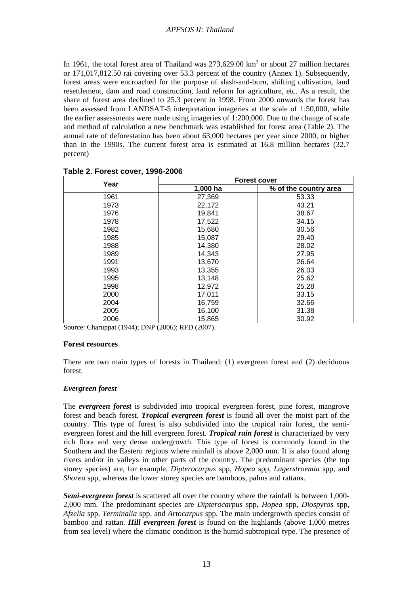In 1961, the total forest area of Thailand was  $273{,}629.00 \text{ km}^2$  or about 27 million hectares or 171,017,812.50 rai covering over 53.3 percent of the country (Annex 1). Subsequently, forest areas were encroached for the purpose of slash-and-burn, shifting cultivation, land resettlement, dam and road construction, land reform for agriculture, etc. As a result, the share of forest area declined to 25.3 percent in 1998. From 2000 onwards the forest has been assessed from LANDSAT-5 interpretation imageries at the scale of 1:50,000, while the earlier assessments were made using imageries of 1:200,000. Due to the change of scale and method of calculation a new benchmark was established for forest area (Table 2). The annual rate of deforestation has been about 63,000 hectares per year since 2000, or higher than in the 1990s. The current forest area is estimated at 16.8 million hectares (32.7 percent)

|      | <b>Forest cover</b> |                       |
|------|---------------------|-----------------------|
| Year | 1,000 ha            | % of the country area |
| 1961 | 27,369              | 53.33                 |
| 1973 | 22,172              | 43.21                 |
| 1976 | 19,841              | 38.67                 |
| 1978 | 17,522              | 34.15                 |
| 1982 | 15,680              | 30.56                 |
| 1985 | 15,087              | 29.40                 |
| 1988 | 14,380              | 28.02                 |
| 1989 | 14,343              | 27.95                 |
| 1991 | 13,670              | 26.64                 |
| 1993 | 13,355              | 26.03                 |
| 1995 | 13,148              | 25.62                 |
| 1998 | 12,972              | 25.28                 |
| 2000 | 17,011              | 33.15                 |
| 2004 | 16,759              | 32.66                 |
| 2005 | 16,100              | 31.38                 |
| 2006 | 15,865              | 30.92                 |

**Table 2. Forest cover, 1996-2006** 

Source: Charuppat (1944); DNP (2006); RFD (2007).

#### **Forest resources**

There are two main types of forests in Thailand: (1) evergreen forest and (2) deciduous forest.

## *Evergreen forest*

The *evergreen forest* is subdivided into tropical evergreen forest, pine forest, mangrove forest and beach forest. *Tropical evergreen forest* is found all over the moist part of the country. This type of forest is also subdivided into the tropical rain forest, the semievergreen forest and the hill evergreen forest. *Tropical rain forest* is characterized by very rich flora and very dense undergrowth. This type of forest is commonly found in the Southern and the Eastern regions where rainfall is above 2,000 mm. It is also found along rivers and/or in valleys in other parts of the country. The predominant species (the top storey species) are, for example, *Dipterocarpus* spp, *Hopea* spp, *Lagerstroemia* spp, and *Shorea* spp, whereas the lower storey species are bamboos, palms and rattans.

*Semi-evergreen forest* is scattered all over the country where the rainfall is between 1,000- 2,000 mm. The predominant species are *Dipterocarpus* spp, *Hopea* spp, *Diospyros* spp, *Afzelia* spp, *Terminalia* spp, and *Artocarpus* spp. The main undergrowth species consist of bamboo and rattan. *Hill evergreen forest* is found on the highlands (above 1,000 metres from sea level) where the climatic condition is the humid subtropical type. The presence of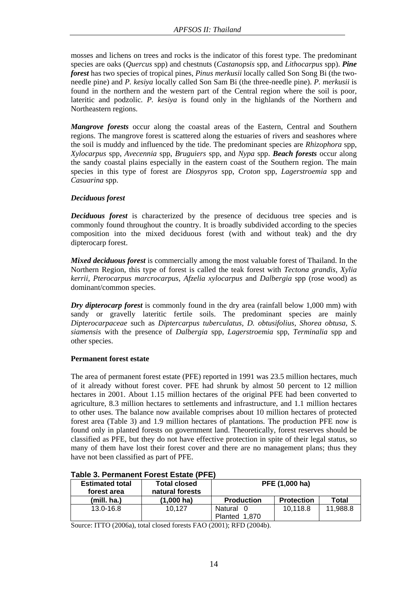mosses and lichens on trees and rocks is the indicator of this forest type. The predominant species are oaks (*Quercus* spp) and chestnuts (*Castanopsis* spp, and *Lithocarpus* spp). *Pine forest* has two species of tropical pines, *Pinus merkusii* locally called Son Song Bi (the twoneedle pine) and *P. kesiya* locally called Son Sam Bi (the three-needle pine). *P. merkusii* is found in the northern and the western part of the Central region where the soil is poor, lateritic and podzolic. *P. kesiya* is found only in the highlands of the Northern and Northeastern regions.

*Mangrove forests* occur along the coastal areas of the Eastern, Central and Southern regions. The mangrove forest is scattered along the estuaries of rivers and seashores where the soil is muddy and influenced by the tide. The predominant species are *Rhizophora* spp, *Xylocarpus* spp, *Avecennia* spp, *Bruguiers* spp, and *Nypa* spp. *Beach forests* occur along the sandy coastal plains especially in the eastern coast of the Southern region. The main species in this type of forest are *Diospyros* spp, *Croton* spp, *Lagerstroemia* spp and *Casuarina* spp.

## *Deciduous forest*

*Deciduous forest* is characterized by the presence of deciduous tree species and is commonly found throughout the country. It is broadly subdivided according to the species composition into the mixed deciduous forest (with and without teak) and the dry dipterocarp forest.

*Mixed deciduous forest* is commercially among the most valuable forest of Thailand. In the Northern Region, this type of forest is called the teak forest with *Tectona grandis, Xylia kerrii, Pterocarpus marcrocarpus, Afzelia xylocarpus* and *Dalbergia* spp (rose wood) as dominant/common species.

*Dry dipterocarp forest* is commonly found in the dry area (rainfall below 1,000 mm) with sandy or gravelly lateritic fertile soils. The predominant species are mainly *Dipterocarpaceae* such as *Diptercarpus tuberculatus, D. obtusifolius, Shorea obtusa, S. siamensis* with the presence of *Dalbergia* spp, *Lagerstroemia* spp, *Terminalia* spp and other species.

## **Permanent forest estate**

The area of permanent forest estate (PFE) reported in 1991 was 23.5 million hectares, much of it already without forest cover. PFE had shrunk by almost 50 percent to 12 million hectares in 2001. About 1.15 million hectares of the original PFE had been converted to agriculture, 8.3 million hectares to settlements and infrastructure, and 1.1 million hectares to other uses. The balance now available comprises about 10 million hectares of protected forest area (Table 3) and 1.9 million hectares of plantations. The production PFE now is found only in planted forests on government land. Theoretically, forest reserves should be classified as PFE, but they do not have effective protection in spite of their legal status, so many of them have lost their forest cover and there are no management plans; thus they have not been classified as part of PFE.

| <b>Estimated total</b><br>forest area | <b>Total closed</b><br>natural forests | PFE (1,000 ha)    |                   |          |  |
|---------------------------------------|----------------------------------------|-------------------|-------------------|----------|--|
| (mill, ha.)                           | $(1.000 \text{ ha})$                   | <b>Production</b> | <b>Protection</b> | Total    |  |
| 13.0-16.8                             | 10.127                                 | Natural 0         | 10.118.8          | 11.988.8 |  |
|                                       |                                        | Planted 1,870     |                   |          |  |

## **Table 3. Permanent Forest Estate (PFE)**

Source: ITTO (2006a), total closed forests FAO (2001); RFD (2004b).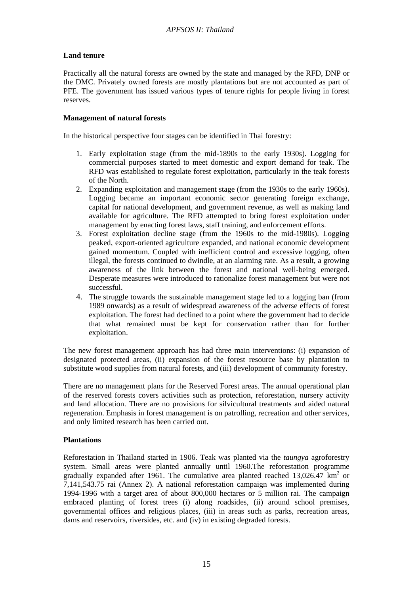## **Land tenure**

Practically all the natural forests are owned by the state and managed by the RFD, DNP or the DMC. Privately owned forests are mostly plantations but are not accounted as part of PFE. The government has issued various types of tenure rights for people living in forest reserves.

## **Management of natural forests**

In the historical perspective four stages can be identified in Thai forestry:

- 1. Early exploitation stage (from the mid-1890s to the early 1930s). Logging for commercial purposes started to meet domestic and export demand for teak. The RFD was established to regulate forest exploitation, particularly in the teak forests of the North.
- 2. Expanding exploitation and management stage (from the 1930s to the early 1960s). Logging became an important economic sector generating foreign exchange, capital for national development, and government revenue, as well as making land available for agriculture. The RFD attempted to bring forest exploitation under management by enacting forest laws, staff training, and enforcement efforts.
- 3. Forest exploitation decline stage (from the 1960s to the mid-1980s). Logging peaked, export-oriented agriculture expanded, and national economic development gained momentum. Coupled with inefficient control and excessive logging, often illegal, the forests continued to dwindle, at an alarming rate. As a result, a growing awareness of the link between the forest and national well-being emerged. Desperate measures were introduced to rationalize forest management but were not successful.
- 4. The struggle towards the sustainable management stage led to a logging ban (from 1989 onwards) as a result of widespread awareness of the adverse effects of forest exploitation. The forest had declined to a point where the government had to decide that what remained must be kept for conservation rather than for further exploitation.

The new forest management approach has had three main interventions: (i) expansion of designated protected areas, (ii) expansion of the forest resource base by plantation to substitute wood supplies from natural forests, and (iii) development of community forestry.

There are no management plans for the Reserved Forest areas. The annual operational plan of the reserved forests covers activities such as protection, reforestation, nursery activity and land allocation. There are no provisions for silvicultural treatments and aided natural regeneration. Emphasis in forest management is on patrolling, recreation and other services, and only limited research has been carried out.

## **Plantations**

Reforestation in Thailand started in 1906. Teak was planted via the *taungya* agroforestry system. Small areas were planted annually until 1960.The reforestation programme gradually expanded after 1961. The cumulative area planted reached  $13,026.47$  km<sup>2</sup> or 7,141,543.75 rai (Annex 2). A national reforestation campaign was implemented during 1994-1996 with a target area of about 800,000 hectares or 5 million rai. The campaign embraced planting of forest trees (i) along roadsides, (ii) around school premises, governmental offices and religious places, (iii) in areas such as parks, recreation areas, dams and reservoirs, riversides, etc. and (iv) in existing degraded forests.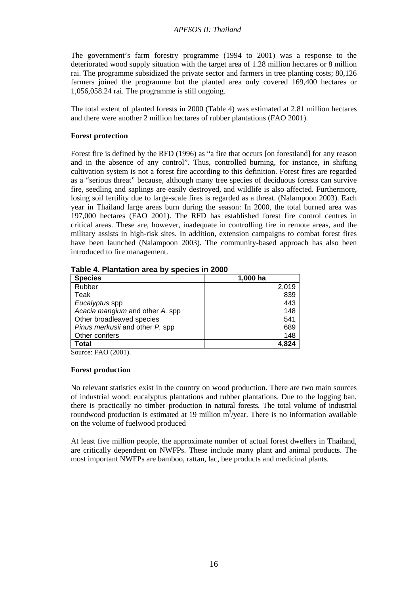The government's farm forestry programme (1994 to 2001) was a response to the deteriorated wood supply situation with the target area of 1.28 million hectares or 8 million rai. The programme subsidized the private sector and farmers in tree planting costs; 80,126 farmers joined the programme but the planted area only covered 169,400 hectares or 1,056,058.24 rai. The programme is still ongoing.

The total extent of planted forests in 2000 (Table 4) was estimated at 2.81 million hectares and there were another 2 million hectares of rubber plantations (FAO 2001).

## **Forest protection**

Forest fire is defined by the RFD (1996) as "a fire that occurs [on forestland] for any reason and in the absence of any control". Thus, controlled burning, for instance, in shifting cultivation system is not a forest fire according to this definition. Forest fires are regarded as a "serious threat" because, although many tree species of deciduous forests can survive fire, seedling and saplings are easily destroyed, and wildlife is also affected. Furthermore, losing soil fertility due to large-scale fires is regarded as a threat. (Nalampoon 2003). Each year in Thailand large areas burn during the season: In 2000, the total burned area was 197,000 hectares (FAO 2001). The RFD has established forest fire control centres in critical areas. These are, however, inadequate in controlling fire in remote areas, and the military assists in high-risk sites. In addition, extension campaigns to combat forest fires have been launched (Nalampoon 2003). The community-based approach has also been introduced to fire management.

| <b>Species</b>                  | 1,000 ha |
|---------------------------------|----------|
| Rubber                          | 2,019    |
| Teak                            | 839      |
| Eucalyptus spp                  | 443      |
| Acacia mangium and other A. spp | 148      |
| Other broadleaved species       | 541      |
| Pinus merkusii and other P. spp | 689      |
| Other conifers                  | 148      |
| Total                           | 4.824    |

**Table 4. Plantation area by species in 2000** 

Source: FAO (2001).

## **Forest production**

No relevant statistics exist in the country on wood production. There are two main sources of industrial wood: eucalyptus plantations and rubber plantations. Due to the logging ban, there is practically no timber production in natural forests. The total volume of industrial roundwood production is estimated at 19 million  $m^3$ /year. There is no information available on the volume of fuelwood produced

At least five million people, the approximate number of actual forest dwellers in Thailand, are critically dependent on NWFPs. These include many plant and animal products. The most important NWFPs are bamboo, rattan, lac, bee products and medicinal plants.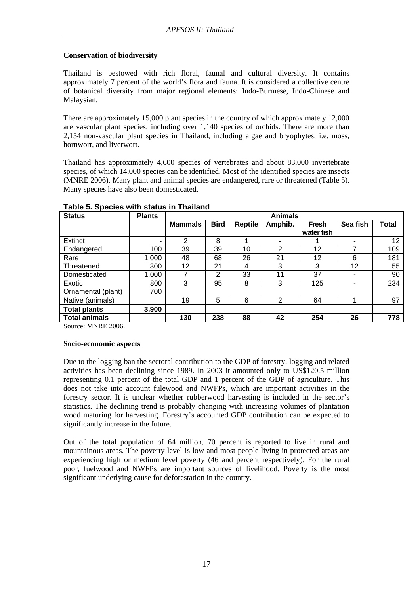## **Conservation of biodiversity**

Thailand is bestowed with rich floral, faunal and cultural diversity. It contains approximately 7 percent of the world's flora and fauna. It is considered a collective centre of botanical diversity from major regional elements: Indo-Burmese, Indo-Chinese and Malaysian.

There are approximately 15,000 plant species in the country of which approximately 12,000 are vascular plant species, including over 1,140 species of orchids. There are more than 2,154 non-vascular plant species in Thailand, including algae and bryophytes, i.e. moss, hornwort, and liverwort.

Thailand has approximately 4,600 species of vertebrates and about 83,000 invertebrate species, of which 14,000 species can be identified. Most of the identified species are insects (MNRE 2006). Many plant and animal species are endangered, rare or threatened (Table 5). Many species have also been domesticated.

| <b>Status</b>                | <b>Plants</b> | <b>Animals</b> |             |                |                |                            |          |       |
|------------------------------|---------------|----------------|-------------|----------------|----------------|----------------------------|----------|-------|
|                              |               | <b>Mammals</b> | <b>Bird</b> | <b>Reptile</b> | Amphib.        | <b>Fresh</b><br>water fish | Sea fish | Total |
| <b>Extinct</b>               |               | 2              | 8           |                |                |                            | -        | 12    |
| Endangered                   | 100           | 39             | 39          | 10             | $\overline{2}$ | 12                         | 7        | 109   |
| Rare                         | 1,000         | 48             | 68          | 26             | 21             | 12                         | 6        | 181   |
| Threatened                   | 300           | 12             | 21          | 4              | 3              | 3                          | 12       | 55    |
| Domesticated                 | 1,000         |                | 2           | 33             | 11             | 37                         | ۰        | 90    |
| Exotic                       | 800           | 3              | 95          | 8              | 3              | 125                        |          | 234   |
| Ornamental (plant)           | 700           |                |             |                |                |                            |          |       |
| Native (animals)             |               | 19             | 5           | 6              | 2              | 64                         |          | 97    |
| 3,900<br><b>Total plants</b> |               |                |             |                |                |                            |          |       |
| <b>Total animals</b>         |               | 130            | 238         | 88             | 42             | 254                        | 26       | 778   |

## **Table 5. Species with status in Thailand**

Source: MNRE 2006.

## **Socio-economic aspects**

Due to the logging ban the sectoral contribution to the GDP of forestry, logging and related activities has been declining since 1989. In 2003 it amounted only to US\$120.5 million representing 0.1 percent of the total GDP and 1 percent of the GDP of agriculture. This does not take into account fulewood and NWFPs, which are important activities in the forestry sector. It is unclear whether rubberwood harvesting is included in the sector's statistics. The declining trend is probably changing with increasing volumes of plantation wood maturing for harvesting. Forestry's accounted GDP contribution can be expected to significantly increase in the future.

Out of the total population of 64 million, 70 percent is reported to live in rural and mountainous areas. The poverty level is low and most people living in protected areas are experiencing high or medium level poverty (46 and percent respectively). For the rural poor, fuelwood and NWFPs are important sources of livelihood. Poverty is the most significant underlying cause for deforestation in the country.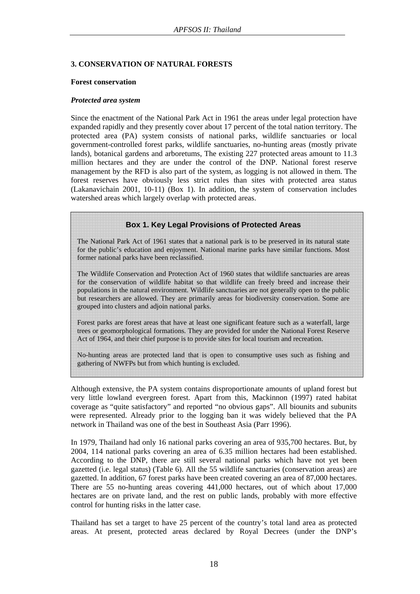## **3. CONSERVATION OF NATURAL FORESTS**

#### **Forest conservation**

#### *Protected area system*

Since the enactment of the National Park Act in 1961 the areas under legal protection have expanded rapidly and they presently cover about 17 percent of the total nation territory. The protected area (PA) system consists of national parks, wildlife sanctuaries or local government-controlled forest parks, wildlife sanctuaries, no-hunting areas (mostly private lands), botanical gardens and arboretums, The existing 227 protected areas amount to 11.3 million hectares and they are under the control of the DNP. National forest reserve management by the RFD is also part of the system, as logging is not allowed in them. The forest reserves have obviously less strict rules than sites with protected area status (Lakanavichain 2001, 10-11) (Box 1). In addition, the system of conservation includes watershed areas which largely overlap with protected areas.

**Box 1. Key Legal Provisions of Protected Areas** 

The National Park Act of 1961 states that a national park is to be preserved in its natural state for the public's education and enjoyment. National marine parks have similar functions. Most former national parks have been reclassified.

The Wildlife Conservation and Protection Act of 1960 states that wildlife sanctuaries are areas for the conservation of wildlife habitat so that wildlife can freely breed and increase their populations in the natural environment. Wildlife sanctuaries are not generally open to the public but researchers are allowed. They are primarily areas for biodiversity conservation. Some are grouped into clusters and adjoin national parks.

Forest parks are forest areas that have at least one significant feature such as a waterfall, large trees or geomorphological formations. They are provided for under the National Forest Reserve Act of 1964, and their chief purpose is to provide sites for local tourism and recreation.

No-hunting areas are protected land that is open to consumptive uses such as fishing and gathering of NWFPs but from which hunting is excluded.

Although extensive, the PA system contains disproportionate amounts of upland forest but very little lowland evergreen forest. Apart from this, Mackinnon (1997) rated habitat coverage as "quite satisfactory" and reported "no obvious gaps". All biounits and subunits were represented. Already prior to the logging ban it was widely believed that the PA network in Thailand was one of the best in Southeast Asia (Parr 1996).

In 1979, Thailand had only 16 national parks covering an area of 935,700 hectares. But, by 2004, 114 national parks covering an area of 6.35 million hectares had been established. According to the DNP, there are still several national parks which have not yet been gazetted (i.e. legal status) (Table 6). All the 55 wildlife sanctuaries (conservation areas) are gazetted. In addition, 67 forest parks have been created covering an area of 87,000 hectares. There are 55 no-hunting areas covering 441,000 hectares, out of which about 17,000 hectares are on private land, and the rest on public lands, probably with more effective control for hunting risks in the latter case.

Thailand has set a target to have 25 percent of the country's total land area as protected areas. At present, protected areas declared by Royal Decrees (under the DNP's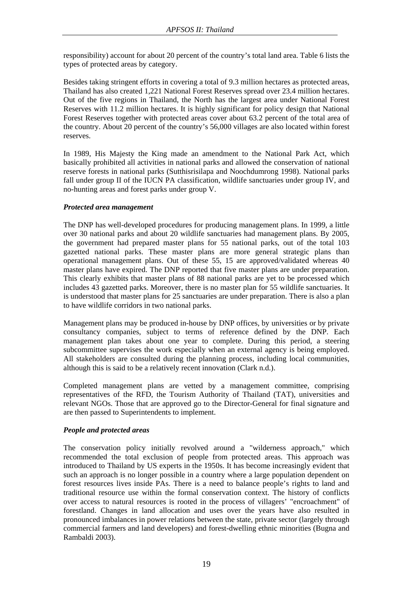responsibility) account for about 20 percent of the country's total land area. Table 6 lists the types of protected areas by category.

Besides taking stringent efforts in covering a total of 9.3 million hectares as protected areas, Thailand has also created 1,221 National Forest Reserves spread over 23.4 million hectares. Out of the five regions in Thailand, the North has the largest area under National Forest Reserves with 11.2 million hectares. It is highly significant for policy design that National Forest Reserves together with protected areas cover about 63.2 percent of the total area of the country. About 20 percent of the country's 56,000 villages are also located within forest reserves.

In 1989, His Majesty the King made an amendment to the National Park Act, which basically prohibited all activities in national parks and allowed the conservation of national reserve forests in national parks (Sutthisrisilapa and Noochdumrong 1998). National parks fall under group II of the IUCN PA classification, wildlife sanctuaries under group IV, and no-hunting areas and forest parks under group V.

## *Protected area management*

The DNP has well-developed procedures for producing management plans. In 1999, a little over 30 national parks and about 20 wildlife sanctuaries had management plans. By 2005, the government had prepared master plans for 55 national parks, out of the total 103 gazetted national parks. These master plans are more general strategic plans than operational management plans. Out of these 55, 15 are approved/validated whereas 40 master plans have expired. The DNP reported that five master plans are under preparation. This clearly exhibits that master plans of 88 national parks are yet to be processed which includes 43 gazetted parks. Moreover, there is no master plan for 55 wildlife sanctuaries. It is understood that master plans for 25 sanctuaries are under preparation. There is also a plan to have wildlife corridors in two national parks.

Management plans may be produced in-house by DNP offices, by universities or by private consultancy companies, subject to terms of reference defined by the DNP. Each management plan takes about one year to complete. During this period, a steering subcommittee supervises the work especially when an external agency is being employed. All stakeholders are consulted during the planning process, including local communities, although this is said to be a relatively recent innovation (Clark n.d.).

Completed management plans are vetted by a management committee, comprising representatives of the RFD, the Tourism Authority of Thailand (TAT), universities and relevant NGOs. Those that are approved go to the Director-General for final signature and are then passed to Superintendents to implement.

## *People and protected areas*

The conservation policy initially revolved around a "wilderness approach," which recommended the total exclusion of people from protected areas. This approach was introduced to Thailand by US experts in the 1950s. It has become increasingly evident that such an approach is no longer possible in a country where a large population dependent on forest resources lives inside PAs. There is a need to balance people's rights to land and traditional resource use within the formal conservation context. The history of conflicts over access to natural resources is rooted in the process of villagers' "encroachment" of forestland. Changes in land allocation and uses over the years have also resulted in pronounced imbalances in power relations between the state, private sector (largely through commercial farmers and land developers) and forest-dwelling ethnic minorities (Bugna and Rambaldi 2003).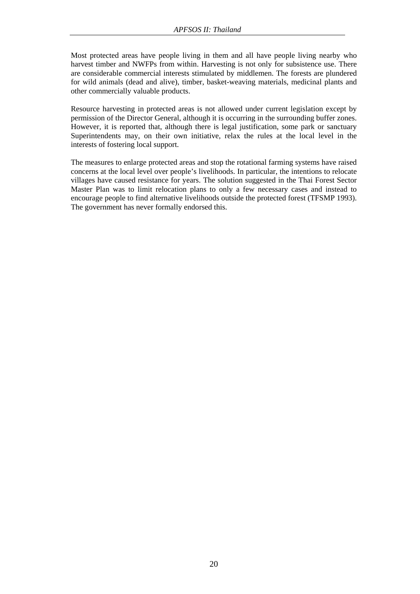Most protected areas have people living in them and all have people living nearby who harvest timber and NWFPs from within. Harvesting is not only for subsistence use. There are considerable commercial interests stimulated by middlemen. The forests are plundered for wild animals (dead and alive), timber, basket-weaving materials, medicinal plants and other commercially valuable products.

Resource harvesting in protected areas is not allowed under current legislation except by permission of the Director General, although it is occurring in the surrounding buffer zones. However, it is reported that, although there is legal justification, some park or sanctuary Superintendents may, on their own initiative, relax the rules at the local level in the interests of fostering local support.

The measures to enlarge protected areas and stop the rotational farming systems have raised concerns at the local level over people's livelihoods. In particular, the intentions to relocate villages have caused resistance for years. The solution suggested in the Thai Forest Sector Master Plan was to limit relocation plans to only a few necessary cases and instead to encourage people to find alternative livelihoods outside the protected forest (TFSMP 1993). The government has never formally endorsed this.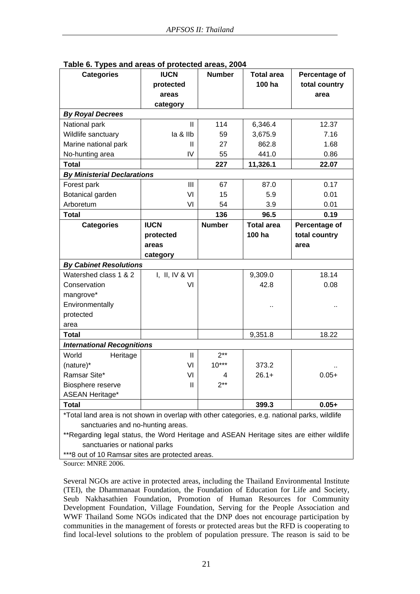| <b>Categories</b>                                                                                                                                                                                                              | <b>IUCN</b>    | <b>Number</b> | <b>Total area</b> | Percentage of |  |
|--------------------------------------------------------------------------------------------------------------------------------------------------------------------------------------------------------------------------------|----------------|---------------|-------------------|---------------|--|
|                                                                                                                                                                                                                                | protected      |               | 100 ha            | total country |  |
|                                                                                                                                                                                                                                | areas          |               |                   | area          |  |
|                                                                                                                                                                                                                                | category       |               |                   |               |  |
| <b>By Royal Decrees</b>                                                                                                                                                                                                        |                |               |                   |               |  |
| National park                                                                                                                                                                                                                  | $\mathbf{H}$   | 114           | 6,346.4           | 12.37         |  |
| Wildlife sanctuary                                                                                                                                                                                                             | la & Ilb       | 59            | 3,675.9           | 7.16          |  |
| Marine national park                                                                                                                                                                                                           | Ш              | 27            | 862.8             | 1.68          |  |
| No-hunting area                                                                                                                                                                                                                | IV             | 55            | 441.0             | 0.86          |  |
| <b>Total</b>                                                                                                                                                                                                                   |                | 227           | 11,326.1          | 22.07         |  |
| <b>By Ministerial Declarations</b>                                                                                                                                                                                             |                |               |                   |               |  |
| Forest park                                                                                                                                                                                                                    | Ш              | 67            | 87.0              | 0.17          |  |
| Botanical garden                                                                                                                                                                                                               | VI             | 15            | 5.9               | 0.01          |  |
| Arboretum                                                                                                                                                                                                                      | VI             | 54            | 3.9               | 0.01          |  |
| <b>Total</b>                                                                                                                                                                                                                   |                | 136           | 96.5              | 0.19          |  |
| <b>Categories</b>                                                                                                                                                                                                              | <b>IUCN</b>    | <b>Number</b> | <b>Total area</b> | Percentage of |  |
|                                                                                                                                                                                                                                | protected      |               | 100 ha            | total country |  |
|                                                                                                                                                                                                                                | areas          |               |                   | area          |  |
|                                                                                                                                                                                                                                | category       |               |                   |               |  |
| <b>By Cabinet Resolutions</b>                                                                                                                                                                                                  |                |               |                   |               |  |
| Watershed class 1 & 2                                                                                                                                                                                                          | I, II, IV & VI |               | 9,309.0           | 18.14         |  |
| Conservation                                                                                                                                                                                                                   | VI             |               | 42.8              | 0.08          |  |
| mangrove*                                                                                                                                                                                                                      |                |               |                   |               |  |
| Environmentally                                                                                                                                                                                                                |                |               |                   |               |  |
| protected                                                                                                                                                                                                                      |                |               |                   |               |  |
| area                                                                                                                                                                                                                           |                |               |                   |               |  |
| <b>Total</b>                                                                                                                                                                                                                   |                |               | 9,351.8           | 18.22         |  |
| <b>International Recognitions</b>                                                                                                                                                                                              |                |               |                   |               |  |
| World<br>Heritage                                                                                                                                                                                                              | $\mathbf{H}$   | $2**$         |                   |               |  |
| (nature)*                                                                                                                                                                                                                      | VI             | $10***$       | 373.2             |               |  |
| Ramsar Site*                                                                                                                                                                                                                   | VI             | 4             | $26.1+$           | $0.05+$       |  |
| Biosphere reserve                                                                                                                                                                                                              | Ш              | $2***$        |                   |               |  |
| <b>ASEAN Heritage*</b>                                                                                                                                                                                                         |                |               |                   |               |  |
| <b>Total</b>                                                                                                                                                                                                                   |                |               | 399.3             | $0.05+$       |  |
| *Total land area is not shown in overlap with other categories, e.g. national parks, wildlife<br>sanctuaries and no-hunting areas.<br>**Regarding legal status, the Word Heritage and ASEAN Heritage sites are either wildlife |                |               |                   |               |  |

**Table 6. Types and areas of protected areas, 2004** 

Kegarding legal status, the Word Heritage and ASEAN Heritage sites are either sanctuaries or national parks

\*\*\*8 out of 10 Ramsar sites are protected areas.

Source: MNRE 2006.

Several NGOs are active in protected areas, including the Thailand Environmental Institute (TEI), the Dhammanaat Foundation, the Foundation of Education for Life and Society, Seub Nakhasathien Foundation, Promotion of Human Resources for Community Development Foundation, Village Foundation, Serving for the People Association and WWF Thailand Some NGOs indicated that the DNP does not encourage participation by communities in the management of forests or protected areas but the RFD is cooperating to find local-level solutions to the problem of population pressure. The reason is said to be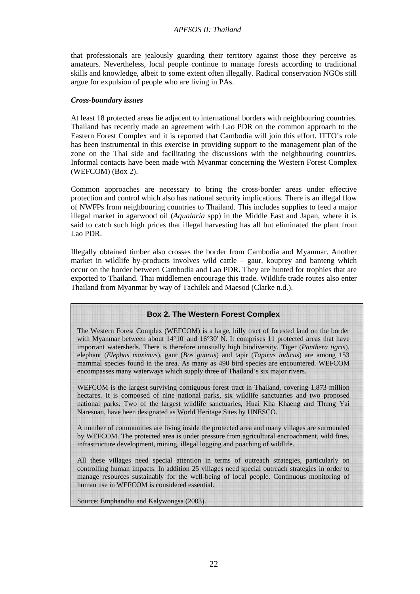that professionals are jealously guarding their territory against those they perceive as amateurs. Nevertheless, local people continue to manage forests according to traditional skills and knowledge, albeit to some extent often illegally. Radical conservation NGOs still argue for expulsion of people who are living in PAs.

## *Cross-boundary issues*

At least 18 protected areas lie adjacent to international borders with neighbouring countries. Thailand has recently made an agreement with Lao PDR on the common approach to the Eastern Forest Complex and it is reported that Cambodia will join this effort. ITTO's role has been instrumental in this exercise in providing support to the management plan of the zone on the Thai side and facilitating the discussions with the neighbouring countries. Informal contacts have been made with Myanmar concerning the Western Forest Complex (WEFCOM) (Box 2).

Common approaches are necessary to bring the cross-border areas under effective protection and control which also has national security implications. There is an illegal flow of NWFPs from neighbouring countries to Thailand. This includes supplies to feed a major illegal market in agarwood oil (*Aqualaria* spp) in the Middle East and Japan, where it is said to catch such high prices that illegal harvesting has all but eliminated the plant from Lao PDR.

Illegally obtained timber also crosses the border from Cambodia and Myanmar. Another market in wildlife by-products involves wild cattle – gaur, kouprey and banteng which occur on the border between Cambodia and Lao PDR. They are hunted for trophies that are exported to Thailand. Thai middlemen encourage this trade. Wildlife trade routes also enter Thailand from Myanmar by way of Tachilek and Maesod (Clarke n.d.).

## **Box 2. The Western Forest Complex**

The Western Forest Complex (WEFCOM) is a large, hilly tract of forested land on the border with Myanmar between about  $14^{\circ}10'$  and  $16^{\circ}30'$  N. It comprises 11 protected areas that have important watersheds. There is therefore unusually high biodiversity. Tiger (*Panthera tigris*), elephant (*Elephas maximus*), gaur (*Bos guarus*) and tapir (*Tapirus indicus*) are among 153 mammal species found in the area. As many as 490 bird species are encountered. WEFCOM encompasses many waterways which supply three of Thailand's six major rivers.

WEFCOM is the largest surviving contiguous forest tract in Thailand, covering 1,873 million hectares. It is composed of nine national parks, six wildlife sanctuaries and two proposed national parks. Two of the largest wildlife sanctuaries, Huai Kha Khaeng and Thung Yai Naresuan, have been designated as World Heritage Sites by UNESCO.

A number of communities are living inside the protected area and many villages are surrounded by WEFCOM. The protected area is under pressure from agricultural encroachment, wild fires, infrastructure development, mining, illegal logging and poaching of wildlife.

All these villages need special attention in terms of outreach strategies, particularly on controlling human impacts. In addition 25 villages need special outreach strategies in order to manage resources sustainably for the well-being of local people. Continuous monitoring of human use in WEFCOM is considered essential.

Source: Emphandhu and Kalywongsa (2003).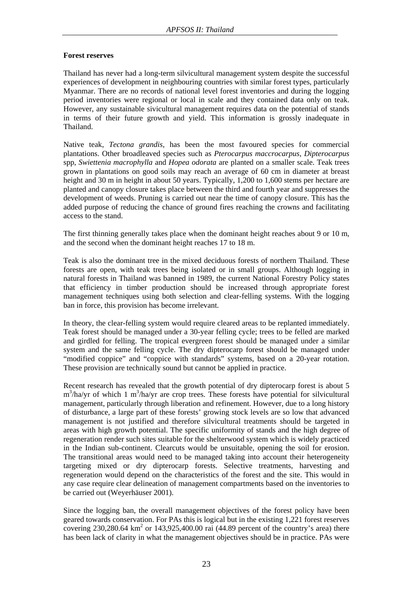## **Forest reserves**

Thailand has never had a long-term silvicultural management system despite the successful experiences of development in neighbouring countries with similar forest types, particularly Myanmar. There are no records of national level forest inventories and during the logging period inventories were regional or local in scale and they contained data only on teak. However, any sustainable sivicultural management requires data on the potential of stands in terms of their future growth and yield. This information is grossly inadequate in Thailand.

Native teak, *Tectona grandis*, has been the most favoured species for commercial plantations. Other broadleaved species such as *Pterocarpus maccrocarpus, Dipterocarpus*  spp, *Swiettenia macrophylla* and *Hopea odorata* are planted on a smaller scale. Teak trees grown in plantations on good soils may reach an average of 60 cm in diameter at breast height and 30 m in height in about 50 years. Typically, 1,200 to 1,600 stems per hectare are planted and canopy closure takes place between the third and fourth year and suppresses the development of weeds. Pruning is carried out near the time of canopy closure. This has the added purpose of reducing the chance of ground fires reaching the crowns and facilitating access to the stand.

The first thinning generally takes place when the dominant height reaches about 9 or 10 m, and the second when the dominant height reaches 17 to 18 m.

Teak is also the dominant tree in the mixed deciduous forests of northern Thailand. These forests are open, with teak trees being isolated or in small groups. Although logging in natural forests in Thailand was banned in 1989, the current National Forestry Policy states that efficiency in timber production should be increased through appropriate forest management techniques using both selection and clear-felling systems. With the logging ban in force, this provision has become irrelevant.

In theory, the clear-felling system would require cleared areas to be replanted immediately. Teak forest should be managed under a 30-year felling cycle; trees to be felled are marked and girdled for felling. The tropical evergreen forest should be managed under a similar system and the same felling cycle. The dry dipterocarp forest should be managed under "modified coppice" and "coppice with standards" systems, based on a 20-year rotation. These provision are technically sound but cannot be applied in practice.

Recent research has revealed that the growth potential of dry dipterocarp forest is about 5 m<sup>3</sup>/ha/yr of which 1 m<sup>3</sup>/ha/yr are crop trees. These forests have potential for silvicultural management, particularly through liberation and refinement. However, due to a long history of disturbance, a large part of these forests' growing stock levels are so low that advanced management is not justified and therefore silvicultural treatments should be targeted in areas with high growth potential. The specific uniformity of stands and the high degree of regeneration render such sites suitable for the shelterwood system which is widely practiced in the Indian sub-continent. Clearcuts would be unsuitable, opening the soil for erosion. The transitional areas would need to be managed taking into account their heterogeneity targeting mixed or dry dipterocarp forests. Selective treatments, harvesting and regeneration would depend on the characteristics of the forest and the site. This would in any case require clear delineation of management compartments based on the inventories to be carried out (Weyerhäuser 2001).

Since the logging ban, the overall management objectives of the forest policy have been geared towards conservation. For PAs this is logical but in the existing 1,221 forest reserves covering 230,280.64  $km^2$  or 143,925,400.00 rai (44.89 percent of the country's area) there has been lack of clarity in what the management objectives should be in practice. PAs were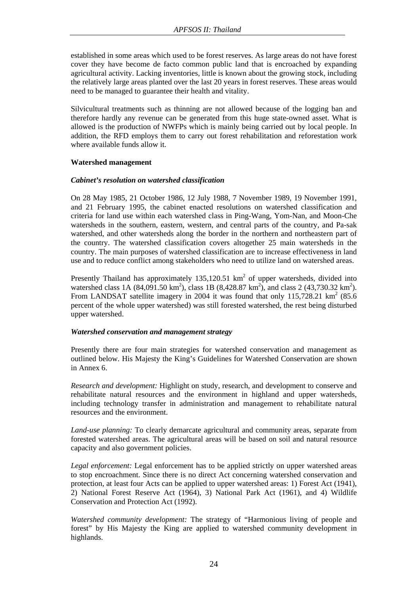established in some areas which used to be forest reserves. As large areas do not have forest cover they have become de facto common public land that is encroached by expanding agricultural activity. Lacking inventories, little is known about the growing stock, including the relatively large areas planted over the last 20 years in forest reserves. These areas would need to be managed to guarantee their health and vitality.

Silvicultural treatments such as thinning are not allowed because of the logging ban and therefore hardly any revenue can be generated from this huge state-owned asset. What is allowed is the production of NWFPs which is mainly being carried out by local people. In addition, the RFD employs them to carry out forest rehabilitation and reforestation work where available funds allow it.

#### **Watershed management**

#### *Cabinet's resolution on watershed classification*

On 28 May 1985, 21 October 1986, 12 July 1988, 7 November 1989, 19 November 1991, and 21 February 1995, the cabinet enacted resolutions on watershed classification and criteria for land use within each watershed class in Ping-Wang, Yom-Nan, and Moon-Che watersheds in the southern, eastern, western, and central parts of the country, and Pa-sak watershed, and other watersheds along the border in the northern and northeastern part of the country. The watershed classification covers altogether 25 main watersheds in the country. The main purposes of watershed classification are to increase effectiveness in land use and to reduce conflict among stakeholders who need to utilize land on watershed areas.

Presently Thailand has approximately  $135,120.51 \text{ km}^2$  of upper watersheds, divided into watershed class 1A (84,091.50 km<sup>2</sup>), class 1B (8,428.87 km<sup>2</sup>), and class 2 (43,730.32 km<sup>2</sup>). From LANDSAT satellite imagery in 2004 it was found that only 115,728.21  $\text{km}^2$  (85.6) percent of the whole upper watershed) was still forested watershed, the rest being disturbed upper watershed.

## *Watershed conservation and management strategy*

Presently there are four main strategies for watershed conservation and management as outlined below. His Majesty the King's Guidelines for Watershed Conservation are shown in Annex 6.

*Research and development:* Highlight on study, research, and development to conserve and rehabilitate natural resources and the environment in highland and upper watersheds, including technology transfer in administration and management to rehabilitate natural resources and the environment.

*Land-use planning:* To clearly demarcate agricultural and community areas, separate from forested watershed areas. The agricultural areas will be based on soil and natural resource capacity and also government policies.

*Legal enforcement:* Legal enforcement has to be applied strictly on upper watershed areas to stop encroachment. Since there is no direct Act concerning watershed conservation and protection, at least four Acts can be applied to upper watershed areas: 1) Forest Act (1941), 2) National Forest Reserve Act (1964), 3) National Park Act (1961), and 4) Wildlife Conservation and Protection Act (1992).

*Watershed community development:* The strategy of "Harmonious living of people and forest" by His Majesty the King are applied to watershed community development in highlands.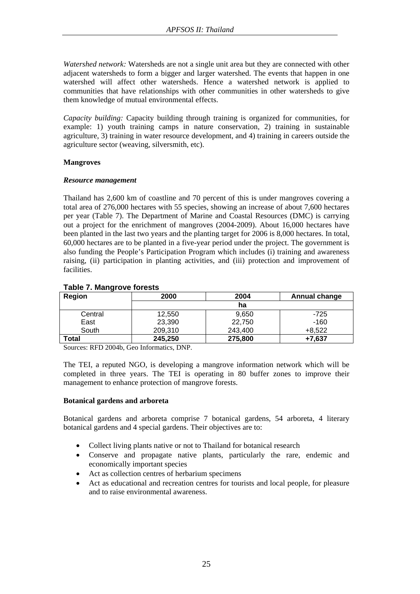*Watershed network:* Watersheds are not a single unit area but they are connected with other adjacent watersheds to form a bigger and larger watershed. The events that happen in one watershed will affect other watersheds. Hence a watershed network is applied to communities that have relationships with other communities in other watersheds to give them knowledge of mutual environmental effects.

*Capacity building:* Capacity building through training is organized for communities, for example: 1) youth training camps in nature conservation, 2) training in sustainable agriculture, 3) training in water resource development, and 4) training in careers outside the agriculture sector (weaving, silversmith, etc).

## **Mangroves**

## *Resource management*

Thailand has 2,600 km of coastline and 70 percent of this is under mangroves covering a total area of 276,000 hectares with 55 species, showing an increase of about 7,600 hectares per year (Table 7). The Department of Marine and Coastal Resources (DMC) is carrying out a project for the enrichment of mangroves (2004-2009). About 16,000 hectares have been planted in the last two years and the planting target for 2006 is 8,000 hectares. In total, 60,000 hectares are to be planted in a five-year period under the project. The government is also funding the People's Participation Program which includes (i) training and awareness raising, (ii) participation in planting activities, and (iii) protection and improvement of facilities.

| $\overline{\phantom{a}}$<br>Region | 2000    | 2004    | <b>Annual change</b> |
|------------------------------------|---------|---------|----------------------|
|                                    |         |         |                      |
| Central                            | 12,550  | 9,650   | $-725$               |
| East                               | 23,390  | 22,750  | $-160$               |
| South                              | 209,310 | 243,400 | $+8,522$             |
| Total                              | 245,250 | 275,800 | $+7.637$             |

## **Table 7. Mangrove forests**

Sources: RFD 2004b, Geo Informatics, DNP.

The TEI, a reputed NGO, is developing a mangrove information network which will be completed in three years. The TEI is operating in 80 buffer zones to improve their management to enhance protection of mangrove forests.

## **Botanical gardens and arboreta**

Botanical gardens and arboreta comprise 7 botanical gardens, 54 arboreta, 4 literary botanical gardens and 4 special gardens. Their objectives are to:

- Collect living plants native or not to Thailand for botanical research
- Conserve and propagate native plants, particularly the rare, endemic and economically important species
- Act as collection centres of herbarium specimens
- Act as educational and recreation centres for tourists and local people, for pleasure and to raise environmental awareness.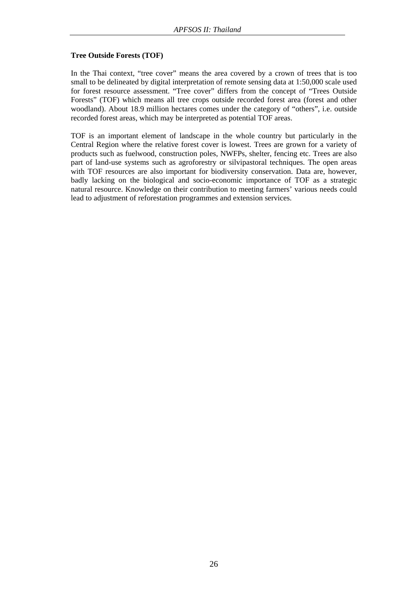## **Tree Outside Forests (TOF)**

In the Thai context, "tree cover" means the area covered by a crown of trees that is too small to be delineated by digital interpretation of remote sensing data at 1:50,000 scale used for forest resource assessment. "Tree cover" differs from the concept of "Trees Outside Forests" (TOF) which means all tree crops outside recorded forest area (forest and other woodland). About 18.9 million hectares comes under the category of "others", i.e. outside recorded forest areas, which may be interpreted as potential TOF areas.

TOF is an important element of landscape in the whole country but particularly in the Central Region where the relative forest cover is lowest. Trees are grown for a variety of products such as fuelwood, construction poles, NWFPs, shelter, fencing etc. Trees are also part of land-use systems such as agroforestry or silvipastoral techniques. The open areas with TOF resources are also important for biodiversity conservation. Data are, however, badly lacking on the biological and socio-economic importance of TOF as a strategic natural resource. Knowledge on their contribution to meeting farmers' various needs could lead to adjustment of reforestation programmes and extension services.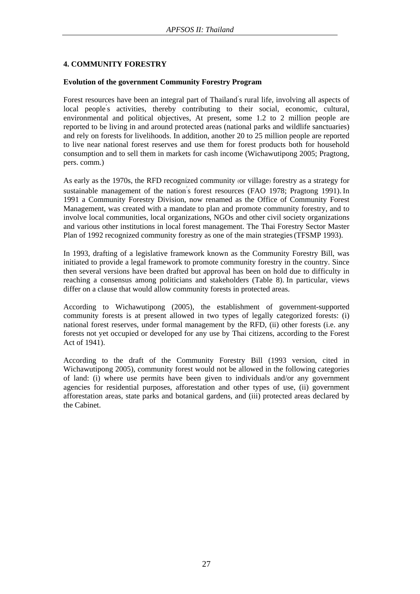## **4. COMMUNITY FORESTRY**

## **Evolution of the government Community Forestry Program**

Forest resources have been an integral part of Thailand' s rural life, involving all aspects of local people's activities, thereby contributing to their social, economic, cultural, environmental and political objectives, At present, some 1.2 to 2 million people are reported to be living in and around protected areas (national parks and wildlife sanctuaries) and rely on forests for livelihoods. In addition, another 20 to 25 million people are reported to live near national forest reserves and use them for forest products both for household consumption and to sell them in markets for cash income (Wichawutipong 2005; Pragtong, pers. comm.)

As early as the 1970s, the RFD recognized community (or village) forestry as a strategy for sustainable management of the nation' s forest resources (FAO 1978; Pragtong 1991). In 1991 a Community Forestry Division, now renamed as the Office of Community Forest Management, was created with a mandate to plan and promote community forestry, and to involve local communities, local organizations, NGOs and other civil society organizations and various other institutions in local forest management. The Thai Forestry Sector Master Plan of 1992 recognized community forestry as one of the main strategies(TFSMP 1993).

In 1993, drafting of a legislative framework known as the Community Forestry Bill, was initiated to provide a legal framework to promote community forestry in the country. Since then several versions have been drafted but approval has been on hold due to difficulty in reaching a consensus among politicians and stakeholders (Table 8). In particular, views differ on a clause that would allow community forests in protected areas.

According to Wichawutipong (2005), the establishment of government-supported community forests is at present allowed in two types of legally categorized forests: (i) national forest reserves, under formal management by the RFD, (ii) other forests (i.e. any forests not yet occupied or developed for any use by Thai citizens, according to the Forest Act of 1941).

According to the draft of the Community Forestry Bill (1993 version, cited in Wichawutipong 2005), community forest would not be allowed in the following categories of land: (i) where use permits have been given to individuals and/or any government agencies for residential purposes, afforestation and other types of use, (ii) government afforestation areas, state parks and botanical gardens, and (iii) protected areas declared by the Cabinet.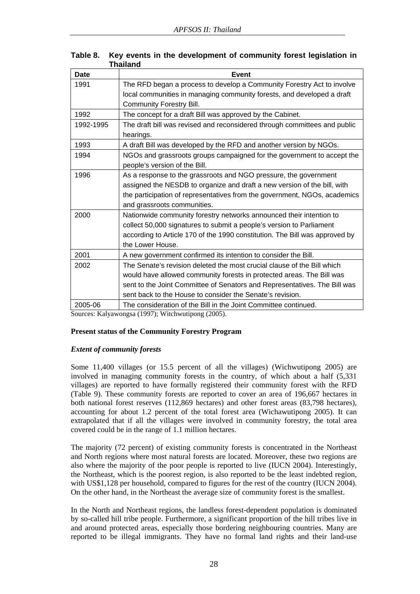| <b>Date</b> | Event                                                                       |
|-------------|-----------------------------------------------------------------------------|
| 1991        | The RFD began a process to develop a Community Forestry Act to involve      |
|             | local communities in managing community forests, and developed a draft      |
|             | Community Forestry Bill.                                                    |
| 1992        | The concept for a draft Bill was approved by the Cabinet.                   |
| 1992-1995   | The draft bill was revised and reconsidered through committees and public   |
|             | hearings.                                                                   |
| 1993        | A draft Bill was developed by the RFD and another version by NGOs.          |
| 1994        | NGOs and grassroots groups campaigned for the government to accept the      |
|             | people's version of the Bill.                                               |
| 1996        | As a response to the grassroots and NGO pressure, the government            |
|             | assigned the NESDB to organize and draft a new version of the bill, with    |
|             | the participation of representatives from the government, NGOs, academics   |
|             | and grassroots communities.                                                 |
| 2000        | Nationwide community forestry networks announced their intention to         |
|             | collect 50,000 signatures to submit a people's version to Parliament        |
|             | according to Article 170 of the 1990 constitution. The Bill was approved by |
|             | the Lower House.                                                            |
| 2001        | A new government confirmed its intention to consider the Bill.              |
| 2002        | The Senate's revision deleted the most crucial clause of the Bill which     |
|             | would have allowed community forests in protected areas. The Bill was       |
|             | sent to the Joint Committee of Senators and Representatives. The Bill was   |
|             | sent back to the House to consider the Senate's revision.                   |
| 2005-06     | The consideration of the Bill in the Joint Committee continued.             |

## **Table 8. Key events in the development of community forest legislation in Thailand**

Sources: Kalyawongsa (1997); Witchwutipong (2005).

## **Present status of the Community Forestry Program**

## *Extent of community forests*

Some 11,400 villages (or 15.5 percent of all the villages) (Wichwutipong 2005) are involved in managing community forests in the country, of which about a half (5,331 villages) are reported to have formally registered their community forest with the RFD (Table 9). These community forests are reported to cover an area of 196,667 hectares in both national forest reserves (112,869 hectares) and other forest areas (83,798 hectares), accounting for about 1.2 percent of the total forest area (Wichawutipong 2005). It can extrapolated that if all the villages were involved in community forestry, the total area covered could be in the range of 1.1 million hectares.

The majority (72 percent) of existing community forests is concentrated in the Northeast and North regions where most natural forests are located. Moreover, these two regions are also where the majority of the poor people is reported to live (IUCN 2004). Interestingly, the Northeast, which is the poorest region, is also reported to be the least indebted region, with US\$1,128 per household, compared to figures for the rest of the country (IUCN 2004). On the other hand, in the Northeast the average size of community forest is the smallest.

In the North and Northeast regions, the landless forest-dependent population is dominated by so-called hill tribe people. Furthermore, a significant proportion of the hill tribes live in and around protected areas, especially those bordering neighbouring countries. Many are reported to be illegal immigrants. They have no formal land rights and their land-use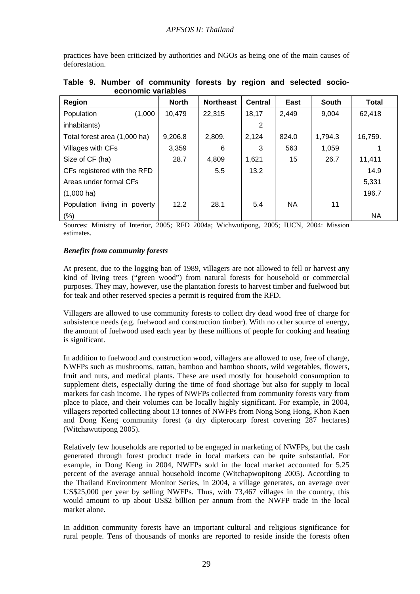practices have been criticized by authorities and NGOs as being one of the main causes of deforestation.

| Region                       | <b>North</b> | <b>Northeast</b> | <b>Central</b> | East  | <b>South</b> | <b>Total</b> |
|------------------------------|--------------|------------------|----------------|-------|--------------|--------------|
| (1,000)<br>Population        | 10,479       | 22,315           | 18,17          | 2,449 | 9,004        | 62,418       |
| inhabitants)                 |              |                  | 2              |       |              |              |
| Total forest area (1,000 ha) | 9,206.8      | 2,809.           | 2,124          | 824.0 | 1,794.3      | 16,759.      |
| Villages with CFs            | 3,359        | 6                | 3              | 563   | 1,059        |              |
| Size of CF (ha)              | 28.7         | 4,809            | 1,621          | 15    | 26.7         | 11,411       |
| CFs registered with the RFD  |              | 5.5              | 13.2           |       |              | 14.9         |
| Areas under formal CFs       |              |                  |                |       |              | 5,331        |
| $(1,000 \text{ ha})$         |              |                  |                |       |              | 196.7        |
| Population living in poverty | 12.2         | 28.1             | 5.4            | NA.   | 11           |              |
| $(\%)$                       |              |                  |                |       |              | NA           |

## **Table 9. Number of community forests by region and selected socioeconomic variables**

Sources: Ministry of Interior, 2005; RFD 2004a; Wichwutipong, 2005; IUCN, 2004: Mission estimates.

## *Benefits from community forests*

At present, due to the logging ban of 1989, villagers are not allowed to fell or harvest any kind of living trees ("green wood") from natural forests for household or commercial purposes. They may, however, use the plantation forests to harvest timber and fuelwood but for teak and other reserved species a permit is required from the RFD.

Villagers are allowed to use community forests to collect dry dead wood free of charge for subsistence needs (e.g. fuelwood and construction timber). With no other source of energy, the amount of fuelwood used each year by these millions of people for cooking and heating is significant.

In addition to fuelwood and construction wood, villagers are allowed to use, free of charge, NWFPs such as mushrooms, rattan, bamboo and bamboo shoots, wild vegetables, flowers, fruit and nuts, and medical plants. These are used mostly for household consumption to supplement diets, especially during the time of food shortage but also for supply to local markets for cash income. The types of NWFPs collected from community forests vary from place to place, and their volumes can be locally highly significant. For example, in 2004, villagers reported collecting about 13 tonnes of NWFPs from Nong Song Hong, Khon Kaen and Dong Keng community forest (a dry dipterocarp forest covering 287 hectares) (Witchawutipong 2005).

Relatively few households are reported to be engaged in marketing of NWFPs, but the cash generated through forest product trade in local markets can be quite substantial. For example, in Dong Keng in 2004, NWFPs sold in the local market accounted for 5.25 percent of the average annual household income (Witchapwopitong 2005). According to the Thailand Environment Monitor Series, in 2004, a village generates, on average over US\$25,000 per year by selling NWFPs. Thus, with 73,467 villages in the country, this would amount to up about US\$2 billion per annum from the NWFP trade in the local market alone.

In addition community forests have an important cultural and religious significance for rural people. Tens of thousands of monks are reported to reside inside the forests often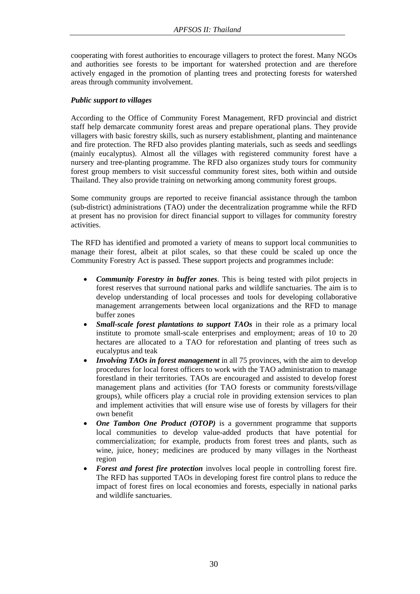cooperating with forest authorities to encourage villagers to protect the forest. Many NGOs and authorities see forests to be important for watershed protection and are therefore actively engaged in the promotion of planting trees and protecting forests for watershed areas through community involvement.

## *Public support to villages*

According to the Office of Community Forest Management, RFD provincial and district staff help demarcate community forest areas and prepare operational plans. They provide villagers with basic forestry skills, such as nursery establishment, planting and maintenance and fire protection. The RFD also provides planting materials, such as seeds and seedlings (mainly eucalyptus). Almost all the villages with registered community forest have a nursery and tree-planting programme. The RFD also organizes study tours for community forest group members to visit successful community forest sites, both within and outside Thailand. They also provide training on networking among community forest groups.

Some community groups are reported to receive financial assistance through the tambon (sub-district) administrations (TAO) under the decentralization programme while the RFD at present has no provision for direct financial support to villages for community forestry activities.

The RFD has identified and promoted a variety of means to support local communities to manage their forest, albeit at pilot scales, so that these could be scaled up once the Community Forestry Act is passed. These support projects and programmes include:

- *Community Forestry in buffer zones*. This is being tested with pilot projects in forest reserves that surround national parks and wildlife sanctuaries. The aim is to develop understanding of local processes and tools for developing collaborative management arrangements between local organizations and the RFD to manage buffer zones
- *Small-scale forest plantations to support TAOs* in their role as a primary local institute to promote small-scale enterprises and employment; areas of 10 to 20 hectares are allocated to a TAO for reforestation and planting of trees such as eucalyptus and teak
- *Involving TAOs in forest management* in all 75 provinces, with the aim to develop procedures for local forest officers to work with the TAO administration to manage forestland in their territories. TAOs are encouraged and assisted to develop forest management plans and activities (for TAO forests or community forests/village groups), while officers play a crucial role in providing extension services to plan and implement activities that will ensure wise use of forests by villagers for their own benefit
- *One Tambon One Product (OTOP)* is a government programme that supports local communities to develop value-added products that have potential for commercialization; for example, products from forest trees and plants, such as wine, juice, honey; medicines are produced by many villages in the Northeast region
- *Forest and forest fire protection* involves local people in controlling forest fire. The RFD has supported TAOs in developing forest fire control plans to reduce the impact of forest fires on local economies and forests, especially in national parks and wildlife sanctuaries.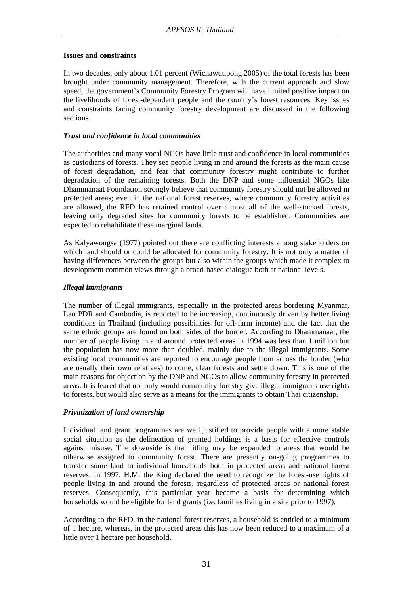#### **Issues and constraints**

In two decades, only about 1.01 percent (Wichawutipong 2005) of the total forests has been brought under community management. Therefore, with the current approach and slow speed, the government's Community Forestry Program will have limited positive impact on the livelihoods of forest-dependent people and the country's forest resources. Key issues and constraints facing community forestry development are discussed in the following sections.

## *Trust and confidence in local communities*

The authorities and many vocal NGOs have little trust and confidence in local communities as custodians of forests. They see people living in and around the forests as the main cause of forest degradation, and fear that community forestry might contribute to further degradation of the remaining forests. Both the DNP and some influential NGOs like Dhammanaat Foundation strongly believe that community forestry should not be allowed in protected areas; even in the national forest reserves, where community forestry activities are allowed, the RFD has retained control over almost all of the well-stocked forests, leaving only degraded sites for community forests to be established. Communities are expected to rehabilitate these marginal lands.

As Kalyawongsa (1977) pointed out there are conflicting interests among stakeholders on which land should or could be allocated for community forestry. It is not only a matter of having differences between the groups but also within the groups which made it complex to development common views through a broad-based dialogue both at national levels.

## *Illegal immigrants*

The number of illegal immigrants, especially in the protected areas bordering Myanmar, Lao PDR and Cambodia, is reported to be increasing, continuously driven by better living conditions in Thailand (including possibilities for off-farm income) and the fact that the same ethnic groups are found on both sides of the border. According to Dhammanaat, the number of people living in and around protected areas in 1994 was less than 1 million but the population has now more than doubled, mainly due to the illegal immigrants. Some existing local communities are reported to encourage people from across the border (who are usually their own relatives) to come, clear forests and settle down. This is one of the main reasons for objection by the DNP and NGOs to allow community forestry in protected areas. It is feared that not only would community forestry give illegal immigrants use rights to forests, but would also serve as a means for the immigrants to obtain Thai citizenship.

## *Privatization of land ownership*

Individual land grant programmes are well justified to provide people with a more stable social situation as the delineation of granted holdings is a basis for effective controls against misuse. The downside is that titling may be expanded to areas that would be otherwise assigned to community forest. There are presently on-going programmes to transfer some land to individual households both in protected areas and national forest reserves. In 1997, H.M. the King declared the need to recognize the forest-use rights of people living in and around the forests, regardless of protected areas or national forest reserves. Consequently, this particular year became a basis for determining which households would be eligible for land grants (i.e. families living in a site prior to 1997).

According to the RFD, in the national forest reserves, a household is entitled to a minimum of 1 hectare, whereas, in the protected areas this has now been reduced to a maximum of a little over 1 hectare per household.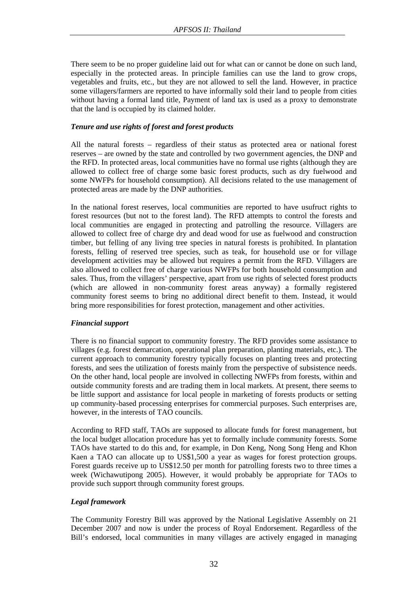There seem to be no proper guideline laid out for what can or cannot be done on such land, especially in the protected areas. In principle families can use the land to grow crops, vegetables and fruits, etc., but they are not allowed to sell the land. However, in practice some villagers/farmers are reported to have informally sold their land to people from cities without having a formal land title, Payment of land tax is used as a proxy to demonstrate that the land is occupied by its claimed holder.

## *Tenure and use rights of forest and forest products*

All the natural forests – regardless of their status as protected area or national forest reserves – are owned by the state and controlled by two government agencies, the DNP and the RFD. In protected areas, local communities have no formal use rights (although they are allowed to collect free of charge some basic forest products, such as dry fuelwood and some NWFPs for household consumption). All decisions related to the use management of protected areas are made by the DNP authorities.

In the national forest reserves, local communities are reported to have usufruct rights to forest resources (but not to the forest land). The RFD attempts to control the forests and local communities are engaged in protecting and patrolling the resource. Villagers are allowed to collect free of charge dry and dead wood for use as fuelwood and construction timber, but felling of any living tree species in natural forests is prohibited. In plantation forests, felling of reserved tree species, such as teak, for household use or for village development activities may be allowed but requires a permit from the RFD. Villagers are also allowed to collect free of charge various NWFPs for both household consumption and sales. Thus, from the villagers' perspective, apart from use rights of selected forest products (which are allowed in non-community forest areas anyway) a formally registered community forest seems to bring no additional direct benefit to them. Instead, it would bring more responsibilities for forest protection, management and other activities.

## *Financial support*

There is no financial support to community forestry. The RFD provides some assistance to villages (e.g. forest demarcation, operational plan preparation, planting materials, etc.). The current approach to community forestry typically focuses on planting trees and protecting forests, and sees the utilization of forests mainly from the perspective of subsistence needs. On the other hand, local people are involved in collecting NWFPs from forests, within and outside community forests and are trading them in local markets. At present, there seems to be little support and assistance for local people in marketing of forests products or setting up community-based processing enterprises for commercial purposes. Such enterprises are, however, in the interests of TAO councils.

According to RFD staff, TAOs are supposed to allocate funds for forest management, but the local budget allocation procedure has yet to formally include community forests. Some TAOs have started to do this and, for example, in Don Keng, Nong Song Heng and Khon Kaen a TAO can allocate up to US\$1,500 a year as wages for forest protection groups. Forest guards receive up to US\$12.50 per month for patrolling forests two to three times a week (Wichawutipong 2005). However, it would probably be appropriate for TAOs to provide such support through community forest groups.

## *Legal framework*

The Community Forestry Bill was approved by the National Legislative Assembly on 21 December 2007 and now is under the process of Royal Endorsement. Regardless of the Bill's endorsed, local communities in many villages are actively engaged in managing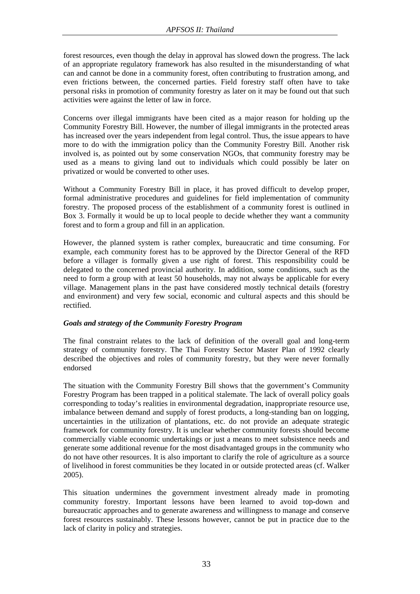forest resources, even though the delay in approval has slowed down the progress. The lack of an appropriate regulatory framework has also resulted in the misunderstanding of what can and cannot be done in a community forest, often contributing to frustration among, and even frictions between, the concerned parties. Field forestry staff often have to take personal risks in promotion of community forestry as later on it may be found out that such activities were against the letter of law in force.

Concerns over illegal immigrants have been cited as a major reason for holding up the Community Forestry Bill. However, the number of illegal immigrants in the protected areas has increased over the years independent from legal control. Thus, the issue appears to have more to do with the immigration policy than the Community Forestry Bill. Another risk involved is, as pointed out by some conservation NGOs, that community forestry may be used as a means to giving land out to individuals which could possibly be later on privatized or would be converted to other uses.

Without a Community Forestry Bill in place, it has proved difficult to develop proper, formal administrative procedures and guidelines for field implementation of community forestry. The proposed process of the establishment of a community forest is outlined in Box 3. Formally it would be up to local people to decide whether they want a community forest and to form a group and fill in an application.

However, the planned system is rather complex, bureaucratic and time consuming. For example, each community forest has to be approved by the Director General of the RFD before a villager is formally given a use right of forest. This responsibility could be delegated to the concerned provincial authority. In addition, some conditions, such as the need to form a group with at least 50 households, may not always be applicable for every village. Management plans in the past have considered mostly technical details (forestry and environment) and very few social, economic and cultural aspects and this should be rectified.

## *Goals and strategy of the Community Forestry Program*

The final constraint relates to the lack of definition of the overall goal and long-term strategy of community forestry. The Thai Forestry Sector Master Plan of 1992 clearly described the objectives and roles of community forestry, but they were never formally endorsed

The situation with the Community Forestry Bill shows that the government's Community Forestry Program has been trapped in a political stalemate. The lack of overall policy goals corresponding to today's realities in environmental degradation, inappropriate resource use, imbalance between demand and supply of forest products, a long-standing ban on logging, uncertainties in the utilization of plantations, etc. do not provide an adequate strategic framework for community forestry. It is unclear whether community forests should become commercially viable economic undertakings or just a means to meet subsistence needs and generate some additional revenue for the most disadvantaged groups in the community who do not have other resources. It is also important to clarify the role of agriculture as a source of livelihood in forest communities be they located in or outside protected areas (cf. Walker 2005).

This situation undermines the government investment already made in promoting community forestry. Important lessons have been learned to avoid top-down and bureaucratic approaches and to generate awareness and willingness to manage and conserve forest resources sustainably. These lessons however, cannot be put in practice due to the lack of clarity in policy and strategies.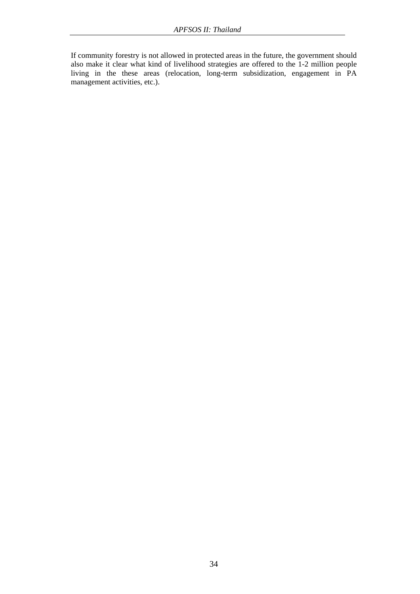If community forestry is not allowed in protected areas in the future, the government should also make it clear what kind of livelihood strategies are offered to the 1-2 million people living in the these areas (relocation, long-term subsidization, engagement in PA management activities, etc.).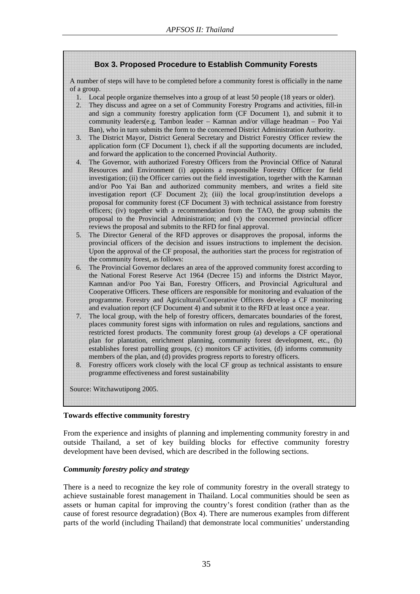## **Box 3. Proposed Procedure to Establish Community Forests**

A number of steps will have to be completed before a community forest is officially in the name of a group.

- 1. Local people organize themselves into a group of at least 50 people (18 years or older).
- 2. They discuss and agree on a set of Community Forestry Programs and activities, fill-in and sign a community forestry application form (CF Document 1), and submit it to community leaders(e.g. Tambon leader – Kamnan and/or village headman – Poo Yai Ban), who in turn submits the form to the concerned District Administration Authority.
- 3. The District Mayor, District General Secretary and District Forestry Officer review the application form (CF Document 1), check if all the supporting documents are included, and forward the application to the concerned Provincial Authority.
- 4. The Governor, with authorized Forestry Officers from the Provincial Office of Natural Resources and Environment (i) appoints a responsible Forestry Officer for field investigation; (ii) the Officer carries out the field investigation, together with the Kamnan and/or Poo Yai Ban and authorized community members, and writes a field site investigation report (CF Document 2); (iii) the local group/institution develops a proposal for community forest (CF Document 3) with technical assistance from forestry officers; (iv) together with a recommendation from the TAO, the group submits the proposal to the Provincial Administration; and (v) the concerned provincial officer reviews the proposal and submits to the RFD for final approval.
- 5. The Director General of the RFD approves or disapproves the proposal, informs the provincial officers of the decision and issues instructions to implement the decision. Upon the approval of the CF proposal, the authorities start the process for registration of the community forest, as follows:
- 6. The Provincial Governor declares an area of the approved community forest according to the National Forest Reserve Act 1964 (Decree 15) and informs the District Mayor, Kamnan and/or Poo Yai Ban, Forestry Officers, and Provincial Agricultural and Cooperative Officers. These officers are responsible for monitoring and evaluation of the programme. Forestry and Agricultural/Cooperative Officers develop a CF monitoring and evaluation report (CF Document 4) and submit it to the RFD at least once a year.
- 7. The local group, with the help of forestry officers, demarcates boundaries of the forest, places community forest signs with information on rules and regulations, sanctions and restricted forest products. The community forest group (a) develops a CF operational plan for plantation, enrichment planning, community forest development, etc., (b) establishes forest patrolling groups, (c) monitors CF activities, (d) informs community members of the plan, and (d) provides progress reports to forestry officers.
- 8. Forestry officers work closely with the local CF group as technical assistants to ensure programme effectiveness and forest sustainability

Source: Witchawutipong 2005.

## **Towards effective community forestry**

From the experience and insights of planning and implementing community forestry in and outside Thailand, a set of key building blocks for effective community forestry development have been devised, which are described in the following sections.

## *Community forestry policy and strategy*

There is a need to recognize the key role of community forestry in the overall strategy to achieve sustainable forest management in Thailand. Local communities should be seen as assets or human capital for improving the country's forest condition (rather than as the cause of forest resource degradation) (Box 4). There are numerous examples from different parts of the world (including Thailand) that demonstrate local communities' understanding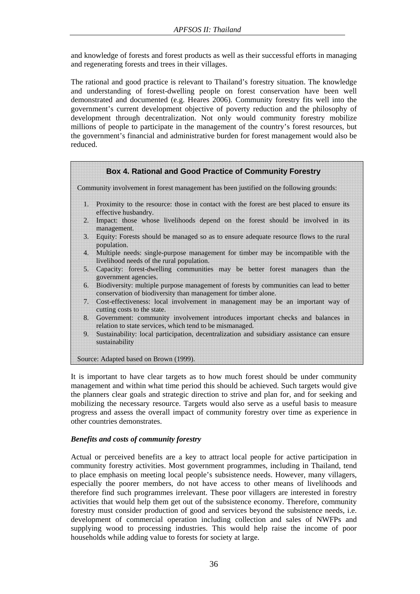and knowledge of forests and forest products as well as their successful efforts in managing and regenerating forests and trees in their villages.

The rational and good practice is relevant to Thailand's forestry situation. The knowledge and understanding of forest-dwelling people on forest conservation have been well demonstrated and documented (e.g. Heares 2006). Community forestry fits well into the government's current development objective of poverty reduction and the philosophy of development through decentralization. Not only would community forestry mobilize millions of people to participate in the management of the country's forest resources, but the government's financial and administrative burden for forest management would also be reduced.



It is important to have clear targets as to how much forest should be under community management and within what time period this should be achieved. Such targets would give the planners clear goals and strategic direction to strive and plan for, and for seeking and mobilizing the necessary resource. Targets would also serve as a useful basis to measure progress and assess the overall impact of community forestry over time as experience in other countries demonstrates.

## *Benefits and costs of community forestry*

Actual or perceived benefits are a key to attract local people for active participation in community forestry activities. Most government programmes, including in Thailand, tend to place emphasis on meeting local people's subsistence needs. However, many villagers, especially the poorer members, do not have access to other means of livelihoods and therefore find such programmes irrelevant. These poor villagers are interested in forestry activities that would help them get out of the subsistence economy. Therefore, community forestry must consider production of good and services beyond the subsistence needs, i.e. development of commercial operation including collection and sales of NWFPs and supplying wood to processing industries. This would help raise the income of poor households while adding value to forests for society at large.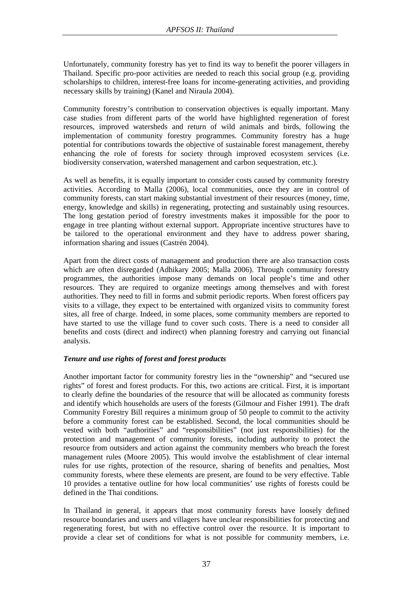Unfortunately, community forestry has yet to find its way to benefit the poorer villagers in Thailand. Specific pro-poor activities are needed to reach this social group (e.g. providing scholarships to children, interest-free loans for income-generating activities, and providing necessary skills by training) (Kanel and Niraula 2004).

Community forestry's contribution to conservation objectives is equally important. Many case studies from different parts of the world have highlighted regeneration of forest resources, improved watersheds and return of wild animals and birds, following the implementation of community forestry programmes. Community forestry has a huge potential for contributions towards the objective of sustainable forest management, thereby enhancing the role of forests for society through improved ecosystem services (i.e. biodiversity conservation, watershed management and carbon sequestration, etc.).

As well as benefits, it is equally important to consider costs caused by community forestry activities. According to Malla (2006), local communities, once they are in control of community forests, can start making substantial investment of their resources (money, time, energy, knowledge and skills) in regenerating, protecting and sustainably using resources. The long gestation period of forestry investments makes it impossible for the poor to engage in tree planting without external support. Appropriate incentive structures have to be tailored to the operational environment and they have to address power sharing, information sharing and issues (Castrén 2004).

Apart from the direct costs of management and production there are also transaction costs which are often disregarded (Adhikary 2005; Malla 2006). Through community forestry programmes, the authorities impose many demands on local people's time and other resources. They are required to organize meetings among themselves and with forest authorities. They need to fill in forms and submit periodic reports. When forest officers pay visits to a village, they expect to be entertained with organized visits to community forest sites, all free of charge. Indeed, in some places, some community members are reported to have started to use the village fund to cover such costs. There is a need to consider all benefits and costs (direct and indirect) when planning forestry and carrying out financial analysis.

## *Tenure and use rights of forest and forest products*

Another important factor for community forestry lies in the "ownership" and "secured use rights" of forest and forest products. For this, two actions are critical. First, it is important to clearly define the boundaries of the resource that will be allocated as community forests and identify which households are users of the forests (Gilmour and Fisher 1991). The draft Community Forestry Bill requires a minimum group of 50 people to commit to the activity before a community forest can be established. Second, the local communities should be vested with both "authorities" and "responsibilities" (not just responsibilities) for the protection and management of community forests, including authority to protect the resource from outsiders and action against the community members who breach the forest management rules (Moore 2005). This would involve the establishment of clear internal rules for use rights, protection of the resource, sharing of benefits and penalties, Most community forests, where these elements are present, are found to be very effective. Table 10 provides a tentative outline for how local communities' use rights of forests could be defined in the Thai conditions.

In Thailand in general, it appears that most community forests have loosely defined resource boundaries and users and villagers have unclear responsibilities for protecting and regenerating forest, but with no effective control over the resource. It is important to provide a clear set of conditions for what is not possible for community members, i.e.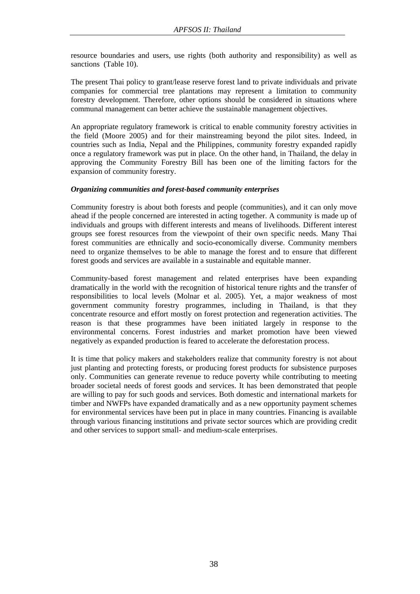resource boundaries and users, use rights (both authority and responsibility) as well as sanctions (Table 10).

The present Thai policy to grant/lease reserve forest land to private individuals and private companies for commercial tree plantations may represent a limitation to community forestry development. Therefore, other options should be considered in situations where communal management can better achieve the sustainable management objectives.

An appropriate regulatory framework is critical to enable community forestry activities in the field (Moore 2005) and for their mainstreaming beyond the pilot sites. Indeed, in countries such as India, Nepal and the Philippines, community forestry expanded rapidly once a regulatory framework was put in place. On the other hand, in Thailand, the delay in approving the Community Forestry Bill has been one of the limiting factors for the expansion of community forestry.

## *Organizing communities and forest-based community enterprises*

Community forestry is about both forests and people (communities), and it can only move ahead if the people concerned are interested in acting together. A community is made up of individuals and groups with different interests and means of livelihoods. Different interest groups see forest resources from the viewpoint of their own specific needs. Many Thai forest communities are ethnically and socio-economically diverse. Community members need to organize themselves to be able to manage the forest and to ensure that different forest goods and services are available in a sustainable and equitable manner.

Community-based forest management and related enterprises have been expanding dramatically in the world with the recognition of historical tenure rights and the transfer of responsibilities to local levels (Molnar et al. 2005). Yet, a major weakness of most government community forestry programmes, including in Thailand, is that they concentrate resource and effort mostly on forest protection and regeneration activities. The reason is that these programmes have been initiated largely in response to the environmental concerns. Forest industries and market promotion have been viewed negatively as expanded production is feared to accelerate the deforestation process.

It is time that policy makers and stakeholders realize that community forestry is not about just planting and protecting forests, or producing forest products for subsistence purposes only. Communities can generate revenue to reduce poverty while contributing to meeting broader societal needs of forest goods and services. It has been demonstrated that people are willing to pay for such goods and services. Both domestic and international markets for timber and NWFPs have expanded dramatically and as a new opportunity payment schemes for environmental services have been put in place in many countries. Financing is available through various financing institutions and private sector sources which are providing credit and other services to support small- and medium-scale enterprises.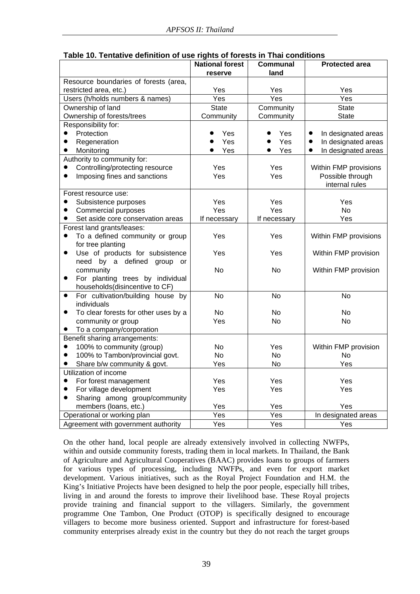|                                                            | <b>National forest</b><br>reserve | <b>Communal</b><br>land | <b>Protected area</b>            |
|------------------------------------------------------------|-----------------------------------|-------------------------|----------------------------------|
| Resource boundaries of forests (area,                      |                                   |                         |                                  |
| restricted area, etc.)                                     | Yes                               | Yes                     | Yes                              |
| Users (h/holds numbers & names)                            | Yes                               | Yes                     | Yes                              |
| Ownership of land                                          | <b>State</b>                      | Community               | <b>State</b>                     |
| Ownership of forests/trees                                 | Community                         | Community               | <b>State</b>                     |
| Responsibility for:                                        |                                   |                         |                                  |
| Protection                                                 | Yes                               | Yes                     | In designated areas<br>$\bullet$ |
| Regeneration<br>$\bullet$                                  | Yes                               | Yes                     | In designated areas<br>$\bullet$ |
| Monitoring<br>$\bullet$                                    | Yes                               | Yes<br>●                | In designated areas<br>$\bullet$ |
| Authority to community for:                                |                                   |                         |                                  |
| Controlling/protecting resource<br>$\bullet$               | Yes                               | Yes                     | Within FMP provisions            |
| Imposing fines and sanctions<br>$\bullet$                  | Yes                               | Yes                     | Possible through                 |
|                                                            |                                   |                         | internal rules                   |
| Forest resource use:                                       |                                   |                         |                                  |
| Subsistence purposes<br>$\bullet$                          | Yes                               | Yes                     | Yes                              |
| $\bullet$<br>Commercial purposes                           | Yes                               | Yes                     | <b>No</b>                        |
| Set aside core conservation areas<br>$\bullet$             | If necessary                      | If necessary            | Yes                              |
| Forest land grants/leases:                                 |                                   |                         |                                  |
| To a defined community or group<br>$\bullet$               | Yes                               | Yes                     | Within FMP provisions            |
| for tree planting                                          |                                   |                         |                                  |
| Use of products for subsistence<br>$\bullet$               | Yes                               | Yes                     | Within FMP provision             |
| need by a defined group or                                 |                                   |                         |                                  |
| community                                                  | <b>No</b>                         | <b>No</b>               | Within FMP provision             |
| For planting trees by individual<br>$\bullet$              |                                   |                         |                                  |
| households(disincentive to CF)                             |                                   |                         |                                  |
| For cultivation/building house by<br>$\bullet$             | <b>No</b>                         | <b>No</b>               | <b>No</b>                        |
| individuals<br>$\bullet$                                   | <b>No</b>                         | <b>No</b>               | <b>No</b>                        |
| To clear forests for other uses by a<br>community or group | Yes                               | No                      | No                               |
| To a company/corporation                                   |                                   |                         |                                  |
| Benefit sharing arrangements:                              |                                   |                         |                                  |
| 100% to community (group)<br>$\bullet$                     | <b>No</b>                         | Yes                     | Within FMP provision             |
| 100% to Tambon/provincial govt.<br>$\bullet$               | <b>No</b>                         | <b>No</b>               | <b>No</b>                        |
| Share b/w community & govt.                                | Yes                               | No                      | Yes                              |
| Utilization of income                                      |                                   |                         |                                  |
| For forest management<br>$\bullet$                         | Yes                               | Yes                     | Yes                              |
| For village development<br>$\bullet$                       | Yes                               | Yes                     | Yes                              |
| Sharing among group/community<br>$\bullet$                 |                                   |                         |                                  |
| members (loans, etc.)                                      | Yes                               | Yes                     | Yes                              |
| Operational or working plan                                | Yes                               | Yes                     | In designated areas              |
| Agreement with government authority                        | $\overline{Yes}$                  | Yes                     | Yes                              |

| Table 10. Tentative definition of use rights of forests in Thai conditions |  |
|----------------------------------------------------------------------------|--|
|----------------------------------------------------------------------------|--|

On the other hand, local people are already extensively involved in collecting NWFPs, within and outside community forests, trading them in local markets. In Thailand, the Bank of Agriculture and Agricultural Cooperatives (BAAC) provides loans to groups of farmers for various types of processing, including NWFPs, and even for export market development. Various initiatives, such as the Royal Project Foundation and H.M. the King's Initiative Projects have been designed to help the poor people, especially hill tribes, living in and around the forests to improve their livelihood base. These Royal projects provide training and financial support to the villagers. Similarly, the government programme One Tambon, One Product (OTOP) is specifically designed to encourage villagers to become more business oriented. Support and infrastructure for forest-based community enterprises already exist in the country but they do not reach the target groups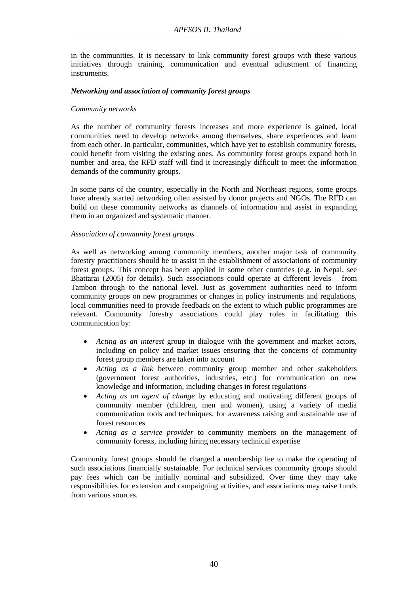in the communities. It is necessary to link community forest groups with these various initiatives through training, communication and eventual adjustment of financing instruments.

## *Networking and association of community forest groups*

## *Community networks*

As the number of community forests increases and more experience is gained, local communities need to develop networks among themselves, share experiences and learn from each other. In particular, communities, which have yet to establish community forests, could benefit from visiting the existing ones. As community forest groups expand both in number and area, the RFD staff will find it increasingly difficult to meet the information demands of the community groups.

In some parts of the country, especially in the North and Northeast regions, some groups have already started networking often assisted by donor projects and NGOs. The RFD can build on these community networks as channels of information and assist in expanding them in an organized and systematic manner.

## *Association of community forest groups*

As well as networking among community members, another major task of community forestry practitioners should be to assist in the establishment of associations of community forest groups. This concept has been applied in some other countries (e.g. in Nepal, see Bhattarai (2005) for details). Such associations could operate at different levels – from Tambon through to the national level. Just as government authorities need to inform community groups on new programmes or changes in policy instruments and regulations, local communities need to provide feedback on the extent to which public programmes are relevant. Community forestry associations could play roles in facilitating this communication by:

- *Acting as an interest* group in dialogue with the government and market actors, including on policy and market issues ensuring that the concerns of community forest group members are taken into account
- *Acting as a link* between community group member and other stakeholders (government forest authorities, industries, etc.) for communication on new knowledge and information, including changes in forest regulations
- *Acting as an agent of change* by educating and motivating different groups of community member (children, men and women), using a variety of media communication tools and techniques, for awareness raising and sustainable use of forest resources
- *Acting as a service provider* to community members on the management of community forests, including hiring necessary technical expertise

Community forest groups should be charged a membership fee to make the operating of such associations financially sustainable. For technical services community groups should pay fees which can be initially nominal and subsidized. Over time they may take responsibilities for extension and campaigning activities, and associations may raise funds from various sources.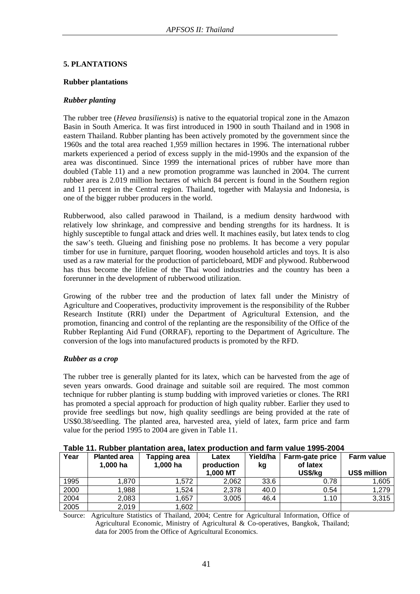# **5. PLANTATIONS**

#### **Rubber plantations**

## *Rubber planting*

The rubber tree (*Hevea brasiliensis*) is native to the equatorial tropical zone in the Amazon Basin in South America. It was first introduced in 1900 in south Thailand and in 1908 in eastern Thailand. Rubber planting has been actively promoted by the government since the 1960s and the total area reached 1,959 million hectares in 1996. The international rubber markets experienced a period of excess supply in the mid-1990s and the expansion of the area was discontinued. Since 1999 the international prices of rubber have more than doubled (Table 11) and a new promotion programme was launched in 2004. The current rubber area is 2.019 million hectares of which 84 percent is found in the Southern region and 11 percent in the Central region. Thailand, together with Malaysia and Indonesia, is one of the bigger rubber producers in the world.

Rubberwood, also called parawood in Thailand, is a medium density hardwood with relatively low shrinkage, and compressive and bending strengths for its hardness. It is highly susceptible to fungal attack and dries well. It machines easily, but latex tends to clog the saw's teeth. Glueing and finishing pose no problems. It has become a very popular timber for use in furniture, parquet flooring, wooden household articles and toys. It is also used as a raw material for the production of particleboard, MDF and plywood. Rubberwood has thus become the lifeline of the Thai wood industries and the country has been a forerunner in the development of rubberwood utilization.

Growing of the rubber tree and the production of latex fall under the Ministry of Agriculture and Cooperatives, productivity improvement is the responsibility of the Rubber Research Institute (RRI) under the Department of Agricultural Extension, and the promotion, financing and control of the replanting are the responsibility of the Office of the Rubber Replanting Aid Fund (ORRAF), reporting to the Department of Agriculture. The conversion of the logs into manufactured products is promoted by the RFD.

## *Rubber as a crop*

The rubber tree is generally planted for its latex, which can be harvested from the age of seven years onwards. Good drainage and suitable soil are required. The most common technique for rubber planting is stump budding with improved varieties or clones. The RRI has promoted a special approach for production of high quality rubber. Earlier they used to provide free seedlings but now, high quality seedlings are being provided at the rate of US\$0.38/seedling. The planted area, harvested area, yield of latex, farm price and farm value for the period 1995 to 2004 are given in Table 11.

|  |  |  | Table 11. Rubber plantation area, latex production and farm value 1995-2004 |
|--|--|--|-----------------------------------------------------------------------------|
|--|--|--|-----------------------------------------------------------------------------|

| Year | <b>Planted area</b><br>1,000 ha | Tapping area<br>1,000 ha | Latex<br>production<br>1,000 MT | Yield/ha<br>kg | <b>Farm-gate price</b><br>of latex<br>US\$/kg | <b>Farm value</b><br>US\$ million |  |  |
|------|---------------------------------|--------------------------|---------------------------------|----------------|-----------------------------------------------|-----------------------------------|--|--|
|      |                                 |                          |                                 |                |                                               |                                   |  |  |
| 1995 | 1,870                           | 1,572                    | 2,062                           | 33.6           | 0.78                                          | 1,605                             |  |  |
| 2000 | ,988                            | 1,524                    | 2,378                           | 40.0           | 0.54                                          | 1,279                             |  |  |
| 2004 | 2,083                           | ,657                     | 3,005                           | 46.4           | 1.10                                          | 3,315                             |  |  |
| 2005 | 2,019                           | 1,602                    |                                 |                |                                               |                                   |  |  |

Source: Agriculture Statistics of Thailand, 2004; Centre for Agricultural Information, Office of Agricultural Economic, Ministry of Agricultural & Co-operatives, Bangkok, Thailand; data for 2005 from the Office of Agricultural Economics.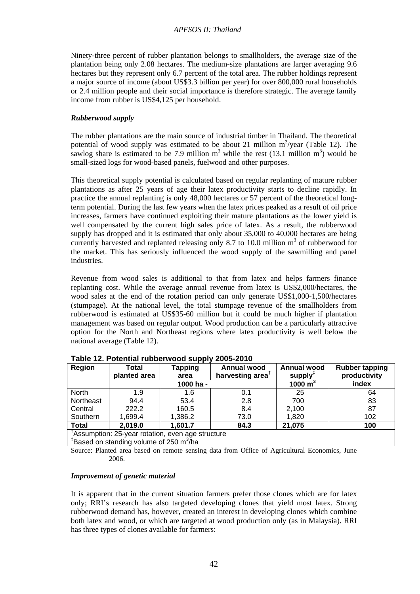Ninety-three percent of rubber plantation belongs to smallholders, the average size of the plantation being only 2.08 hectares. The medium-size plantations are larger averaging 9.6 hectares but they represent only 6.7 percent of the total area. The rubber holdings represent a major source of income (about US\$3.3 billion per year) for over 800,000 rural households or 2.4 million people and their social importance is therefore strategic. The average family income from rubber is US\$4,125 per household.

## *Rubberwood supply*

The rubber plantations are the main source of industrial timber in Thailand. The theoretical potential of wood supply was estimated to be about 21 million  $m^3$ /year (Table 12). The sawlog share is estimated to be 7.9 million  $m^3$  while the rest (13.1 million  $m^3$ ) would be small-sized logs for wood-based panels, fuelwood and other purposes.

This theoretical supply potential is calculated based on regular replanting of mature rubber plantations as after 25 years of age their latex productivity starts to decline rapidly. In practice the annual replanting is only 48,000 hectares or 57 percent of the theoretical longterm potential. During the last few years when the latex prices peaked as a result of oil price increases, farmers have continued exploiting their mature plantations as the lower yield is well compensated by the current high sales price of latex. As a result, the rubberwood supply has dropped and it is estimated that only about 35,000 to 40,000 hectares are being currently harvested and replanted releasing only 8.7 to 10.0 million  $m<sup>3</sup>$  of rubberwood for the market. This has seriously influenced the wood supply of the sawmilling and panel industries.

Revenue from wood sales is additional to that from latex and helps farmers finance replanting cost. While the average annual revenue from latex is US\$2,000/hectares, the wood sales at the end of the rotation period can only generate US\$1,000-1,500/hectares (stumpage). At the national level, the total stumpage revenue of the smallholders from rubberwood is estimated at US\$35-60 million but it could be much higher if plantation management was based on regular output. Wood production can be a particularly attractive option for the North and Northeast regions where latex productivity is well below the national average (Table 12).

| Region       | Total<br>planted area                            | Tapping<br>area | Annual wood<br>harvesting area <sup>T</sup> | <b>Annual wood</b><br>supply $T$ | <b>Rubber tapping</b><br>productivity |
|--------------|--------------------------------------------------|-----------------|---------------------------------------------|----------------------------------|---------------------------------------|
|              |                                                  | 1000 ha -       |                                             | 1000 $m3$                        | index                                 |
| North        | 1.9                                              | 1.6             | 0.1                                         | 25                               | 64                                    |
| Northeast    | 94.4                                             | 53.4            | 2.8                                         | 700                              | 83                                    |
| Central      | 222.2                                            | 160.5           | 8.4                                         | 2,100                            | 87                                    |
| Southern     | 1,699.4                                          | 1,386.2         | 73.0                                        | 1,820                            | 102                                   |
| <b>Total</b> | 2,019.0                                          | 1,601.7         | 84.3                                        | 21,075                           | 100                                   |
|              | Assumption: 25-year rotation, even age structure |                 |                                             |                                  |                                       |

**Table 12. Potential rubberwood supply 2005-2010** 

<sup>‡</sup>Based on standing volume of 250 m<sup>3</sup>/ha

Source: Planted area based on remote sensing data from Office of Agricultural Economics, June 2006.

## *Improvement of genetic material*

It is apparent that in the current situation farmers prefer those clones which are for latex only; RRI's research has also targeted developing clones that yield most latex. Strong rubberwood demand has, however, created an interest in developing clones which combine both latex and wood, or which are targeted at wood production only (as in Malaysia). RRI has three types of clones available for farmers: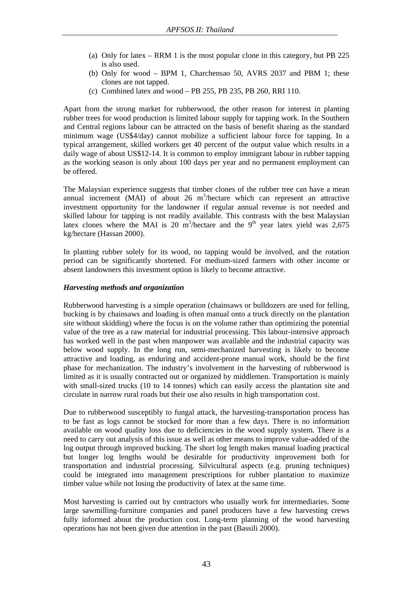- (a) Only for latex RRM 1 is the most popular clone in this category, but PB 225 is also used.
- (b) Only for wood BPM 1, Charchensao 50, AVRS 2037 and PBM 1; these clones are not tapped.
- (c) Combined latex and wood PB 255, PB 235, PB 260, RRI 110.

Apart from the strong market for rubberwood, the other reason for interest in planting rubber trees for wood production is limited labour supply for tapping work. In the Southern and Central regions labour can be attracted on the basis of benefit sharing as the standard minimum wage (US\$4/day) cannot mobilize a sufficient labour force for tapping. In a typical arrangement, skilled workers get 40 percent of the output value which results in a daily wage of about US\$12-14. It is common to employ immigrant labour in rubber tapping as the working season is only about 100 days per year and no permanent employment can be offered.

The Malaysian experience suggests that timber clones of the rubber tree can have a mean annual increment (MAI) of about  $26 \text{ m}^3$ /hectare which can represent an attractive investment opportunity for the landowner if regular annual revenue is not needed and skilled labour for tapping is not readily available. This contrasts with the best Malaysian latex clones where the MAI is 20 m<sup>3</sup>/hectare and the 9<sup>th</sup> year latex yield was 2,675 kg/hectare (Hassan 2000).

In planting rubber solely for its wood, no tapping would be involved, and the rotation period can be significantly shortened. For medium-sized farmers with other income or absent landowners this investment option is likely to become attractive.

#### *Harvesting methods and organization*

Rubberwood harvesting is a simple operation (chainsaws or bulldozers are used for felling, bucking is by chainsaws and loading is often manual onto a truck directly on the plantation site without skidding) where the focus is on the volume rather than optimizing the potential value of the tree as a raw material for industrial processing. This labour-intensive approach has worked well in the past when manpower was available and the industrial capacity was below wood supply. In the long run, semi-mechanized harvesting is likely to become attractive and loading, as enduring and accident-prone manual work, should be the first phase for mechanization. The industry's involvement in the harvesting of rubberwood is limited as it is usually contracted out or organized by middlemen. Transportation is mainly with small-sized trucks (10 to 14 tonnes) which can easily access the plantation site and circulate in narrow rural roads but their use also results in high transportation cost.

Due to rubberwood susceptibly to fungal attack, the harvesting-transportation process has to be fast as logs cannot be stocked for more than a few days. There is no information available on wood quality loss due to deficiencies in the wood supply system. There is a need to carry out analysis of this issue as well as other means to improve value-added of the log output through improved bucking. The short log length makes manual loading practical but longer log lengths would be desirable for productivity improvement both for transportation and industrial processing. Silvicultural aspects (e.g. pruning techniques) could be integrated into management prescriptions for rubber plantation to maximize timber value while not losing the productivity of latex at the same time.

Most harvesting is carried out by contractors who usually work for intermediaries. Some large sawmilling-furniture companies and panel producers have a few harvesting crews fully informed about the production cost. Long-term planning of the wood harvesting operations has not been given due attention in the past (Bassili 2000).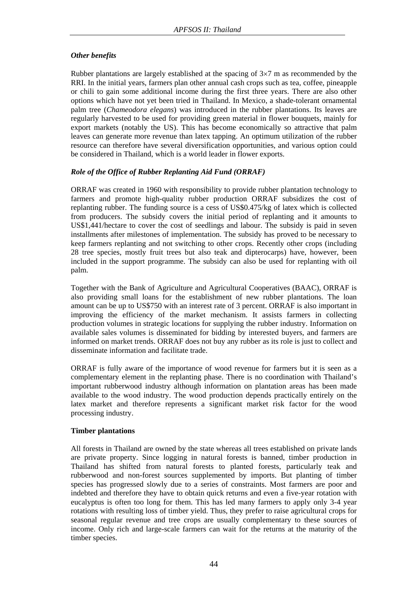# *Other benefits*

Rubber plantations are largely established at the spacing of 3×7 m as recommended by the RRI. In the initial years, farmers plan other annual cash crops such as tea, coffee, pineapple or chili to gain some additional income during the first three years. There are also other options which have not yet been tried in Thailand. In Mexico, a shade-tolerant ornamental palm tree (*Chameodora elegans*) was introduced in the rubber plantations. Its leaves are regularly harvested to be used for providing green material in flower bouquets, mainly for export markets (notably the US). This has become economically so attractive that palm leaves can generate more revenue than latex tapping. An optimum utilization of the rubber resource can therefore have several diversification opportunities, and various option could be considered in Thailand, which is a world leader in flower exports.

# *Role of the Office of Rubber Replanting Aid Fund (ORRAF)*

ORRAF was created in 1960 with responsibility to provide rubber plantation technology to farmers and promote high-quality rubber production ORRAF subsidizes the cost of replanting rubber. The funding source is a cess of US\$0.475/kg of latex which is collected from producers. The subsidy covers the initial period of replanting and it amounts to US\$1,441/hectare to cover the cost of seedlings and labour. The subsidy is paid in seven installments after milestones of implementation. The subsidy has proved to be necessary to keep farmers replanting and not switching to other crops. Recently other crops (including 28 tree species, mostly fruit trees but also teak and dipterocarps) have, however, been included in the support programme. The subsidy can also be used for replanting with oil palm.

Together with the Bank of Agriculture and Agricultural Cooperatives (BAAC), ORRAF is also providing small loans for the establishment of new rubber plantations. The loan amount can be up to US\$750 with an interest rate of 3 percent. ORRAF is also important in improving the efficiency of the market mechanism. It assists farmers in collecting production volumes in strategic locations for supplying the rubber industry. Information on available sales volumes is disseminated for bidding by interested buyers, and farmers are informed on market trends. ORRAF does not buy any rubber as its role is just to collect and disseminate information and facilitate trade.

ORRAF is fully aware of the importance of wood revenue for farmers but it is seen as a complementary element in the replanting phase. There is no coordination with Thailand's important rubberwood industry although information on plantation areas has been made available to the wood industry. The wood production depends practically entirely on the latex market and therefore represents a significant market risk factor for the wood processing industry.

# **Timber plantations**

All forests in Thailand are owned by the state whereas all trees established on private lands are private property. Since logging in natural forests is banned, timber production in Thailand has shifted from natural forests to planted forests, particularly teak and rubberwood and non-forest sources supplemented by imports. But planting of timber species has progressed slowly due to a series of constraints. Most farmers are poor and indebted and therefore they have to obtain quick returns and even a five-year rotation with eucalyptus is often too long for them. This has led many farmers to apply only 3-4 year rotations with resulting loss of timber yield. Thus, they prefer to raise agricultural crops for seasonal regular revenue and tree crops are usually complementary to these sources of income. Only rich and large-scale farmers can wait for the returns at the maturity of the timber species.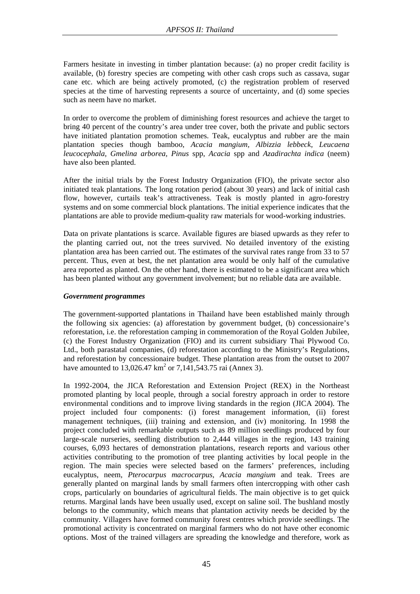Farmers hesitate in investing in timber plantation because: (a) no proper credit facility is available, (b) forestry species are competing with other cash crops such as cassava, sugar cane etc. which are being actively promoted, (c) the registration problem of reserved species at the time of harvesting represents a source of uncertainty, and (d) some species such as neem have no market.

In order to overcome the problem of diminishing forest resources and achieve the target to bring 40 percent of the country's area under tree cover, both the private and public sectors have initiated plantation promotion schemes. Teak, eucalyptus and rubber are the main plantation species though bamboo, *Acacia mangium, Albizzia lebbeck, Leucaena leucocephala, Gmelina arborea, Pinus* spp, *Acacia* spp and *Azadirachta indica* (neem) have also been planted.

After the initial trials by the Forest Industry Organization (FIO), the private sector also initiated teak plantations. The long rotation period (about 30 years) and lack of initial cash flow, however, curtails teak's attractiveness. Teak is mostly planted in agro-forestry systems and on some commercial block plantations. The initial experience indicates that the plantations are able to provide medium-quality raw materials for wood-working industries.

Data on private plantations is scarce. Available figures are biased upwards as they refer to the planting carried out, not the trees survived. No detailed inventory of the existing plantation area has been carried out. The estimates of the survival rates range from 33 to 57 percent. Thus, even at best, the net plantation area would be only half of the cumulative area reported as planted. On the other hand, there is estimated to be a significant area which has been planted without any government involvement; but no reliable data are available.

## *Government programmes*

The government-supported plantations in Thailand have been established mainly through the following six agencies: (a) afforestation by government budget, (b) concessionaire's reforestation, i.e. the reforestation camping in commemoration of the Royal Golden Jubilee, (c) the Forest Industry Organization (FIO) and its current subsidiary Thai Plywood Co. Ltd., both parastatal companies, (d) reforestation according to the Ministry's Regulations, and reforestation by concessionaire budget. These plantation areas from the outset to 2007 have amounted to  $13,026.47 \text{ km}^2$  or  $7,141,543.75 \text{ rai}$  (Annex 3).

In 1992-2004, the JICA Reforestation and Extension Project (REX) in the Northeast promoted planting by local people, through a social forestry approach in order to restore environmental conditions and to improve living standards in the region (JICA 2004). The project included four components: (i) forest management information, (ii) forest management techniques, (iii) training and extension, and (iv) monitoring. In 1998 the project concluded with remarkable outputs such as 89 million seedlings produced by four large-scale nurseries, seedling distribution to 2,444 villages in the region, 143 training courses, 6,093 hectares of demonstration plantations, research reports and various other activities contributing to the promotion of tree planting activities by local people in the region. The main species were selected based on the farmers' preferences, including eucalyptus, neem, *Pterocarpus macrocarpus, Acacia mangium* and teak. Trees are generally planted on marginal lands by small farmers often intercropping with other cash crops, particularly on boundaries of agricultural fields. The main objective is to get quick returns. Marginal lands have been usually used, except on saline soil. The bushland mostly belongs to the community, which means that plantation activity needs be decided by the community. Villagers have formed community forest centres which provide seedlings. The promotional activity is concentrated on marginal farmers who do not have other economic options. Most of the trained villagers are spreading the knowledge and therefore, work as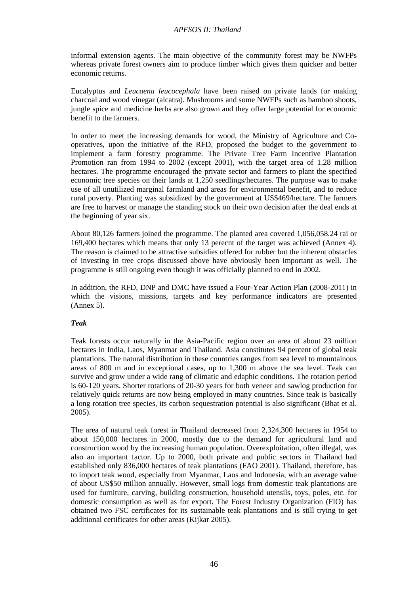informal extension agents. The main objective of the community forest may be NWFPs whereas private forest owners aim to produce timber which gives them quicker and better economic returns.

Eucalyptus and *Leucaena leucocephala* have been raised on private lands for making charcoal and wood vinegar (alcatra). Mushrooms and some NWFPs such as bamboo shoots, jungle spice and medicine herbs are also grown and they offer large potential for economic benefit to the farmers.

In order to meet the increasing demands for wood, the Ministry of Agriculture and Cooperatives, upon the initiative of the RFD, proposed the budget to the government to implement a farm forestry programme. The Private Tree Farm Incentive Plantation Promotion ran from 1994 to 2002 (except 2001), with the target area of 1.28 million hectares. The programme encouraged the private sector and farmers to plant the specified economic tree species on their lands at 1,250 seedlings/hectares. The purpose was to make use of all unutilized marginal farmland and areas for environmental benefit, and to reduce rural poverty. Planting was subsidized by the government at US\$469/hectare. The farmers are free to harvest or manage the standing stock on their own decision after the deal ends at the beginning of year six.

About 80,126 farmers joined the programme. The planted area covered 1,056,058.24 rai or 169,400 hectares which means that only 13 perecnt of the target was achieved (Annex 4). The reason is claimed to be attractive subsidies offered for rubber but the inherent obstacles of investing in tree crops discussed above have obviously been important as well. The programme is still ongoing even though it was officially planned to end in 2002.

In addition, the RFD, DNP and DMC have issued a Four-Year Action Plan (2008-2011) in which the visions, missions, targets and key performance indicators are presented (Annex 5).

## *Teak*

Teak forests occur naturally in the Asia-Pacific region over an area of about 23 million hectares in India, Laos, Myanmar and Thailand. Asia constitutes 94 percent of global teak plantations. The natural distribution in these countries ranges from sea level to mountainous areas of 800 m and in exceptional cases, up to 1,300 m above the sea level. Teak can survive and grow under a wide rang of climatic and edaphic conditions. The rotation period is 60-120 years. Shorter rotations of 20-30 years for both veneer and sawlog production for relatively quick returns are now being employed in many countries. Since teak is basically a long rotation tree species, its carbon sequestration potential is also significant (Bhat et al. 2005).

The area of natural teak forest in Thailand decreased from 2,324,300 hectares in 1954 to about 150,000 hectares in 2000, mostly due to the demand for agricultural land and construction wood by the increasing human population. Overexploitation, often illegal, was also an important factor. Up to 2000, both private and public sectors in Thailand had established only 836,000 hectares of teak plantations (FAO 2001). Thailand, therefore, has to import teak wood, especially from Myanmar, Laos and Indonesia, with an average value of about US\$50 million annually. However, small logs from domestic teak plantations are used for furniture, carving, building construction, household utensils, toys, poles, etc. for domestic consumption as well as for export. The Forest Industry Organization (FIO) has obtained two FSC certificates for its sustainable teak plantations and is still trying to get additional certificates for other areas (Kijkar 2005).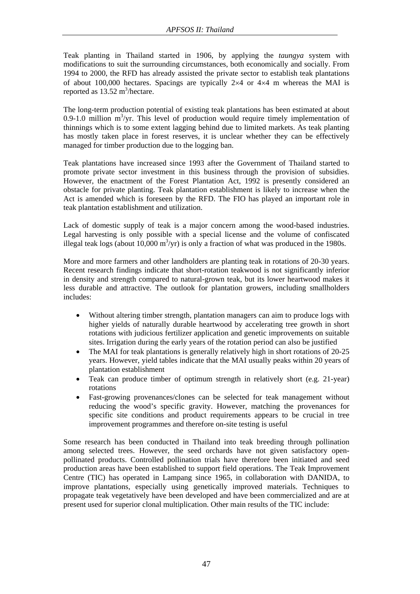Teak planting in Thailand started in 1906, by applying the *taungya* system with modifications to suit the surrounding circumstances, both economically and socially. From 1994 to 2000, the RFD has already assisted the private sector to establish teak plantations of about 100,000 hectares. Spacings are typically 2×4 or 4×4 m whereas the MAI is reported as  $13.52 \text{ m}^3/\text{hectar}$ .

The long-term production potential of existing teak plantations has been estimated at about 0.9-1.0 million  $m^3$ /yr. This level of production would require timely implementation of thinnings which is to some extent lagging behind due to limited markets. As teak planting has mostly taken place in forest reserves, it is unclear whether they can be effectively managed for timber production due to the logging ban.

Teak plantations have increased since 1993 after the Government of Thailand started to promote private sector investment in this business through the provision of subsidies. However, the enactment of the Forest Plantation Act, 1992 is presently considered an obstacle for private planting. Teak plantation establishment is likely to increase when the Act is amended which is foreseen by the RFD. The FIO has played an important role in teak plantation establishment and utilization.

Lack of domestic supply of teak is a major concern among the wood-based industries. Legal harvesting is only possible with a special license and the volume of confiscated illegal teak logs (about 10,000 m<sup>3</sup>/yr) is only a fraction of what was produced in the 1980s.

More and more farmers and other landholders are planting teak in rotations of 20-30 years. Recent research findings indicate that short-rotation teakwood is not significantly inferior in density and strength compared to natural-grown teak, but its lower heartwood makes it less durable and attractive. The outlook for plantation growers, including smallholders includes:

- Without altering timber strength, plantation managers can aim to produce logs with higher yields of naturally durable heartwood by accelerating tree growth in short rotations with judicious fertilizer application and genetic improvements on suitable sites. Irrigation during the early years of the rotation period can also be justified
- The MAI for teak plantations is generally relatively high in short rotations of 20-25 years. However, yield tables indicate that the MAI usually peaks within 20 years of plantation establishment
- Teak can produce timber of optimum strength in relatively short (e.g. 21-year) rotations
- Fast-growing provenances/clones can be selected for teak management without reducing the wood's specific gravity. However, matching the provenances for specific site conditions and product requirements appears to be crucial in tree improvement programmes and therefore on-site testing is useful

Some research has been conducted in Thailand into teak breeding through pollination among selected trees. However, the seed orchards have not given satisfactory openpollinated products. Controlled pollination trials have therefore been initiated and seed production areas have been established to support field operations. The Teak Improvement Centre (TIC) has operated in Lampang since 1965, in collaboration with DANIDA, to improve plantations, especially using genetically improved materials. Techniques to propagate teak vegetatively have been developed and have been commercialized and are at present used for superior clonal multiplication. Other main results of the TIC include: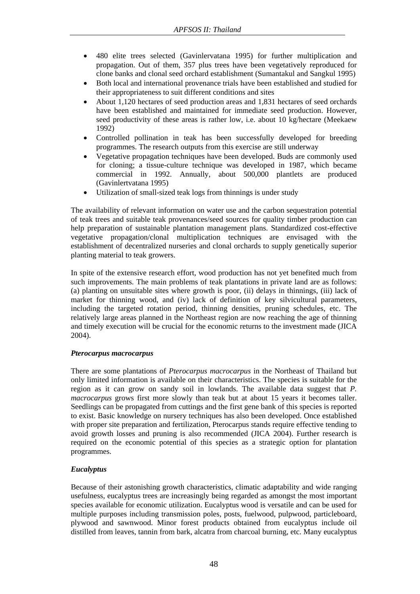- 480 elite trees selected (Gavinlervatana 1995) for further multiplication and propagation. Out of them, 357 plus trees have been vegetatively reproduced for clone banks and clonal seed orchard establishment (Sumantakul and Sangkul 1995)
- Both local and international provenance trials have been established and studied for their appropriateness to suit different conditions and sites
- About 1,120 hectares of seed production areas and 1,831 hectares of seed orchards have been established and maintained for immediate seed production. However, seed productivity of these areas is rather low, i.e. about 10 kg/hectare (Meekaew 1992)
- Controlled pollination in teak has been successfully developed for breeding programmes. The research outputs from this exercise are still underway
- Vegetative propagation techniques have been developed. Buds are commonly used for cloning; a tissue-culture technique was developed in 1987, which became commercial in 1992. Annually, about 500,000 plantlets are produced (Gavinlertvatana 1995)
- Utilization of small-sized teak logs from thinnings is under study

The availability of relevant information on water use and the carbon sequestration potential of teak trees and suitable teak provenances/seed sources for quality timber production can help preparation of sustainable plantation management plans. Standardized cost-effective vegetative propagation/clonal multiplication techniques are envisaged with the establishment of decentralized nurseries and clonal orchards to supply genetically superior planting material to teak growers.

In spite of the extensive research effort, wood production has not yet benefited much from such improvements. The main problems of teak plantations in private land are as follows: (a) planting on unsuitable sites where growth is poor, (ii) delays in thinnings, (iii) lack of market for thinning wood, and (iv) lack of definition of key silvicultural parameters, including the targeted rotation period, thinning densities, pruning schedules, etc. The relatively large areas planned in the Northeast region are now reaching the age of thinning and timely execution will be crucial for the economic returns to the investment made (JICA 2004).

# *Pterocarpus macrocarpus*

There are some plantations of *Pterocarpus macrocarpus* in the Northeast of Thailand but only limited information is available on their characteristics. The species is suitable for the region as it can grow on sandy soil in lowlands. The available data suggest that *P. macrocarpus* grows first more slowly than teak but at about 15 years it becomes taller. Seedlings can be propagated from cuttings and the first gene bank of this species is reported to exist. Basic knowledge on nursery techniques has also been developed. Once established with proper site preparation and fertilization, Pterocarpus stands require effective tending to avoid growth losses and pruning is also recommended (JICA 2004). Further research is required on the economic potential of this species as a strategic option for plantation programmes.

# *Eucalyptus*

Because of their astonishing growth characteristics, climatic adaptability and wide ranging usefulness, eucalyptus trees are increasingly being regarded as amongst the most important species available for economic utilization. Eucalyptus wood is versatile and can be used for multiple purposes including transmission poles, posts, fuelwood, pulpwood, particleboard, plywood and sawnwood. Minor forest products obtained from eucalyptus include oil distilled from leaves, tannin from bark, alcatra from charcoal burning, etc. Many eucalyptus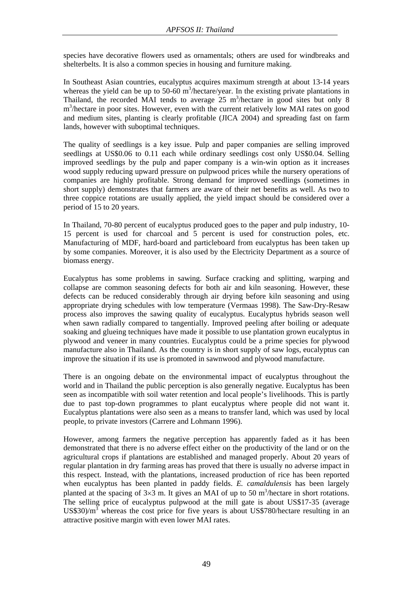species have decorative flowers used as ornamentals; others are used for windbreaks and shelterbelts. It is also a common species in housing and furniture making.

In Southeast Asian countries, eucalyptus acquires maximum strength at about 13-14 years whereas the yield can be up to  $50-60$  m<sup>3</sup>/hectare/year. In the existing private plantations in Thailand, the recorded MAI tends to average  $25 \text{ m}^3$ /hectare in good sites but only 8 m<sup>3</sup>/hectare in poor sites. However, even with the current relatively low MAI rates on good and medium sites, planting is clearly profitable (JICA 2004) and spreading fast on farm lands, however with suboptimal techniques.

The quality of seedlings is a key issue. Pulp and paper companies are selling improved seedlings at US\$0.06 to 0.11 each while ordinary seedlings cost only US\$0.04. Selling improved seedlings by the pulp and paper company is a win-win option as it increases wood supply reducing upward pressure on pulpwood prices while the nursery operations of companies are highly profitable. Strong demand for improved seedlings (sometimes in short supply) demonstrates that farmers are aware of their net benefits as well. As two to three coppice rotations are usually applied, the yield impact should be considered over a period of 15 to 20 years.

In Thailand, 70-80 percent of eucalyptus produced goes to the paper and pulp industry, 10- 15 percent is used for charcoal and 5 percent is used for construction poles, etc. Manufacturing of MDF, hard-board and particleboard from eucalyptus has been taken up by some companies. Moreover, it is also used by the Electricity Department as a source of biomass energy.

Eucalyptus has some problems in sawing. Surface cracking and splitting, warping and collapse are common seasoning defects for both air and kiln seasoning. However, these defects can be reduced considerably through air drying before kiln seasoning and using appropriate drying schedules with low temperature (Vermaas 1998). The Saw-Dry-Resaw process also improves the sawing quality of eucalyptus. Eucalyptus hybrids season well when sawn radially compared to tangentially. Improved peeling after boiling or adequate soaking and glueing techniques have made it possible to use plantation grown eucalyptus in plywood and veneer in many countries. Eucalyptus could be a prime species for plywood manufacture also in Thailand. As the country is in short supply of saw logs, eucalyptus can improve the situation if its use is promoted in sawnwood and plywood manufacture.

There is an ongoing debate on the environmental impact of eucalyptus throughout the world and in Thailand the public perception is also generally negative. Eucalyptus has been seen as incompatible with soil water retention and local people's livelihoods. This is partly due to past top-down programmes to plant eucalyptus where people did not want it. Eucalyptus plantations were also seen as a means to transfer land, which was used by local people, to private investors (Carrere and Lohmann 1996).

However, among farmers the negative perception has apparently faded as it has been demonstrated that there is no adverse effect either on the productivity of the land or on the agricultural crops if plantations are established and managed properly. About 20 years of regular plantation in dry farming areas has proved that there is usually no adverse impact in this respect. Instead, with the plantations, increased production of rice has been reported when eucalyptus has been planted in paddy fields. *E. camaldulensis* has been largely planted at the spacing of  $3\times3$  m. It gives an MAI of up to 50 m<sup>3</sup>/hectare in short rotations. The selling price of eucalyptus pulpwood at the mill gate is about US\$17-35 (average US\$30)/ $m^3$  whereas the cost price for five years is about US\$780/hectare resulting in an attractive positive margin with even lower MAI rates.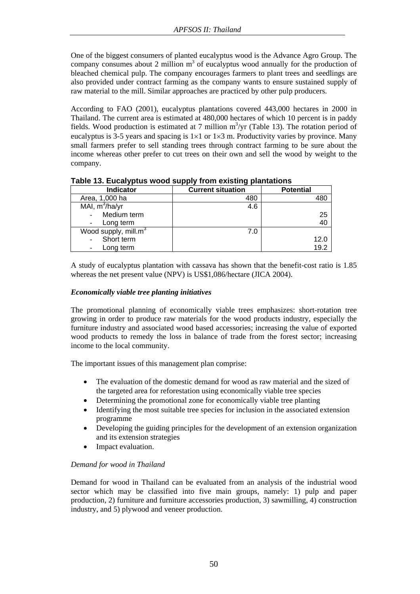One of the biggest consumers of planted eucalyptus wood is the Advance Agro Group. The company consumes about 2 million  $m<sup>3</sup>$  of eucalyptus wood annually for the production of bleached chemical pulp. The company encourages farmers to plant trees and seedlings are also provided under contract farming as the company wants to ensure sustained supply of raw material to the mill. Similar approaches are practiced by other pulp producers.

According to FAO (2001), eucalyptus plantations covered 443,000 hectares in 2000 in Thailand. The current area is estimated at 480,000 hectares of which 10 percent is in paddy fields. Wood production is estimated at 7 million  $m^3$ /yr (Table 13). The rotation period of eucalyptus is 3-5 years and spacing is  $1\times1$  or  $1\times3$  m. Productivity varies by province. Many small farmers prefer to sell standing trees through contract farming to be sure about the income whereas other prefer to cut trees on their own and sell the wood by weight to the company.

| Indicator                        | <b>Current situation</b> | <b>Potential</b> |
|----------------------------------|--------------------------|------------------|
| Area, 1,000 ha                   | 480                      |                  |
| MAI, $m^3/ha/yr$                 | 4.6                      |                  |
| Medium term                      |                          | 25               |
| Long term                        |                          | 40               |
| Wood supply, mill.m <sup>3</sup> | 7.0                      |                  |
| Short term                       |                          | 12.0             |
| Long term                        |                          | 19.2             |

**Table 13. Eucalyptus wood supply from existing plantations** 

A study of eucalyptus plantation with cassava has shown that the benefit-cost ratio is 1.85 whereas the net present value (NPV) is US\$1,086/hectare (JICA 2004).

## *Economically viable tree planting initiatives*

The promotional planning of economically viable trees emphasizes: short-rotation tree growing in order to produce raw materials for the wood products industry, especially the furniture industry and associated wood based accessories; increasing the value of exported wood products to remedy the loss in balance of trade from the forest sector; increasing income to the local community.

The important issues of this management plan comprise:

- The evaluation of the domestic demand for wood as raw material and the sized of the targeted area for reforestation using economically viable tree species
- Determining the promotional zone for economically viable tree planting
- Identifying the most suitable tree species for inclusion in the associated extension programme
- Developing the guiding principles for the development of an extension organization and its extension strategies
- Impact evaluation.

# *Demand for wood in Thailand*

Demand for wood in Thailand can be evaluated from an analysis of the industrial wood sector which may be classified into five main groups, namely: 1) pulp and paper production, 2) furniture and furniture accessories production, 3) sawmilling, 4) construction industry, and 5) plywood and veneer production.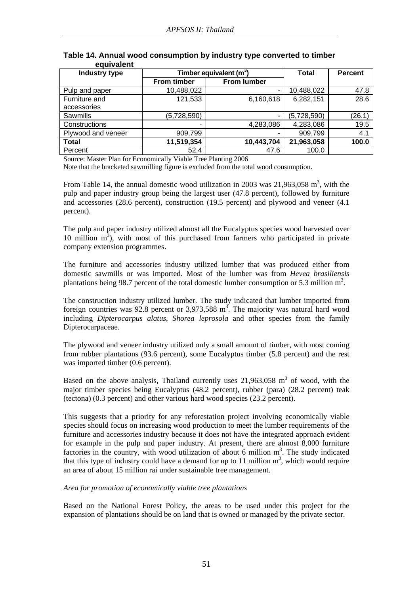| Industry type      | Timber equivalent (m <sup>3</sup> ) | <b>Total</b>       | <b>Percent</b> |        |
|--------------------|-------------------------------------|--------------------|----------------|--------|
|                    | <b>From timber</b>                  | <b>From lumber</b> |                |        |
| Pulp and paper     | 10,488,022                          | ٠                  | 10,488,022     | 47.8   |
| Furniture and      | 121,533                             | 6,160,618          | 6,282,151      | 28.6   |
| accessories        |                                     |                    |                |        |
| <b>Sawmills</b>    | (5,728,590)                         | ۰                  | (5,728,590)    | (26.1) |
| Constructions      |                                     | 4,283,086          | 4,283,086      | 19.5   |
| Plywood and veneer | 909,799                             |                    | 909,799        | 4.1    |
| <b>Total</b>       | 11,519,354                          | 10,443,704         | 21,963,058     | 100.0  |
| Percent            | 52.4                                | 47.6               | 100.0          |        |

## **Table 14. Annual wood consumption by industry type converted to timber equivalent**

Source: Master Plan for Economically Viable Tree Planting 2006

Note that the bracketed sawmilling figure is excluded from the total wood consumption.

From Table 14, the annual domestic wood utilization in 2003 was  $21,963,058$  m<sup>3</sup>, with the pulp and paper industry group being the largest user (47.8 percent), followed by furniture and accessories (28.6 percent), construction (19.5 percent) and plywood and veneer (4.1 percent).

The pulp and paper industry utilized almost all the Eucalyptus species wood harvested over 10 million  $m<sup>3</sup>$ ), with most of this purchased from farmers who participated in private company extension programmes.

The furniture and accessories industry utilized lumber that was produced either from domestic sawmills or was imported. Most of the lumber was from *Hevea brasiliensis* plantations being 98.7 percent of the total domestic lumber consumption or 5.3 million  $m^3$ .

The construction industry utilized lumber. The study indicated that lumber imported from foreign countries was  $92.8$  percent or 3,973,588 m<sup>3</sup>. The majority was natural hard wood including *Dipterocarpus alatus*, *Shorea leprosola* and other species from the family Dipterocarpaceae.

The plywood and veneer industry utilized only a small amount of timber, with most coming from rubber plantations (93.6 percent), some Eucalyptus timber (5.8 percent) and the rest was imported timber  $(0.6$  percent).

Based on the above analysis, Thailand currently uses  $21,963,058$  m<sup>3</sup> of wood, with the major timber species being Eucalyptus (48.2 percent), rubber (para) (28.2 percent) teak (tectona) (0.3 percent) and other various hard wood species (23.2 percent).

This suggests that a priority for any reforestation project involving economically viable species should focus on increasing wood production to meet the lumber requirements of the furniture and accessories industry because it does not have the integrated approach evident for example in the pulp and paper industry. At present, there are almost 8,000 furniture factories in the country, with wood utilization of about 6 million  $m<sup>3</sup>$ . The study indicated that this type of industry could have a demand for up to 11 million  $m<sup>3</sup>$ , which would require an area of about 15 million rai under sustainable tree management.

## *Area for promotion of economically viable tree plantations*

Based on the National Forest Policy, the areas to be used under this project for the expansion of plantations should be on land that is owned or managed by the private sector.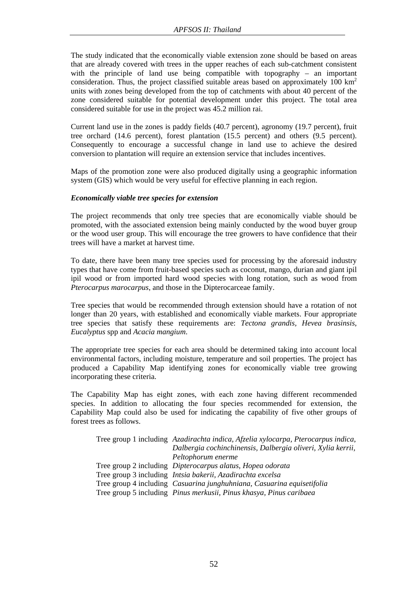The study indicated that the economically viable extension zone should be based on areas that are already covered with trees in the upper reaches of each sub-catchment consistent with the principle of land use being compatible with topography – an important consideration. Thus, the project classified suitable areas based on approximately  $100 \text{ km}^2$ units with zones being developed from the top of catchments with about 40 percent of the zone considered suitable for potential development under this project. The total area considered suitable for use in the project was 45.2 million rai.

Current land use in the zones is paddy fields (40.7 percent), agronomy (19.7 percent), fruit tree orchard (14.6 percent), forest plantation (15.5 percent) and others (9.5 percent). Consequently to encourage a successful change in land use to achieve the desired conversion to plantation will require an extension service that includes incentives.

Maps of the promotion zone were also produced digitally using a geographic information system (GIS) which would be very useful for effective planning in each region.

#### *Economically viable tree species for extension*

The project recommends that only tree species that are economically viable should be promoted, with the associated extension being mainly conducted by the wood buyer group or the wood user group. This will encourage the tree growers to have confidence that their trees will have a market at harvest time.

To date, there have been many tree species used for processing by the aforesaid industry types that have come from fruit-based species such as coconut, mango, durian and giant ipil ipil wood or from imported hard wood species with long rotation, such as wood from *Pterocarpus marocarpus*, and those in the Dipterocarceae family.

Tree species that would be recommended through extension should have a rotation of not longer than 20 years, with established and economically viable markets. Four appropriate tree species that satisfy these requirements are: *Tectona grandis, Hevea brasinsis*, *Eucalyptus* spp and *Acacia mangium*.

The appropriate tree species for each area should be determined taking into account local environmental factors, including moisture, temperature and soil properties. The project has produced a Capability Map identifying zones for economically viable tree growing incorporating these criteria.

The Capability Map has eight zones, with each zone having different recommended species. In addition to allocating the four species recommended for extension, the Capability Map could also be used for indicating the capability of five other groups of forest trees as follows.

| Tree group 1 including Azadirachta indica, Afzelia xylocarpa, Pterocarpus indica, |
|-----------------------------------------------------------------------------------|
| Dalbergia cochinchinensis, Dalbergia oliveri, Xylia kerrii,                       |
| Peltophorum enerme                                                                |
| Tree group 2 including <i>Dipterocarpus alatus</i> , <i>Hopea odorata</i>         |
| Tree group 3 including <i>Intsia bakerii</i> , Azadirachta excelsa                |
| Tree group 4 including Casuarina junghuhniana, Casuarina equisetifolia            |
| Tree group 5 including Pinus merkusii, Pinus khasya, Pinus caribaea               |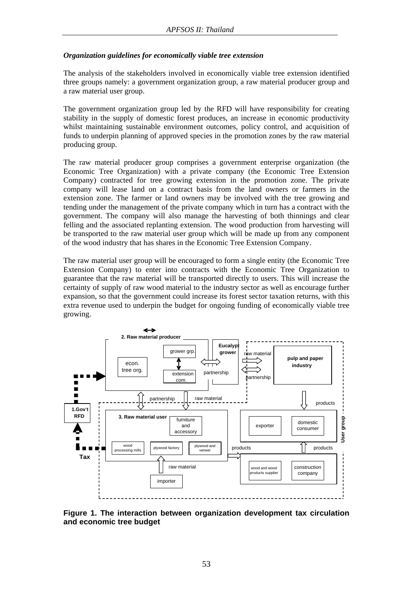## *Organization guidelines for economically viable tree extension*

The analysis of the stakeholders involved in economically viable tree extension identified three groups namely: a government organization group, a raw material producer group and a raw material user group.

The government organization group led by the RFD will have responsibility for creating stability in the supply of domestic forest produces, an increase in economic productivity whilst maintaining sustainable environment outcomes, policy control, and acquisition of funds to underpin planning of approved species in the promotion zones by the raw material producing group.

The raw material producer group comprises a government enterprise organization (the Economic Tree Organization) with a private company (the Economic Tree Extension Company) contracted for tree growing extension in the promotion zone. The private company will lease land on a contract basis from the land owners or farmers in the extension zone. The farmer or land owners may be involved with the tree growing and tending under the management of the private company which in turn has a contract with the government. The company will also manage the harvesting of both thinnings and clear felling and the associated replanting extension. The wood production from harvesting will be transported to the raw material user group which will be made up from any component of the wood industry that has shares in the Economic Tree Extension Company.

The raw material user group will be encouraged to form a single entity (the Economic Tree Extension Company) to enter into contracts with the Economic Tree Organization to guarantee that the raw material will be transported directly to users. This will increase the certainty of supply of raw wood material to the industry sector as well as encourage further expansion, so that the government could increase its forest sector taxation returns, with this extra revenue used to underpin the budget for ongoing funding of economically viable tree growing.



**Figure 1. The interaction between organization development tax circulation and economic tree budget**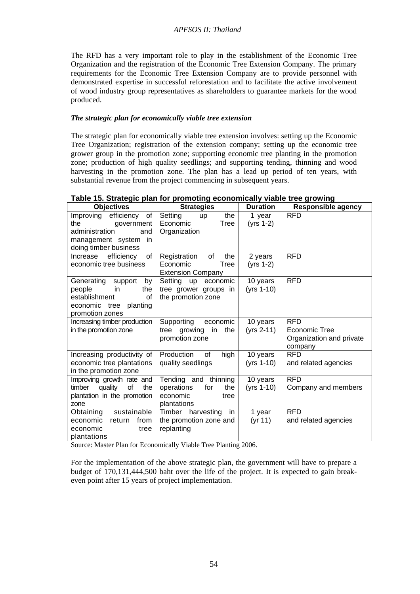The RFD has a very important role to play in the establishment of the Economic Tree Organization and the registration of the Economic Tree Extension Company. The primary requirements for the Economic Tree Extension Company are to provide personnel with demonstrated expertise in successful reforestation and to facilitate the active involvement of wood industry group representatives as shareholders to guarantee markets for the wood produced.

# *The strategic plan for economically viable tree extension*

The strategic plan for economically viable tree extension involves: setting up the Economic Tree Organization; registration of the extension company; setting up the economic tree grower group in the promotion zone; supporting economic tree planting in the promotion zone; production of high quality seedlings; and supporting tending, thinning and wood harvesting in the promotion zone. The plan has a lead up period of ten years, with substantial revenue from the project commencing in subsequent years.

# **Table 15. Strategic plan for promoting economically viable tree growing**

|                                                                                                                      |                                                                                     |                          | . <u>.</u>                                                         |
|----------------------------------------------------------------------------------------------------------------------|-------------------------------------------------------------------------------------|--------------------------|--------------------------------------------------------------------|
| <b>Objectives</b>                                                                                                    | <b>Strategies</b>                                                                   | <b>Duration</b>          | <b>Responsible agency</b>                                          |
| Improving efficiency of<br>the<br>government                                                                         | Setting<br>the<br><b>up</b><br>Tree<br>Economic                                     | 1 year<br>$(yrs 1-2)$    | <b>RFD</b>                                                         |
| administration<br>and<br>management system in<br>doing timber business                                               | Organization                                                                        |                          |                                                                    |
| efficiency<br>of<br>Increase<br>economic tree business                                                               | of<br>Registration<br>the<br>Economic<br><b>Tree</b><br><b>Extension Company</b>    | 2 years<br>$(yrs 1-2)$   | <b>RFD</b>                                                         |
| Generating support<br>by<br>people<br>in.<br>the<br>establishment<br>of<br>economic tree planting<br>promotion zones | Setting up economic<br>tree grower groups in<br>the promotion zone                  | 10 years<br>$(yrs 1-10)$ | <b>RFD</b>                                                         |
| Increasing timber production<br>in the promotion zone                                                                | Supporting economic<br>in<br>the<br>tree<br>growing<br>promotion zone               | 10 years<br>(yrs 2-11)   | <b>RFD</b><br>Economic Tree<br>Organization and private<br>company |
| Increasing productivity of<br>economic tree plantations<br>in the promotion zone                                     | Production<br>high<br>of<br>quality seedlings                                       | 10 years<br>(yrs 1-10)   | <b>RFD</b><br>and related agencies                                 |
| Improving growth rate and<br>quality<br>of<br>the<br>timber<br>plantation in the promotion<br>zone                   | Tending and thinning<br>operations<br>for<br>the<br>economic<br>tree<br>plantations | 10 years<br>(yrs 1-10)   | <b>RFD</b><br>Company and members                                  |
| sustainable<br>Obtaining<br>economic<br>from<br>return<br>economic<br>tree<br>plantations                            | Timber harvesting<br>in<br>the promotion zone and<br>replanting                     | 1 year<br>(yr 11)        | <b>RFD</b><br>and related agencies                                 |

Source: Master Plan for Economically Viable Tree Planting 2006.

For the implementation of the above strategic plan, the government will have to prepare a budget of 170,131,444,500 baht over the life of the project. It is expected to gain breakeven point after 15 years of project implementation.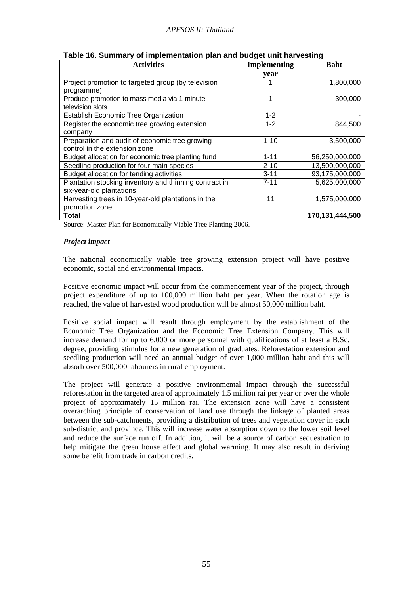| <b>Activities</b>                                      | <b>Implementing</b> | <b>Baht</b>     |
|--------------------------------------------------------|---------------------|-----------------|
|                                                        | year                |                 |
| Project promotion to targeted group (by television     |                     | 1,800,000       |
| programme)                                             |                     |                 |
| Produce promotion to mass media via 1-minute           | 1                   | 300,000         |
| television slots                                       |                     |                 |
| <b>Establish Economic Tree Organization</b>            | $1 - 2$             |                 |
| Register the economic tree growing extension           | $1 - 2$             | 844,500         |
| company                                                |                     |                 |
| Preparation and audit of economic tree growing         | $1 - 10$            | 3,500,000       |
| control in the extension zone                          |                     |                 |
| Budget allocation for economic tree planting fund      | $1 - 11$            | 56,250,000,000  |
| Seedling production for four main species              | $2 - 10$            | 13,500,000,000  |
| Budget allocation for tending activities               | $3 - 11$            | 93,175,000,000  |
| Plantation stocking inventory and thinning contract in | $7 - 11$            | 5,625,000,000   |
| six-year-old plantations                               |                     |                 |
| Harvesting trees in 10-year-old plantations in the     | 11                  | 1,575,000,000   |
| promotion zone                                         |                     |                 |
| Total                                                  |                     | 170,131,444,500 |

| Table 16. Summary of implementation plan and budget unit harvesting |  |  |  |  |
|---------------------------------------------------------------------|--|--|--|--|
|---------------------------------------------------------------------|--|--|--|--|

Source: Master Plan for Economically Viable Tree Planting 2006.

## *Project impact*

The national economically viable tree growing extension project will have positive economic, social and environmental impacts.

Positive economic impact will occur from the commencement year of the project, through project expenditure of up to 100,000 million baht per year. When the rotation age is reached, the value of harvested wood production will be almost 50,000 million baht.

Positive social impact will result through employment by the establishment of the Economic Tree Organization and the Economic Tree Extension Company. This will increase demand for up to 6,000 or more personnel with qualifications of at least a B.Sc. degree, providing stimulus for a new generation of graduates. Reforestation extension and seedling production will need an annual budget of over 1,000 million baht and this will absorb over 500,000 labourers in rural employment.

The project will generate a positive environmental impact through the successful reforestation in the targeted area of approximately 1.5 million rai per year or over the whole project of approximately 15 million rai. The extension zone will have a consistent overarching principle of conservation of land use through the linkage of planted areas between the sub-catchments, providing a distribution of trees and vegetation cover in each sub-district and province. This will increase water absorption down to the lower soil level and reduce the surface run off. In addition, it will be a source of carbon sequestration to help mitigate the green house effect and global warming. It may also result in deriving some benefit from trade in carbon credits.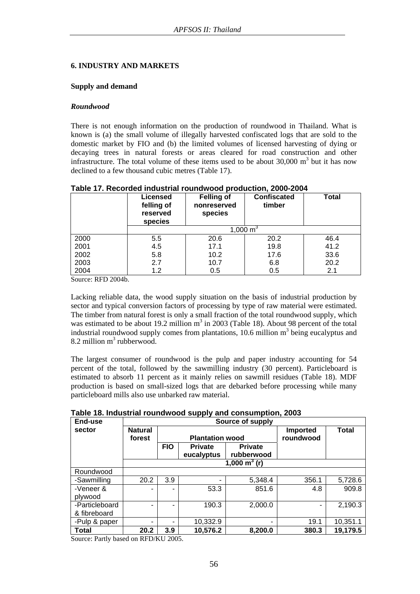## **6. INDUSTRY AND MARKETS**

#### **Supply and demand**

#### *Roundwood*

There is not enough information on the production of roundwood in Thailand. What is known is (a) the small volume of illegally harvested confiscated logs that are sold to the domestic market by FIO and (b) the limited volumes of licensed harvesting of dying or decaying trees in natural forests or areas cleared for road construction and other infrastructure. The total volume of these items used to be about  $30,000 \text{ m}^3$  but it has now declined to a few thousand cubic metres (Table 17).

|      | Licensed<br>felling of<br>reserved<br>species | <b>Felling of</b><br>nonreserved<br>species | <b>Confiscated</b><br>timber | <b>Total</b> |  |  |
|------|-----------------------------------------------|---------------------------------------------|------------------------------|--------------|--|--|
|      | 1,000 $m^3$                                   |                                             |                              |              |  |  |
| 2000 | 5.5                                           | 20.6                                        | 20.2                         | 46.4         |  |  |
| 2001 | 4.5                                           | 17.1                                        | 19.8                         | 41.2         |  |  |
| 2002 | 5.8                                           | 10.2 <sub>1</sub>                           | 17.6                         | 33.6         |  |  |
| 2003 | 2.7                                           | 10.7                                        | 6.8                          | 20.2         |  |  |
| 2004 | 1.2                                           | 0.5                                         | 0.5                          | 2.1          |  |  |

| Table 17. Recorded industrial roundwood production, 2000-2004 |  |
|---------------------------------------------------------------|--|
|---------------------------------------------------------------|--|

Source: RFD 2004b.

Lacking reliable data, the wood supply situation on the basis of industrial production by sector and typical conversion factors of processing by type of raw material were estimated. The timber from natural forest is only a small fraction of the total roundwood supply, which was estimated to be about 19.2 million  $m^3$  in 2003 (Table 18). About 98 percent of the total industrial roundwood supply comes from plantations, 10.6 million  $m<sup>3</sup>$  being eucalyptus and  $8.2$  million m<sup>3</sup> rubberwood.

The largest consumer of roundwood is the pulp and paper industry accounting for 54 percent of the total, followed by the sawmilling industry (30 percent). Particleboard is estimated to absorb 11 percent as it mainly relies on sawmill residues (Table 18). MDF production is based on small-sized logs that are debarked before processing while many particleboard mills also use unbarked raw material.

| Table 18. Industrial roundwood supply and consumption, 2003 |  |  |  |  |  |  |
|-------------------------------------------------------------|--|--|--|--|--|--|
|-------------------------------------------------------------|--|--|--|--|--|--|

| End-use        |                          | Source of supply       |                                  |                 |                              |              |  |  |
|----------------|--------------------------|------------------------|----------------------------------|-----------------|------------------------------|--------------|--|--|
| sector         | <b>Natural</b><br>forest | <b>Plantation wood</b> |                                  |                 | <b>Imported</b><br>roundwood | <b>Total</b> |  |  |
|                |                          | <b>FIO</b>             | <b>Private</b><br><b>Private</b> |                 |                              |              |  |  |
|                |                          |                        | eucalyptus                       | rubberwood      |                              |              |  |  |
|                |                          |                        |                                  | 1,000 $m^3$ (r) |                              |              |  |  |
| Roundwood      |                          |                        |                                  |                 |                              |              |  |  |
| -Sawmilling    | 20.2                     | 3.9                    | -                                | 5,348.4         | 356.1                        | 5,728.6      |  |  |
| -Veneer &      |                          | ۰                      | 53.3                             | 851.6           | 4.8                          | 909.8        |  |  |
| plywood        |                          |                        |                                  |                 |                              |              |  |  |
| -Particleboard |                          |                        | 190.3                            | 2,000.0         |                              | 2,190.3      |  |  |
| & fibreboard   |                          |                        |                                  |                 |                              |              |  |  |
| -Pulp & paper  |                          |                        | 10,332.9                         | -               | 19.1                         | 10,351.1     |  |  |
| <b>Total</b>   | 20.2                     | 3.9                    | 10,576.2                         | 8,200.0         | 380.3                        | 19,179.5     |  |  |

Source: Partly based on RFD/KU 2005.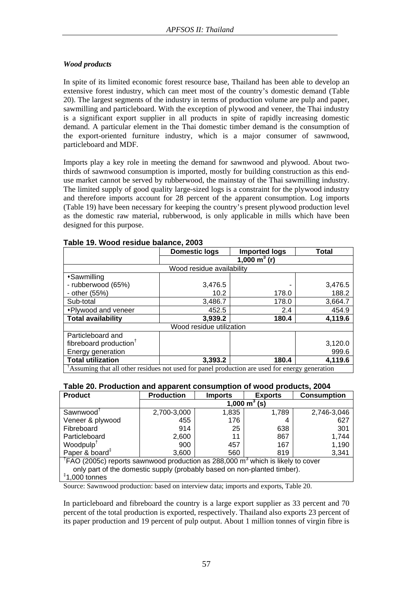# *Wood products*

In spite of its limited economic forest resource base, Thailand has been able to develop an extensive forest industry, which can meet most of the country's domestic demand (Table 20). The largest segments of the industry in terms of production volume are pulp and paper, sawmilling and particleboard. With the exception of plywood and veneer, the Thai industry is a significant export supplier in all products in spite of rapidly increasing domestic demand. A particular element in the Thai domestic timber demand is the consumption of the export-oriented furniture industry, which is a major consumer of sawnwood, particleboard and MDF.

Imports play a key role in meeting the demand for sawnwood and plywood. About twothirds of sawnwood consumption is imported, mostly for building construction as this enduse market cannot be served by rubberwood, the mainstay of the Thai sawmilling industry. The limited supply of good quality large-sized logs is a constraint for the plywood industry and therefore imports account for 28 percent of the apparent consumption. Log imports (Table 19) have been necessary for keeping the country's present plywood production level as the domestic raw material, rubberwood, is only applicable in mills which have been designed for this purpose.

|                                                                                                         | Domestic logs             | <b>Imported logs</b>                  | Total   |  |  |  |
|---------------------------------------------------------------------------------------------------------|---------------------------|---------------------------------------|---------|--|--|--|
|                                                                                                         |                           | $\overline{1,000}$ m <sup>3</sup> (r) |         |  |  |  |
|                                                                                                         | Wood residue availability |                                       |         |  |  |  |
| *Sawmilling                                                                                             |                           |                                       |         |  |  |  |
| - rubberwood (65%)                                                                                      | 3,476.5                   |                                       | 3,476.5 |  |  |  |
| - other (55%)                                                                                           | 10.2                      | 178.0                                 | 188.2   |  |  |  |
| Sub-total                                                                                               | 3,486.7                   | 178.0                                 | 3,664.7 |  |  |  |
| *Plywood and veneer                                                                                     | 452.5                     | 2.4                                   | 454.9   |  |  |  |
| <b>Total availability</b>                                                                               | 3,939.2                   | 180.4                                 | 4,119.6 |  |  |  |
| Wood residue utilization                                                                                |                           |                                       |         |  |  |  |
| Particleboard and                                                                                       |                           |                                       |         |  |  |  |
| fibreboard production <sup>†</sup>                                                                      |                           |                                       | 3,120.0 |  |  |  |
| Energy generation                                                                                       |                           |                                       | 999.6   |  |  |  |
| <b>Total utilization</b>                                                                                | 3,393.2                   | 180.4                                 | 4,119.6 |  |  |  |
| $\hat{A}$ Assuming that all other residues not used for panel production are used for energy generation |                           |                                       |         |  |  |  |

## **Table 19. Wood residue balance, 2003**

## **Table 20. Production and apparent consumption of wood products, 2004**

| <b>Product</b>                                                                                          | <b>Production</b>             | <b>Imports</b> | <b>Exports</b> | <b>Consumption</b> |  |  |
|---------------------------------------------------------------------------------------------------------|-------------------------------|----------------|----------------|--------------------|--|--|
|                                                                                                         | 1,000 $\overline{m}^3$<br>(s) |                |                |                    |  |  |
| Sawnwood <sup>1</sup>                                                                                   | 2,700-3,000                   | 1,835          | 1,789          | 2,746-3,046        |  |  |
| Veneer & plywood                                                                                        | 455                           | 176            | 4              | 627                |  |  |
| Fibreboard                                                                                              | 914                           | 25             | 638            | 301                |  |  |
| Particleboard                                                                                           | 2,600                         | 11             | 867            | 1.744              |  |  |
| Woodpulp <sup>T</sup>                                                                                   | 900                           | 457            | 167            | 1,190              |  |  |
| Paper & board <sup>#</sup>                                                                              | 3.600                         | 560            | 819            | 3,341              |  |  |
| <sup>†</sup> FAO (2005c) reports sawnwood production as 288,000 m <sup>3</sup> which is likely to cover |                               |                |                |                    |  |  |
| only part of the domestic supply (probably based on non-planted timber).                                |                               |                |                |                    |  |  |
| $†1.000$ tonnes                                                                                         |                               |                |                |                    |  |  |

Source: Sawnwood production: based on interview data; imports and exports, Table 20.

In particleboard and fibreboard the country is a large export supplier as 33 percent and 70 percent of the total production is exported, respectively. Thailand also exports 23 percent of its paper production and 19 percent of pulp output. About 1 million tonnes of virgin fibre is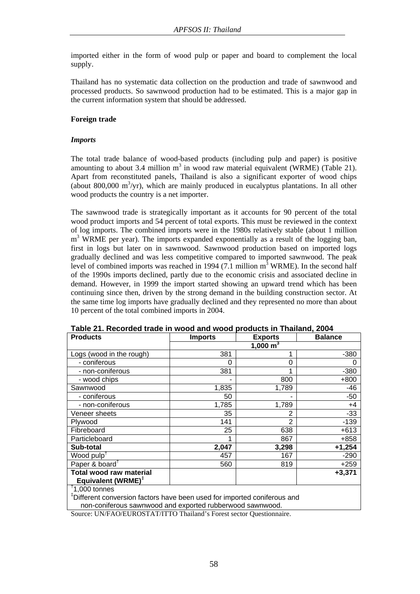imported either in the form of wood pulp or paper and board to complement the local supply.

Thailand has no systematic data collection on the production and trade of sawnwood and processed products. So sawnwood production had to be estimated. This is a major gap in the current information system that should be addressed.

## **Foreign trade**

## *Imports*

The total trade balance of wood-based products (including pulp and paper) is positive amounting to about 3.4 million  $m^3$  in wood raw material equivalent (WRME) (Table 21). Apart from reconstituted panels, Thailand is also a significant exporter of wood chips (about 800,000  $\mathrm{m}^3/\mathrm{yr}$ ), which are mainly produced in eucalyptus plantations. In all other wood products the country is a net importer.

The sawnwood trade is strategically important as it accounts for 90 percent of the total wood product imports and 54 percent of total exports. This must be reviewed in the context of log imports. The combined imports were in the 1980s relatively stable (about 1 million m<sup>3</sup> WRME per year). The imports expanded exponentially as a result of the logging ban, first in logs but later on in sawnwood. Sawnwood production based on imported logs gradually declined and was less competitive compared to imported sawnwood. The peak level of combined imports was reached in 1994 (7.1 million  $m^3$  WRME). In the second half of the 1990s imports declined, partly due to the economic crisis and associated decline in demand. However, in 1999 the import started showing an upward trend which has been continuing since then, driven by the strong demand in the building construction sector. At the same time log imports have gradually declined and they represented no more than about 10 percent of the total combined imports in 2004.

| <b>Products</b>                            | <b>Imports</b> | <b>Exports</b> | <b>Balance</b> |  |  |
|--------------------------------------------|----------------|----------------|----------------|--|--|
|                                            | 1,000 $m^3$    |                |                |  |  |
| Logs (wood in the rough)                   | 381            |                | $-380$         |  |  |
| - coniferous                               | O              | $\Omega$       |                |  |  |
| - non-coniferous                           | 381            |                | $-380$         |  |  |
| - wood chips                               |                | 800            | $+800$         |  |  |
| Sawnwood                                   | 1,835          | 1,789          | -46            |  |  |
| - coniferous                               | 50             |                | $-50$          |  |  |
| - non-coniferous                           | 1,785          | 1,789          | $+4$           |  |  |
| Veneer sheets                              | 35             | 2              | $-33$          |  |  |
| Plywood                                    | 141            | 2              | $-139$         |  |  |
| Fibreboard                                 | 25             | 638            | $+613$         |  |  |
| Particleboard                              |                | 867            | +858           |  |  |
| Sub-total                                  | 2,047          | 3,298          | $+1,254$       |  |  |
| Wood pulp <sup><math>\uparrow</math></sup> | 457            | 167            | $-290$         |  |  |
| Paper & board <sup>†</sup>                 | 560            | 819            | $+259$         |  |  |
| <b>Total wood raw material</b>             |                |                | $+3,371$       |  |  |
| Equivalent (WRME) <sup>†</sup>             |                |                |                |  |  |
| $\textsuperscript{t}$ 1,000 tonnes         |                |                |                |  |  |

**Table 21. Recorded trade in wood and wood products in Thailand, 2004** 

‡ Different conversion factors have been used for imported coniferous and non-coniferous sawnwood and exported rubberwood sawnwood.

Source: UN/FAO/EUROSTAT/ITTO Thailand's Forest sector Questionnaire.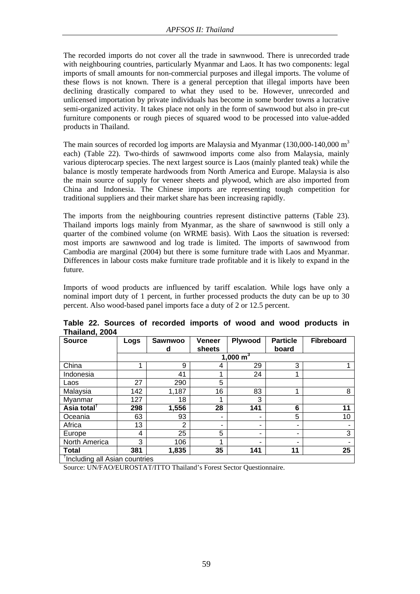The recorded imports do not cover all the trade in sawnwood. There is unrecorded trade with neighbouring countries, particularly Myanmar and Laos. It has two components: legal imports of small amounts for non-commercial purposes and illegal imports. The volume of these flows is not known. There is a general perception that illegal imports have been declining drastically compared to what they used to be. However, unrecorded and unlicensed importation by private individuals has become in some border towns a lucrative semi-organized activity. It takes place not only in the form of sawnwood but also in pre-cut furniture components or rough pieces of squared wood to be processed into value-added products in Thailand.

The main sources of recorded log imports are Malaysia and Myanmar  $(130,000-140,000 \text{ m}^3)$ each) (Table 22). Two-thirds of sawnwood imports come also from Malaysia, mainly various dipterocarp species. The next largest source is Laos (mainly planted teak) while the balance is mostly temperate hardwoods from North America and Europe. Malaysia is also the main source of supply for veneer sheets and plywood, which are also imported from China and Indonesia. The Chinese imports are representing tough competition for traditional suppliers and their market share has been increasing rapidly.

The imports from the neighbouring countries represent distinctive patterns (Table 23). Thailand imports logs mainly from Myanmar, as the share of sawnwood is still only a quarter of the combined volume (on WRME basis). With Laos the situation is reversed: most imports are sawnwood and log trade is limited. The imports of sawnwood from Cambodia are marginal (2004) but there is some furniture trade with Laos and Myanmar. Differences in labour costs make furniture trade profitable and it is likely to expand in the future.

Imports of wood products are influenced by tariff escalation. While logs have only a nominal import duty of 1 percent, in further processed products the duty can be up to 30 percent. Also wood-based panel imports face a duty of 2 or 12.5 percent.

| <b>Source</b>                 | Logs | <b>Sawnwoo</b> | <b>Veneer</b>            | Plywood     | <b>Particle</b> | <b>Fibreboard</b> |
|-------------------------------|------|----------------|--------------------------|-------------|-----------------|-------------------|
|                               |      | d              | sheets                   |             | board           |                   |
|                               |      |                |                          | 1,000 $m^3$ |                 |                   |
| China                         |      | 9              | 4                        | 29          | 3               |                   |
| Indonesia                     |      | 41             |                          | 24          | 1               |                   |
| Laos                          | 27   | 290            | 5                        |             |                 |                   |
| Malaysia                      | 142  | 1,187          | 16                       | 83          | 1               | 8                 |
| Myanmar                       | 127  | 18             |                          | 3           |                 |                   |
| Asia total <sup>†</sup>       | 298  | 1,556          | 28                       | 141         | 6               | 11                |
| Oceania                       | 63   | 93             | $\overline{\phantom{0}}$ |             | 5               | 10                |
| Africa                        | 13   | $\overline{2}$ | ۰                        |             | ۰               |                   |
| Europe                        | 4    | 25             | 5                        |             | ٠               | 3                 |
| North America                 | 3    | 106            | 4                        |             | $\blacksquare$  |                   |
| <b>Total</b>                  | 381  | 1,835          | 35                       | 141         | 11              | 25                |
| Including all Asian countries |      |                |                          |             |                 |                   |

**Table 22. Sources of recorded imports of wood and wood products in Thailand, 2004** 

Source: UN/FAO/EUROSTAT/ITTO Thailand's Forest Sector Questionnaire.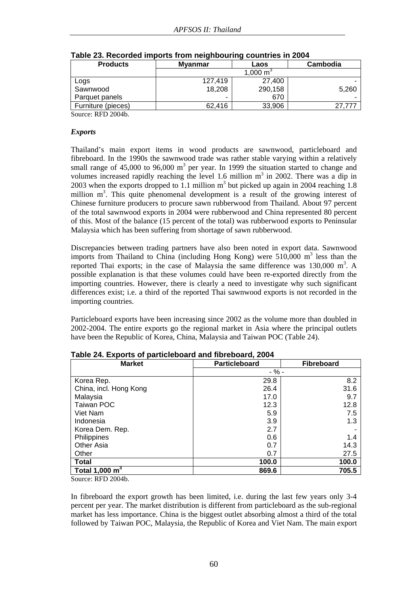| <b>Products</b>    | <b>Myanmar</b> | Laos    | Cambodia |
|--------------------|----------------|---------|----------|
|                    |                |         |          |
| Logs               | 127.419        | 27.400  |          |
| Sawnwood           | 18.208         | 290,158 | 5.260    |
| Parquet panels     | ٠              | 670     |          |
| Furniture (pieces) | 62.416         | 33.906  | 27.77    |

Source: RFD 2004b.

#### *Exports*

Thailand's main export items in wood products are sawnwood, particleboard and fibreboard. In the 1990s the sawnwood trade was rather stable varying within a relatively small range of  $45,000$  to  $96,000$  m<sup>3</sup> per year. In 1999 the situation started to change and volumes increased rapidly reaching the level 1.6 million  $m<sup>3</sup>$  in 2002. There was a dip in 2003 when the exports dropped to 1.1 million  $m<sup>3</sup>$  but picked up again in 2004 reaching 1.8 million m<sup>3</sup>. This quite phenomenal development is a result of the growing interest of Chinese furniture producers to procure sawn rubberwood from Thailand. About 97 percent of the total sawnwood exports in 2004 were rubberwood and China represented 80 percent of this. Most of the balance (15 percent of the total) was rubberwood exports to Peninsular Malaysia which has been suffering from shortage of sawn rubberwood.

Discrepancies between trading partners have also been noted in export data. Sawnwood imports from Thailand to China (including Hong Kong) were  $510,000$  m<sup>3</sup> less than the reported Thai exports; in the case of Malaysia the same difference was  $130,000$  m<sup>3</sup>. A possible explanation is that these volumes could have been re-exported directly from the importing countries. However, there is clearly a need to investigate why such significant differences exist; i.e. a third of the reported Thai sawnwood exports is not recorded in the importing countries.

Particleboard exports have been increasing since 2002 as the volume more than doubled in 2002-2004. The entire exports go the regional market in Asia where the principal outlets have been the Republic of Korea, China, Malaysia and Taiwan POC (Table 24).

| <b>Market</b>          | Particleboard | <b>Fibreboard</b> |
|------------------------|---------------|-------------------|
|                        | $-$ % -       |                   |
| Korea Rep.             | 29.8          | 8.2               |
| China, incl. Hong Kong | 26.4          | 31.6              |
| Malaysia               | 17.0          | 9.7               |
| Taiwan POC             | 12.3          | 12.8              |
| Viet Nam               | 5.9           | 7.5               |
| Indonesia              | 3.9           | 1.3               |
| Korea Dem. Rep.        | 2.7           |                   |
| Philippines            | 0.6           | 1.4               |
| Other Asia             | 0.7           | 14.3              |
| Other                  | 0.7           | 27.5              |
| <b>Total</b>           | 100.0         | 100.0             |
| Total 1,000 $m3$       | 869.6         | 705.5             |

**Table 24. Exports of particleboard and fibreboard, 2004** 

Source: RFD 2004b.

In fibreboard the export growth has been limited, i.e. during the last few years only 3-4 percent per year. The market distribution is different from particleboard as the sub-regional market has less importance. China is the biggest outlet absorbing almost a third of the total followed by Taiwan POC, Malaysia, the Republic of Korea and Viet Nam. The main export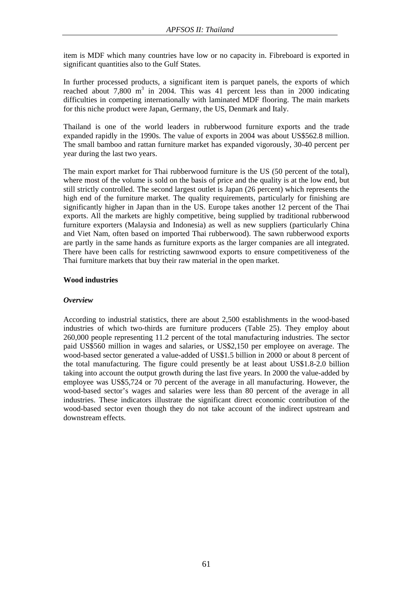item is MDF which many countries have low or no capacity in. Fibreboard is exported in significant quantities also to the Gulf States.

In further processed products, a significant item is parquet panels, the exports of which reached about  $7,800 \text{ m}^3$  in 2004. This was 41 percent less than in 2000 indicating difficulties in competing internationally with laminated MDF flooring. The main markets for this niche product were Japan, Germany, the US, Denmark and Italy.

Thailand is one of the world leaders in rubberwood furniture exports and the trade expanded rapidly in the 1990s. The value of exports in 2004 was about US\$562.8 million. The small bamboo and rattan furniture market has expanded vigorously, 30-40 percent per year during the last two years.

The main export market for Thai rubberwood furniture is the US (50 percent of the total), where most of the volume is sold on the basis of price and the quality is at the low end, but still strictly controlled. The second largest outlet is Japan (26 percent) which represents the high end of the furniture market. The quality requirements, particularly for finishing are significantly higher in Japan than in the US. Europe takes another 12 percent of the Thai exports. All the markets are highly competitive, being supplied by traditional rubberwood furniture exporters (Malaysia and Indonesia) as well as new suppliers (particularly China and Viet Nam, often based on imported Thai rubberwood). The sawn rubberwood exports are partly in the same hands as furniture exports as the larger companies are all integrated. There have been calls for restricting sawnwood exports to ensure competitiveness of the Thai furniture markets that buy their raw material in the open market.

## **Wood industries**

#### *Overview*

According to industrial statistics, there are about 2,500 establishments in the wood-based industries of which two-thirds are furniture producers (Table 25). They employ about 260,000 people representing 11.2 percent of the total manufacturing industries. The sector paid US\$560 million in wages and salaries, or US\$2,150 per employee on average. The wood-based sector generated a value-added of US\$1.5 billion in 2000 or about 8 percent of the total manufacturing. The figure could presently be at least about US\$1.8-2.0 billion taking into account the output growth during the last five years. In 2000 the value-added by employee was US\$5,724 or 70 percent of the average in all manufacturing. However, the wood-based sector's wages and salaries were less than 80 percent of the average in all industries. These indicators illustrate the significant direct economic contribution of the wood-based sector even though they do not take account of the indirect upstream and downstream effects.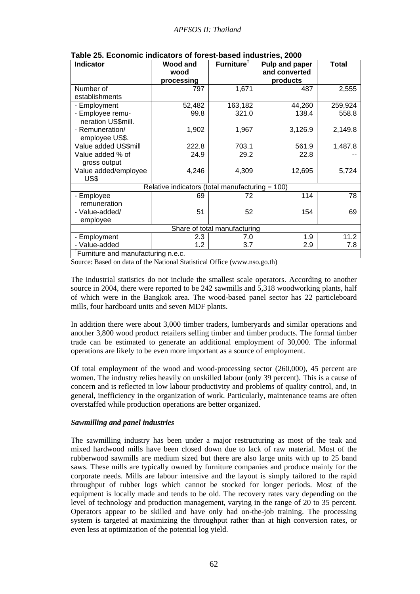| <b>Indicator</b>                                | <b>Wood and</b> | Furniture <sup>†</sup> | Pulp and paper | <b>Total</b> |  |  |
|-------------------------------------------------|-----------------|------------------------|----------------|--------------|--|--|
|                                                 | wood            |                        | and converted  |              |  |  |
|                                                 | processing      |                        | products       |              |  |  |
| Number of                                       | 797             | 1,671                  | 487            | 2,555        |  |  |
| establishments                                  |                 |                        |                |              |  |  |
| - Employment                                    | 52,482          | 163,182                | 44,260         | 259,924      |  |  |
| - Employee remu-                                | 99.8            | 321.0                  | 138.4          | 558.8        |  |  |
| neration US\$mill.                              |                 |                        |                |              |  |  |
| - Remuneration/                                 | 1,902           | 1,967                  | 3,126.9        | 2,149.8      |  |  |
| employee US\$.                                  |                 |                        |                |              |  |  |
| Value added US\$mill                            | 222.8           | 703.1                  | 561.9          | 1,487.8      |  |  |
| Value added % of                                | 24.9            | 29.2                   | 22.8           |              |  |  |
| gross output                                    |                 |                        |                |              |  |  |
| Value added/employee                            | 4,246           | 4,309                  | 12,695         | 5,724        |  |  |
| US\$                                            |                 |                        |                |              |  |  |
| Relative indicators (total manufacturing = 100) |                 |                        |                |              |  |  |
| - Employee                                      | 69              | 72                     | 114            | 78           |  |  |
| remuneration                                    |                 |                        |                |              |  |  |
| - Value-added/                                  | 51              | 52                     | 154            | 69           |  |  |
| employee                                        |                 |                        |                |              |  |  |
| Share of total manufacturing                    |                 |                        |                |              |  |  |
| - Employment                                    | 2.3             | 7.0                    | 1.9            | 11.2         |  |  |
| - Value-added                                   | 1.2             | 3.7                    | 2.9            | 7.8          |  |  |
| <sup>†</sup> Furniture and manufacturing n.e.c. |                 |                        |                |              |  |  |

**Table 25. Economic indicators of forest-based industries, 2000** 

Source: Based on data of the National Statistical Office (www.nso.go.th)

The industrial statistics do not include the smallest scale operators. According to another source in 2004, there were reported to be 242 sawmills and 5,318 woodworking plants, half of which were in the Bangkok area. The wood-based panel sector has 22 particleboard mills, four hardboard units and seven MDF plants.

In addition there were about 3,000 timber traders, lumberyards and similar operations and another 3,800 wood product retailers selling timber and timber products. The formal timber trade can be estimated to generate an additional employment of 30,000. The informal operations are likely to be even more important as a source of employment.

Of total employment of the wood and wood-processing sector (260,000), 45 percent are women. The industry relies heavily on unskilled labour (only 39 percent). This is a cause of concern and is reflected in low labour productivity and problems of quality control, and, in general, inefficiency in the organization of work. Particularly, maintenance teams are often overstaffed while production operations are better organized.

## *Sawmilling and panel industries*

The sawmilling industry has been under a major restructuring as most of the teak and mixed hardwood mills have been closed down due to lack of raw material. Most of the rubberwood sawmills are medium sized but there are also large units with up to 25 band saws. These mills are typically owned by furniture companies and produce mainly for the corporate needs. Mills are labour intensive and the layout is simply tailored to the rapid throughput of rubber logs which cannot be stocked for longer periods. Most of the equipment is locally made and tends to be old. The recovery rates vary depending on the level of technology and production management, varying in the range of 20 to 35 percent. Operators appear to be skilled and have only had on-the-job training. The processing system is targeted at maximizing the throughput rather than at high conversion rates, or even less at optimization of the potential log yield.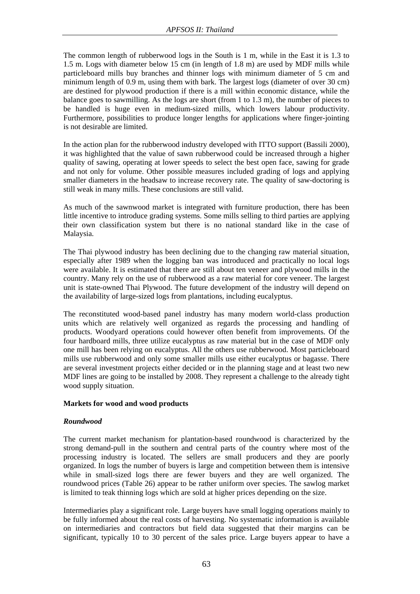The common length of rubberwood logs in the South is 1 m, while in the East it is 1.3 to 1.5 m. Logs with diameter below 15 cm (in length of 1.8 m) are used by MDF mills while particleboard mills buy branches and thinner logs with minimum diameter of 5 cm and minimum length of 0.9 m, using them with bark. The largest logs (diameter of over 30 cm) are destined for plywood production if there is a mill within economic distance, while the balance goes to sawmilling. As the logs are short (from 1 to 1.3 m), the number of pieces to be handled is huge even in medium-sized mills, which lowers labour productivity. Furthermore, possibilities to produce longer lengths for applications where finger-jointing is not desirable are limited.

In the action plan for the rubberwood industry developed with ITTO support (Bassili 2000), it was highlighted that the value of sawn rubberwood could be increased through a higher quality of sawing, operating at lower speeds to select the best open face, sawing for grade and not only for volume. Other possible measures included grading of logs and applying smaller diameters in the headsaw to increase recovery rate. The quality of saw-doctoring is still weak in many mills. These conclusions are still valid.

As much of the sawnwood market is integrated with furniture production, there has been little incentive to introduce grading systems. Some mills selling to third parties are applying their own classification system but there is no national standard like in the case of Malaysia.

The Thai plywood industry has been declining due to the changing raw material situation, especially after 1989 when the logging ban was introduced and practically no local logs were available. It is estimated that there are still about ten veneer and plywood mills in the country. Many rely on the use of rubberwood as a raw material for core veneer. The largest unit is state-owned Thai Plywood. The future development of the industry will depend on the availability of large-sized logs from plantations, including eucalyptus.

The reconstituted wood-based panel industry has many modern world-class production units which are relatively well organized as regards the processing and handling of products. Woodyard operations could however often benefit from improvements. Of the four hardboard mills, three utilize eucalyptus as raw material but in the case of MDF only one mill has been relying on eucalyptus. All the others use rubberwood. Most particleboard mills use rubberwood and only some smaller mills use either eucalyptus or bagasse. There are several investment projects either decided or in the planning stage and at least two new MDF lines are going to be installed by 2008. They represent a challenge to the already tight wood supply situation.

## **Markets for wood and wood products**

## *Roundwood*

The current market mechanism for plantation-based roundwood is characterized by the strong demand-pull in the southern and central parts of the country where most of the processing industry is located. The sellers are small producers and they are poorly organized. In logs the number of buyers is large and competition between them is intensive while in small-sized logs there are fewer buyers and they are well organized. The roundwood prices (Table 26) appear to be rather uniform over species. The sawlog market is limited to teak thinning logs which are sold at higher prices depending on the size.

Intermediaries play a significant role. Large buyers have small logging operations mainly to be fully informed about the real costs of harvesting. No systematic information is available on intermediaries and contractors but field data suggested that their margins can be significant, typically 10 to 30 percent of the sales price. Large buyers appear to have a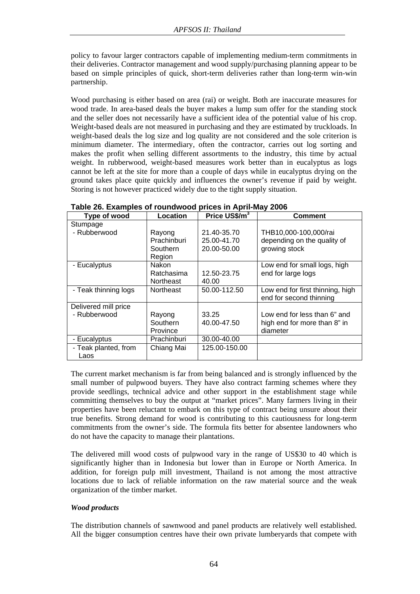policy to favour larger contractors capable of implementing medium-term commitments in their deliveries. Contractor management and wood supply/purchasing planning appear to be based on simple principles of quick, short-term deliveries rather than long-term win-win partnership.

Wood purchasing is either based on area (rai) or weight. Both are inaccurate measures for wood trade. In area-based deals the buyer makes a lump sum offer for the standing stock and the seller does not necessarily have a sufficient idea of the potential value of his crop. Weight-based deals are not measured in purchasing and they are estimated by truckloads. In weight-based deals the log size and log quality are not considered and the sole criterion is minimum diameter. The intermediary, often the contractor, carries out log sorting and makes the profit when selling different assortments to the industry, this time by actual weight. In rubberwood, weight-based measures work better than in eucalyptus as logs cannot be left at the site for more than a couple of days while in eucalyptus drying on the ground takes place quite quickly and influences the owner's revenue if paid by weight. Storing is not however practiced widely due to the tight supply situation.

| Type of wood         | Location         | Price US\$/m <sup>3</sup> | <b>Comment</b>                   |
|----------------------|------------------|---------------------------|----------------------------------|
| Stumpage             |                  |                           |                                  |
| - Rubberwood         | Rayong           | 21.40-35.70               | THB10,000-100,000/rai            |
|                      | Prachinburi      | 25.00-41.70               | depending on the quality of      |
|                      | Southern         | 20.00-50.00               | growing stock                    |
|                      | Region           |                           |                                  |
| - Eucalyptus         | Nakon            |                           | Low end for small logs, high     |
|                      | Ratchasima       | 12.50-23.75               | end for large logs               |
|                      | <b>Northeast</b> | 40.00                     |                                  |
| - Teak thinning logs | <b>Northeast</b> | 50.00-112.50              | Low end for first thinning, high |
|                      |                  |                           | end for second thinning          |
| Delivered mill price |                  |                           |                                  |
| - Rubberwood         | Rayong           | 33.25                     | Low end for less than 6" and     |
|                      | Southern         | 40.00-47.50               | high end for more than 8" in     |
|                      | Province         |                           | diameter                         |
| - Eucalyptus         | Prachinburi      | 30.00-40.00               |                                  |
| - Teak planted, from | Chiang Mai       | 125.00-150.00             |                                  |
| Laos                 |                  |                           |                                  |

**Table 26. Examples of roundwood prices in April-May 2006** 

The current market mechanism is far from being balanced and is strongly influenced by the small number of pulpwood buyers. They have also contract farming schemes where they provide seedlings, technical advice and other support in the establishment stage while committing themselves to buy the output at "market prices". Many farmers living in their properties have been reluctant to embark on this type of contract being unsure about their true benefits. Strong demand for wood is contributing to this cautiousness for long-term commitments from the owner's side. The formula fits better for absentee landowners who do not have the capacity to manage their plantations.

The delivered mill wood costs of pulpwood vary in the range of US\$30 to 40 which is significantly higher than in Indonesia but lower than in Europe or North America. In addition, for foreign pulp mill investment, Thailand is not among the most attractive locations due to lack of reliable information on the raw material source and the weak organization of the timber market.

# *Wood products*

The distribution channels of sawnwood and panel products are relatively well established. All the bigger consumption centres have their own private lumberyards that compete with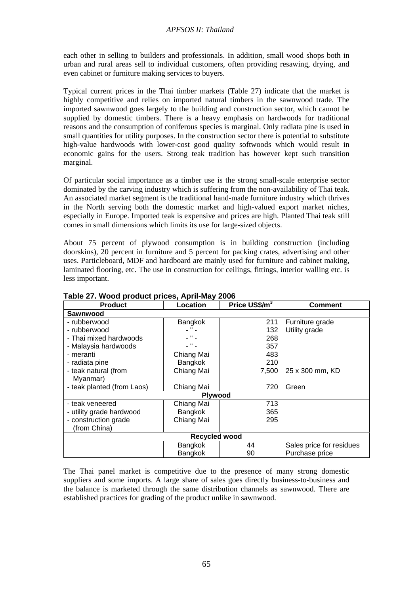each other in selling to builders and professionals. In addition, small wood shops both in urban and rural areas sell to individual customers, often providing resawing, drying, and even cabinet or furniture making services to buyers.

Typical current prices in the Thai timber markets (Table 27) indicate that the market is highly competitive and relies on imported natural timbers in the sawnwood trade. The imported sawnwood goes largely to the building and construction sector, which cannot be supplied by domestic timbers. There is a heavy emphasis on hardwoods for traditional reasons and the consumption of coniferous species is marginal. Only radiata pine is used in small quantities for utility purposes. In the construction sector there is potential to substitute high-value hardwoods with lower-cost good quality softwoods which would result in economic gains for the users. Strong teak tradition has however kept such transition marginal.

Of particular social importance as a timber use is the strong small-scale enterprise sector dominated by the carving industry which is suffering from the non-availability of Thai teak. An associated market segment is the traditional hand-made furniture industry which thrives in the North serving both the domestic market and high-valued export market niches, especially in Europe. Imported teak is expensive and prices are high. Planted Thai teak still comes in small dimensions which limits its use for large-sized objects.

About 75 percent of plywood consumption is in building construction (including doorskins), 20 percent in furniture and 5 percent for packing crates, advertising and other uses. Particleboard, MDF and hardboard are mainly used for furniture and cabinet making, laminated flooring, etc. The use in construction for ceilings, fittings, interior walling etc. is less important.

| <b>Product</b>             | Location   | Price US\$/m <sup>3</sup> | <b>Comment</b>           |  |  |
|----------------------------|------------|---------------------------|--------------------------|--|--|
| Sawnwood                   |            |                           |                          |  |  |
| - rubberwood               | Bangkok    | 211                       | Furniture grade          |  |  |
| - rubberwood               | $ "$ $-$   | 132                       | Utility grade            |  |  |
| - Thai mixed hardwoods     | L # L      | 268                       |                          |  |  |
| - Malaysia hardwoods       | $-$ " $-$  | 357                       |                          |  |  |
| - meranti                  | Chiang Mai | 483                       |                          |  |  |
| - radiata pine             | Bangkok    | 210                       |                          |  |  |
| - teak natural (from       | Chiang Mai | 7,500                     | 25 x 300 mm, KD          |  |  |
| Myanmar)                   |            |                           |                          |  |  |
| - teak planted (from Laos) | Chiang Mai | 720                       | Green                    |  |  |
| <b>Plywood</b>             |            |                           |                          |  |  |
| - teak veneered            | Chiang Mai | 713                       |                          |  |  |
| - utility grade hardwood   | Bangkok    | 365                       |                          |  |  |
| - construction grade       | Chiang Mai | 295                       |                          |  |  |
| (from China)               |            |                           |                          |  |  |
| Recycled wood              |            |                           |                          |  |  |
|                            | Bangkok    | 44                        | Sales price for residues |  |  |
|                            | Bangkok    | 90                        | Purchase price           |  |  |

**Table 27. Wood product prices, April-May 2006** 

The Thai panel market is competitive due to the presence of many strong domestic suppliers and some imports. A large share of sales goes directly business-to-business and the balance is marketed through the same distribution channels as sawnwood. There are established practices for grading of the product unlike in sawnwood.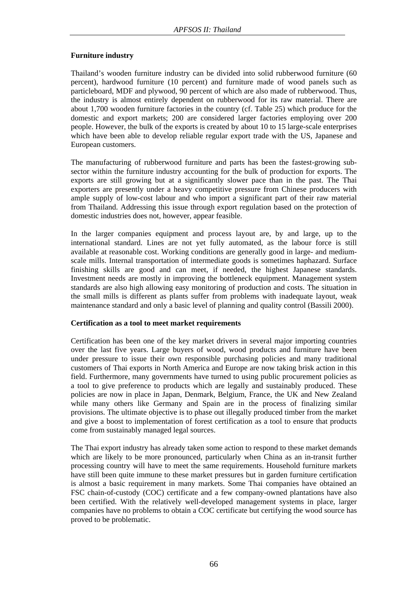## **Furniture industry**

Thailand's wooden furniture industry can be divided into solid rubberwood furniture (60 percent), hardwood furniture (10 percent) and furniture made of wood panels such as particleboard, MDF and plywood, 90 percent of which are also made of rubberwood. Thus, the industry is almost entirely dependent on rubberwood for its raw material. There are about 1,700 wooden furniture factories in the country (cf. Table 25) which produce for the domestic and export markets; 200 are considered larger factories employing over 200 people. However, the bulk of the exports is created by about 10 to 15 large-scale enterprises which have been able to develop reliable regular export trade with the US, Japanese and European customers.

The manufacturing of rubberwood furniture and parts has been the fastest-growing subsector within the furniture industry accounting for the bulk of production for exports. The exports are still growing but at a significantly slower pace than in the past. The Thai exporters are presently under a heavy competitive pressure from Chinese producers with ample supply of low-cost labour and who import a significant part of their raw material from Thailand. Addressing this issue through export regulation based on the protection of domestic industries does not, however, appear feasible.

In the larger companies equipment and process layout are, by and large, up to the international standard. Lines are not yet fully automated, as the labour force is still available at reasonable cost. Working conditions are generally good in large- and mediumscale mills. Internal transportation of intermediate goods is sometimes haphazard. Surface finishing skills are good and can meet, if needed, the highest Japanese standards. Investment needs are mostly in improving the bottleneck equipment. Management system standards are also high allowing easy monitoring of production and costs. The situation in the small mills is different as plants suffer from problems with inadequate layout, weak maintenance standard and only a basic level of planning and quality control (Bassili 2000).

## **Certification as a tool to meet market requirements**

Certification has been one of the key market drivers in several major importing countries over the last five years. Large buyers of wood, wood products and furniture have been under pressure to issue their own responsible purchasing policies and many traditional customers of Thai exports in North America and Europe are now taking brisk action in this field. Furthermore, many governments have turned to using public procurement policies as a tool to give preference to products which are legally and sustainably produced. These policies are now in place in Japan, Denmark, Belgium, France, the UK and New Zealand while many others like Germany and Spain are in the process of finalizing similar provisions. The ultimate objective is to phase out illegally produced timber from the market and give a boost to implementation of forest certification as a tool to ensure that products come from sustainably managed legal sources.

The Thai export industry has already taken some action to respond to these market demands which are likely to be more pronounced, particularly when China as an in-transit further processing country will have to meet the same requirements. Household furniture markets have still been quite immune to these market pressures but in garden furniture certification is almost a basic requirement in many markets. Some Thai companies have obtained an FSC chain-of-custody (COC) certificate and a few company-owned plantations have also been certified. With the relatively well-developed management systems in place, larger companies have no problems to obtain a COC certificate but certifying the wood source has proved to be problematic.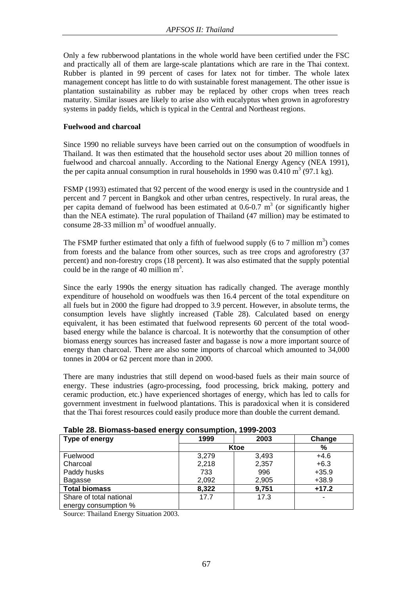Only a few rubberwood plantations in the whole world have been certified under the FSC and practically all of them are large-scale plantations which are rare in the Thai context. Rubber is planted in 99 percent of cases for latex not for timber. The whole latex management concept has little to do with sustainable forest management. The other issue is plantation sustainability as rubber may be replaced by other crops when trees reach maturity. Similar issues are likely to arise also with eucalyptus when grown in agroforestry systems in paddy fields, which is typical in the Central and Northeast regions.

#### **Fuelwood and charcoal**

Since 1990 no reliable surveys have been carried out on the consumption of woodfuels in Thailand. It was then estimated that the household sector uses about 20 million tonnes of fuelwood and charcoal annually. According to the National Energy Agency (NEA 1991), the per capita annual consumption in rural households in 1990 was  $0.410 \text{ m}^3$  (97.1 kg).

FSMP (1993) estimated that 92 percent of the wood energy is used in the countryside and 1 percent and 7 percent in Bangkok and other urban centres, respectively. In rural areas, the per capita demand of fuelwood has been estimated at  $0.6$ - $0.7 \text{ m}^3$  (or significantly higher than the NEA estimate). The rural population of Thailand (47 million) may be estimated to consume 28-33 million  $m^3$  of woodfuel annually.

The FSMP further estimated that only a fifth of fuelwood supply (6 to 7 million  $m<sup>3</sup>$ ) comes from forests and the balance from other sources, such as tree crops and agroforestry (37 percent) and non-forestry crops (18 percent). It was also estimated that the supply potential could be in the range of 40 million  $m^3$ .

Since the early 1990s the energy situation has radically changed. The average monthly expenditure of household on woodfuels was then 16.4 percent of the total expenditure on all fuels but in 2000 the figure had dropped to 3.9 percent. However, in absolute terms, the consumption levels have slightly increased (Table 28). Calculated based on energy equivalent, it has been estimated that fuelwood represents 60 percent of the total woodbased energy while the balance is charcoal. It is noteworthy that the consumption of other biomass energy sources has increased faster and bagasse is now a more important source of energy than charcoal. There are also some imports of charcoal which amounted to 34,000 tonnes in 2004 or 62 percent more than in 2000.

There are many industries that still depend on wood-based fuels as their main source of energy. These industries (agro-processing, food processing, brick making, pottery and ceramic production, etc.) have experienced shortages of energy, which has led to calls for government investment in fuelwood plantations. This is paradoxical when it is considered that the Thai forest resources could easily produce more than double the current demand.

| $1400 - 201 - 1011$ and $000 - 01101 - 01$ and $000 - 0110 - 011$ |       |       |         |  |  |
|-------------------------------------------------------------------|-------|-------|---------|--|--|
| Type of energy                                                    | 1999  | 2003  | Change  |  |  |
|                                                                   | Ktoe  |       | %       |  |  |
| Fuelwood                                                          | 3.279 | 3,493 | $+4.6$  |  |  |
| Charcoal                                                          | 2,218 | 2,357 | $+6.3$  |  |  |
| Paddy husks                                                       | 733   | 996   | $+35.9$ |  |  |
| Bagasse                                                           | 2,092 | 2,905 | $+38.9$ |  |  |
| <b>Total biomass</b>                                              | 8,322 | 9,751 | $+17.2$ |  |  |
| Share of total national                                           | 17.7  | 17.3  | -       |  |  |
| energy consumption %                                              |       |       |         |  |  |

## **Table 28. Biomass-based energy consumption, 1999-2003**

Source: Thailand Energy Situation 2003.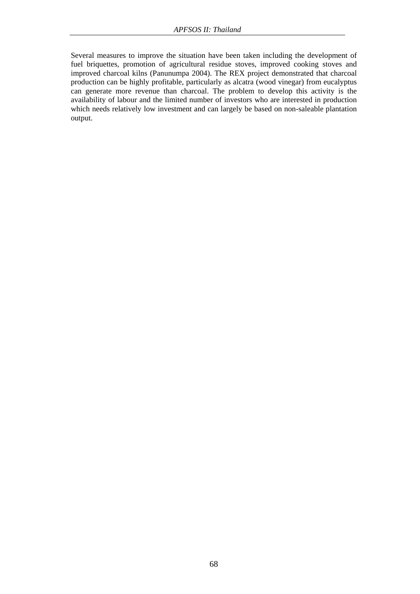Several measures to improve the situation have been taken including the development of fuel briquettes, promotion of agricultural residue stoves, improved cooking stoves and improved charcoal kilns (Panunumpa 2004). The REX project demonstrated that charcoal production can be highly profitable, particularly as alcatra (wood vinegar) from eucalyptus can generate more revenue than charcoal. The problem to develop this activity is the availability of labour and the limited number of investors who are interested in production which needs relatively low investment and can largely be based on non-saleable plantation output.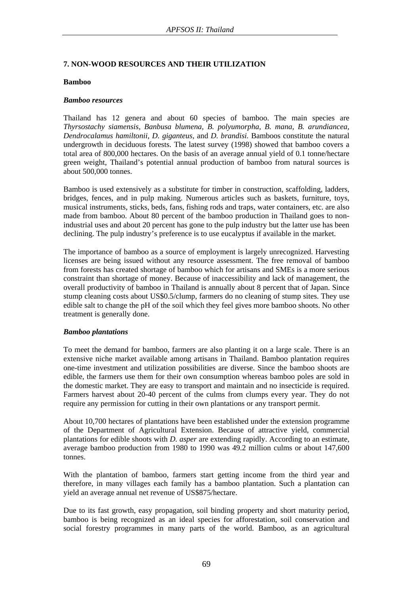## **7. NON-WOOD RESOURCES AND THEIR UTILIZATION**

#### **Bamboo**

#### *Bamboo resources*

Thailand has 12 genera and about 60 species of bamboo. The main species are *Thyrsostachy siamensis, Banbusa blumena, B. polyumorpha, B. mana, B. arundiancea, Dendrocalamus hamiltonii, D. giganteus,* and *D. brandisi.* Bamboos constitute the natural undergrowth in deciduous forests. The latest survey (1998) showed that bamboo covers a total area of 800,000 hectares. On the basis of an average annual yield of 0.1 tonne/hectare green weight, Thailand's potential annual production of bamboo from natural sources is about 500,000 tonnes.

Bamboo is used extensively as a substitute for timber in construction, scaffolding, ladders, bridges, fences, and in pulp making. Numerous articles such as baskets, furniture, toys, musical instruments, sticks, beds, fans, fishing rods and traps, water containers, etc. are also made from bamboo. About 80 percent of the bamboo production in Thailand goes to nonindustrial uses and about 20 percent has gone to the pulp industry but the latter use has been declining. The pulp industry's preference is to use eucalyptus if available in the market.

The importance of bamboo as a source of employment is largely unrecognized. Harvesting licenses are being issued without any resource assessment. The free removal of bamboo from forests has created shortage of bamboo which for artisans and SMEs is a more serious constraint than shortage of money. Because of inaccessibility and lack of management, the overall productivity of bamboo in Thailand is annually about 8 percent that of Japan. Since stump cleaning costs about US\$0.5/clump, farmers do no cleaning of stump sites. They use edible salt to change the pH of the soil which they feel gives more bamboo shoots. No other treatment is generally done.

## *Bamboo plantations*

To meet the demand for bamboo, farmers are also planting it on a large scale. There is an extensive niche market available among artisans in Thailand. Bamboo plantation requires one-time investment and utilization possibilities are diverse. Since the bamboo shoots are edible, the farmers use them for their own consumption whereas bamboo poles are sold in the domestic market. They are easy to transport and maintain and no insecticide is required. Farmers harvest about 20-40 percent of the culms from clumps every year. They do not require any permission for cutting in their own plantations or any transport permit.

About 10,700 hectares of plantations have been established under the extension programme of the Department of Agricultural Extension. Because of attractive yield, commercial plantations for edible shoots with *D. asper* are extending rapidly. According to an estimate, average bamboo production from 1980 to 1990 was 49.2 million culms or about 147,600 tonnes.

With the plantation of bamboo, farmers start getting income from the third year and therefore, in many villages each family has a bamboo plantation. Such a plantation can yield an average annual net revenue of US\$875/hectare.

Due to its fast growth, easy propagation, soil binding property and short maturity period, bamboo is being recognized as an ideal species for afforestation, soil conservation and social forestry programmes in many parts of the world. Bamboo, as an agricultural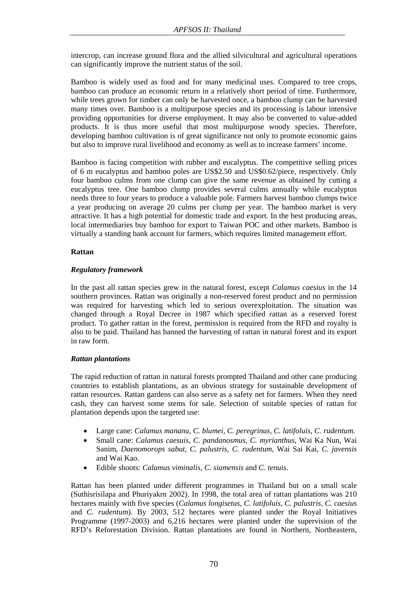intercrop, can increase ground flora and the allied silvicultural and agricultural operations can significantly improve the nutrient status of the soil.

Bamboo is widely used as food and for many medicinal uses. Compared to tree crops, bamboo can produce an economic return in a relatively short period of time. Furthermore, while trees grown for timber can only be harvested once, a bamboo clump can be harvested many times over. Bamboo is a multipurpose species and its processing is labour intensive providing opportunities for diverse employment. It may also be converted to value-added products. It is thus more useful that most multipurpose woody species. Therefore, developing bamboo cultivation is of great significance not only to promote economic gains but also to improve rural livelihood and economy as well as to increase farmers' income.

Bamboo is facing competition with rubber and eucalyptus. The competitive selling prices of 6 m eucalyptus and bamboo poles are US\$2.50 and US\$0.62/piece, respectively. Only four bamboo culms from one clump can give the same revenue as obtained by cutting a eucalyptus tree. One bamboo clump provides several culms annually while eucalyptus needs three to four years to produce a valuable pole. Farmers harvest bamboo clumps twice a year producing on average 20 culms per clump per year. The bamboo market is very attractive. It has a high potential for domestic trade and export. In the best producing areas, local intermediaries buy bamboo for export to Taiwan POC and other markets. Bamboo is virtually a standing bank account for farmers, which requires limited management effort.

## **Rattan**

#### *Regulatory framework*

In the past all rattan species grew in the natural forest, except *Calamus caesius* in the 14 southern provinces. Rattan was originally a non-reserved forest product and no permission was required for harvesting which led to serious overexploitation. The situation was changed through a Royal Decree in 1987 which specified rattan as a reserved forest product. To gather rattan in the forest, permission is required from the RFD and royalty is also to be paid. Thailand has banned the harvesting of rattan in natural forest and its export in raw form.

## *Rattan plantations*

The rapid reduction of rattan in natural forests prompted Thailand and other cane producing countries to establish plantations, as an obvious strategy for sustainable development of rattan resources. Rattan gardens can also serve as a safety net for farmers. When they need cash, they can harvest some stems for sale. Selection of suitable species of rattan for plantation depends upon the targeted use:

- Large cane: *Calamus mananu, C. blumei, C. peregrinus, C. latifoluis, C. rudentum.*
- Small cane: *Calamus caesuis, C. pandanosmus, C. myrianthus,* Wai Ka Nun, Wai Sanim, *Daenomorops sabut, C. palustris, C. rudentum,* Wai Sai Kai, *C. javensis* and Wai Kao.
- Edible shoots: *Calamus viminalis, C. siamensis* and *C. tenuis*.

Rattan has been planted under different programmes in Thailand but on a small scale (Suthisrisilapa and Phuriyakrn 2002). In 1998, the total area of rattan plantations was 210 hectares mainly with five species (*Calamus longisetus, C. latifoluis, C. palustris, C. caesius* and *C. rudentum*). By 2003, 512 hectares were planted under the Royal Initiatives Programme (1997-2003) and 6,216 hectares were planted under the supervision of the RFD's Reforestation Division. Rattan plantations are found in Northern, Northeastern,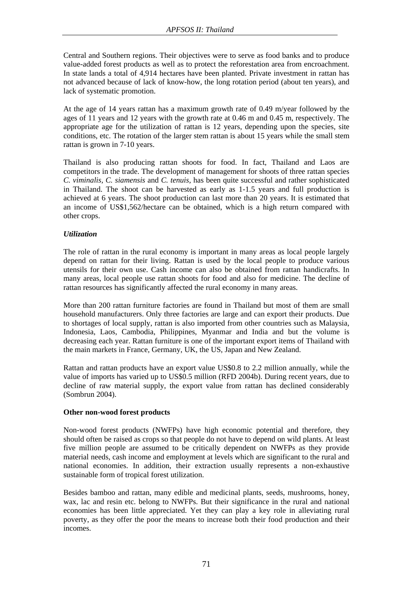Central and Southern regions. Their objectives were to serve as food banks and to produce value-added forest products as well as to protect the reforestation area from encroachment. In state lands a total of 4,914 hectares have been planted. Private investment in rattan has not advanced because of lack of know-how, the long rotation period (about ten years), and lack of systematic promotion.

At the age of 14 years rattan has a maximum growth rate of 0.49 m/year followed by the ages of 11 years and 12 years with the growth rate at 0.46 m and 0.45 m, respectively. The appropriate age for the utilization of rattan is 12 years, depending upon the species, site conditions, etc. The rotation of the larger stem rattan is about 15 years while the small stem rattan is grown in 7-10 years.

Thailand is also producing rattan shoots for food. In fact, Thailand and Laos are competitors in the trade. The development of management for shoots of three rattan species *C. viminalis, C. siamensis* and *C. tenuis*, has been quite successful and rather sophisticated in Thailand. The shoot can be harvested as early as 1-1.5 years and full production is achieved at 6 years. The shoot production can last more than 20 years. It is estimated that an income of US\$1,562/hectare can be obtained, which is a high return compared with other crops.

## *Utilization*

The role of rattan in the rural economy is important in many areas as local people largely depend on rattan for their living. Rattan is used by the local people to produce various utensils for their own use. Cash income can also be obtained from rattan handicrafts. In many areas, local people use rattan shoots for food and also for medicine. The decline of rattan resources has significantly affected the rural economy in many areas.

More than 200 rattan furniture factories are found in Thailand but most of them are small household manufacturers. Only three factories are large and can export their products. Due to shortages of local supply, rattan is also imported from other countries such as Malaysia, Indonesia, Laos, Cambodia, Philippines, Myanmar and India and but the volume is decreasing each year. Rattan furniture is one of the important export items of Thailand with the main markets in France, Germany, UK, the US, Japan and New Zealand.

Rattan and rattan products have an export value US\$0.8 to 2.2 million annually, while the value of imports has varied up to US\$0.5 million (RFD 2004b). During recent years, due to decline of raw material supply, the export value from rattan has declined considerably (Sombrun 2004).

## **Other non-wood forest products**

Non-wood forest products (NWFPs) have high economic potential and therefore, they should often be raised as crops so that people do not have to depend on wild plants. At least five million people are assumed to be critically dependent on NWFPs as they provide material needs, cash income and employment at levels which are significant to the rural and national economies. In addition, their extraction usually represents a non-exhaustive sustainable form of tropical forest utilization.

Besides bamboo and rattan, many edible and medicinal plants, seeds, mushrooms, honey, wax, lac and resin etc. belong to NWFPs. But their significance in the rural and national economies has been little appreciated. Yet they can play a key role in alleviating rural poverty, as they offer the poor the means to increase both their food production and their incomes.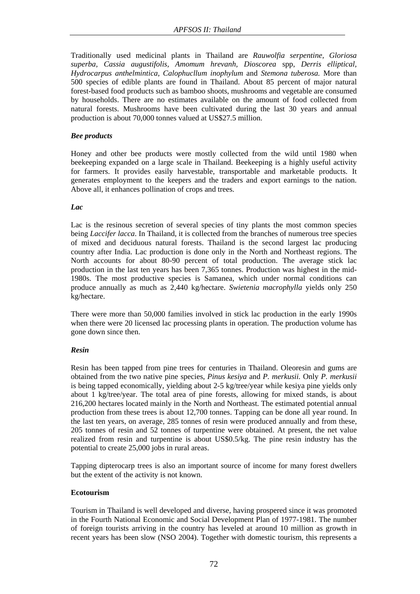Traditionally used medicinal plants in Thailand are *Rauwolfia serpentine, Gloriosa superba, Cassia augustifolis, Amomum hrevanh, Dioscorea* spp, *Derris elliptical, Hydrocarpus anthelmintica, Calophucllum inophylum* and *Stemona tuberosa.* More than 500 species of edible plants are found in Thailand. About 85 percent of major natural forest-based food products such as bamboo shoots, mushrooms and vegetable are consumed by households. There are no estimates available on the amount of food collected from natural forests. Mushrooms have been cultivated during the last 30 years and annual production is about 70,000 tonnes valued at US\$27.5 million.

## *Bee products*

Honey and other bee products were mostly collected from the wild until 1980 when beekeeping expanded on a large scale in Thailand. Beekeeping is a highly useful activity for farmers. It provides easily harvestable, transportable and marketable products. It generates employment to the keepers and the traders and export earnings to the nation. Above all, it enhances pollination of crops and trees.

## *Lac*

Lac is the resinous secretion of several species of tiny plants the most common species being *Laccifer lacca*. In Thailand, it is collected from the branches of numerous tree species of mixed and deciduous natural forests. Thailand is the second largest lac producing country after India. Lac production is done only in the North and Northeast regions. The North accounts for about 80-90 percent of total production. The average stick lac production in the last ten years has been 7,365 tonnes. Production was highest in the mid-1980s. The most productive species is Samanea, which under normal conditions can produce annually as much as 2,440 kg/hectare. *Swietenia macrophylla* yields only 250 kg/hectare.

There were more than 50,000 families involved in stick lac production in the early 1990s when there were 20 licensed lac processing plants in operation. The production volume has gone down since then.

## *Resin*

Resin has been tapped from pine trees for centuries in Thailand. Oleoresin and gums are obtained from the two native pine species, *Pinus kesiya* and *P. merkusii.* Only *P. merkusii* is being tapped economically, yielding about 2-5 kg/tree/year while kesiya pine yields only about 1 kg/tree/year. The total area of pine forests, allowing for mixed stands, is about 216,200 hectares located mainly in the North and Northeast. The estimated potential annual production from these trees is about 12,700 tonnes. Tapping can be done all year round. In the last ten years, on average, 285 tonnes of resin were produced annually and from these, 205 tonnes of resin and 52 tonnes of turpentine were obtained. At present, the net value realized from resin and turpentine is about US\$0.5/kg. The pine resin industry has the potential to create 25,000 jobs in rural areas.

Tapping dipterocarp trees is also an important source of income for many forest dwellers but the extent of the activity is not known.

## **Ecotourism**

Tourism in Thailand is well developed and diverse, having prospered since it was promoted in the Fourth National Economic and Social Development Plan of 1977-1981. The number of foreign tourists arriving in the country has leveled at around 10 million as growth in recent years has been slow (NSO 2004). Together with domestic tourism, this represents a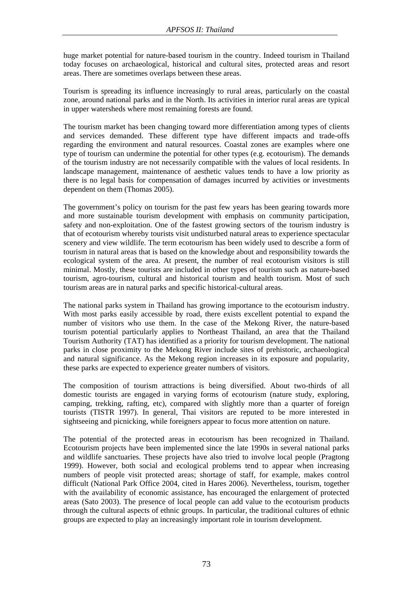huge market potential for nature-based tourism in the country. Indeed tourism in Thailand today focuses on archaeological, historical and cultural sites, protected areas and resort areas. There are sometimes overlaps between these areas.

Tourism is spreading its influence increasingly to rural areas, particularly on the coastal zone, around national parks and in the North. Its activities in interior rural areas are typical in upper watersheds where most remaining forests are found.

The tourism market has been changing toward more differentiation among types of clients and services demanded. These different type have different impacts and trade-offs regarding the environment and natural resources. Coastal zones are examples where one type of tourism can undermine the potential for other types (e.g. ecotourism). The demands of the tourism industry are not necessarily compatible with the values of local residents. In landscape management, maintenance of aesthetic values tends to have a low priority as there is no legal basis for compensation of damages incurred by activities or investments dependent on them (Thomas 2005).

The government's policy on tourism for the past few years has been gearing towards more and more sustainable tourism development with emphasis on community participation, safety and non-exploitation. One of the fastest growing sectors of the tourism industry is that of ecotourism whereby tourists visit undisturbed natural areas to experience spectacular scenery and view wildlife. The term ecotourism has been widely used to describe a form of tourism in natural areas that is based on the knowledge about and responsibility towards the ecological system of the area. At present, the number of real ecotourism visitors is still minimal. Mostly, these tourists are included in other types of tourism such as nature-based tourism, agro-tourism, cultural and historical tourism and health tourism. Most of such tourism areas are in natural parks and specific historical-cultural areas.

The national parks system in Thailand has growing importance to the ecotourism industry. With most parks easily accessible by road, there exists excellent potential to expand the number of visitors who use them. In the case of the Mekong River, the nature-based tourism potential particularly applies to Northeast Thailand, an area that the Thailand Tourism Authority (TAT) has identified as a priority for tourism development. The national parks in close proximity to the Mekong River include sites of prehistoric, archaeological and natural significance. As the Mekong region increases in its exposure and popularity, these parks are expected to experience greater numbers of visitors.

The composition of tourism attractions is being diversified. About two-thirds of all domestic tourists are engaged in varying forms of ecotourism (nature study, exploring, camping, trekking, rafting, etc), compared with slightly more than a quarter of foreign tourists (TISTR 1997). In general, Thai visitors are reputed to be more interested in sightseeing and picnicking, while foreigners appear to focus more attention on nature.

The potential of the protected areas in ecotourism has been recognized in Thailand. Ecotourism projects have been implemented since the late 1990s in several national parks and wildlife sanctuaries. These projects have also tried to involve local people (Pragtong 1999). However, both social and ecological problems tend to appear when increasing numbers of people visit protected areas; shortage of staff, for example, makes control difficult (National Park Office 2004, cited in Hares 2006). Nevertheless, tourism, together with the availability of economic assistance, has encouraged the enlargement of protected areas (Sato 2003). The presence of local people can add value to the ecotourism products through the cultural aspects of ethnic groups. In particular, the traditional cultures of ethnic groups are expected to play an increasingly important role in tourism development.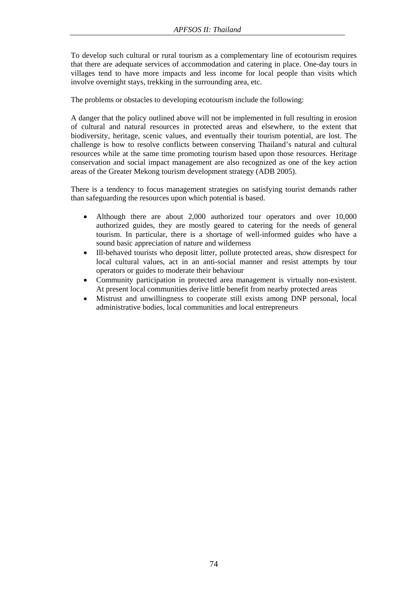To develop such cultural or rural tourism as a complementary line of ecotourism requires that there are adequate services of accommodation and catering in place. One-day tours in villages tend to have more impacts and less income for local people than visits which involve overnight stays, trekking in the surrounding area, etc.

The problems or obstacles to developing ecotourism include the following:

A danger that the policy outlined above will not be implemented in full resulting in erosion of cultural and natural resources in protected areas and elsewhere, to the extent that biodiversity, heritage, scenic values, and eventually their tourism potential, are lost. The challenge is how to resolve conflicts between conserving Thailand's natural and cultural resources while at the same time promoting tourism based upon those resources. Heritage conservation and social impact management are also recognized as one of the key action areas of the Greater Mekong tourism development strategy (ADB 2005).

There is a tendency to focus management strategies on satisfying tourist demands rather than safeguarding the resources upon which potential is based.

- Although there are about 2,000 authorized tour operators and over 10,000 authorized guides, they are mostly geared to catering for the needs of general tourism. In particular, there is a shortage of well-informed guides who have a sound basic appreciation of nature and wilderness
- Ill-behaved tourists who deposit litter, pollute protected areas, show disrespect for local cultural values, act in an anti-social manner and resist attempts by tour operators or guides to moderate their behaviour
- Community participation in protected area management is virtually non-existent. At present local communities derive little benefit from nearby protected areas
- Mistrust and unwillingness to cooperate still exists among DNP personal, local administrative bodies, local communities and local entrepreneurs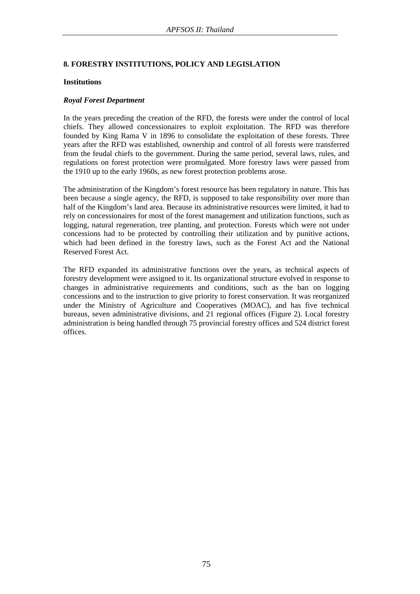## **8. FORESTRY INSTITUTIONS, POLICY AND LEGISLATION**

#### **Institutions**

#### *Royal Forest Department*

In the years preceding the creation of the RFD, the forests were under the control of local chiefs. They allowed concessionaires to exploit exploitation. The RFD was therefore founded by King Rama V in 1896 to consolidate the exploitation of these forests. Three years after the RFD was established, ownership and control of all forests were transferred from the feudal chiefs to the government. During the same period, several laws, rules, and regulations on forest protection were promulgated. More forestry laws were passed from the 1910 up to the early 1960s, as new forest protection problems arose.

The administration of the Kingdom's forest resource has been regulatory in nature. This has been because a single agency, the RFD, is supposed to take responsibility over more than half of the Kingdom's land area. Because its administrative resources were limited, it had to rely on concessionaires for most of the forest management and utilization functions, such as logging, natural regeneration, tree planting, and protection. Forests which were not under concessions had to be protected by controlling their utilization and by punitive actions, which had been defined in the forestry laws, such as the Forest Act and the National Reserved Forest Act.

The RFD expanded its administrative functions over the years, as technical aspects of forestry development were assigned to it. Its organizational structure evolved in response to changes in administrative requirements and conditions, such as the ban on logging concessions and to the instruction to give priority to forest conservation. It was reorganized under the Ministry of Agriculture and Cooperatives (MOAC), and has five technical bureaus, seven administrative divisions, and 21 regional offices (Figure 2). Local forestry administration is being handled through 75 provincial forestry offices and 524 district forest offices.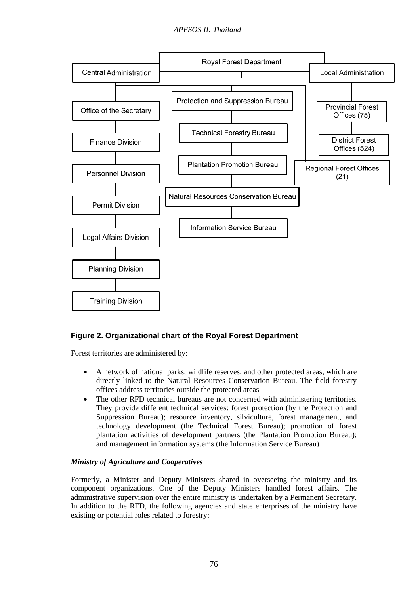

# **Figure 2. Organizational chart of the Royal Forest Department**

Forest territories are administered by:

- A network of national parks, wildlife reserves, and other protected areas, which are directly linked to the Natural Resources Conservation Bureau. The field forestry offices address territories outside the protected areas
- The other RFD technical bureaus are not concerned with administering territories. They provide different technical services: forest protection (by the Protection and Suppression Bureau); resource inventory, silviculture, forest management, and technology development (the Technical Forest Bureau); promotion of forest plantation activities of development partners (the Plantation Promotion Bureau); and management information systems (the Information Service Bureau)

## *Ministry of Agriculture and Cooperatives*

Formerly, a Minister and Deputy Ministers shared in overseeing the ministry and its component organizations. One of the Deputy Ministers handled forest affairs. The administrative supervision over the entire ministry is undertaken by a Permanent Secretary. In addition to the RFD, the following agencies and state enterprises of the ministry have existing or potential roles related to forestry: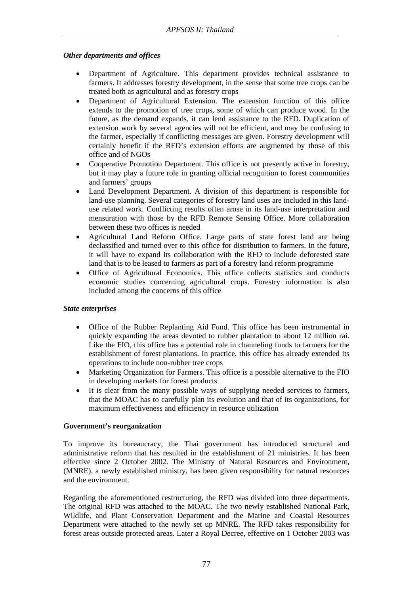## *Other departments and offices*

- Department of Agriculture. This department provides technical assistance to farmers. It addresses forestry development, in the sense that some tree crops can be treated both as agricultural and as forestry crops
- Department of Agricultural Extension. The extension function of this office extends to the promotion of tree crops, some of which can produce wood. In the future, as the demand expands, it can lend assistance to the RFD. Duplication of extension work by several agencies will not be efficient, and may be confusing to the farmer, especially if conflicting messages are given. Forestry development will certainly benefit if the RFD's extension efforts are augmented by those of this office and of NGOs
- Cooperative Promotion Department. This office is not presently active in forestry, but it may play a future role in granting official recognition to forest communities and farmers' groups
- Land Development Department. A division of this department is responsible for land-use planning. Several categories of forestry land uses are included in this landuse related work. Conflicting results often arose in its land-use interpretation and mensuration with those by the RFD Remote Sensing Office. More collaboration between these two offices is needed
- Agricultural Land Reform Office. Large parts of state forest land are being declassified and turned over to this office for distribution to farmers. In the future, it will have to expand its collaboration with the RFD to include deforested state land that is to be leased to farmers as part of a forestry land reform programme
- Office of Agricultural Economics. This office collects statistics and conducts economic studies concerning agricultural crops. Forestry information is also included among the concerns of this office

# *State enterprises*

- Office of the Rubber Replanting Aid Fund. This office has been instrumental in quickly expanding the areas devoted to rubber plantation to about 12 million rai. Like the FIO, this office has a potential role in channeling funds to farmers for the establishment of forest plantations. In practice, this office has already extended its operations to include non-rubber tree crops
- Marketing Organization for Farmers. This office is a possible alternative to the FIO in developing markets for forest products
- It is clear from the many possible ways of supplying needed services to farmers, that the MOAC has to carefully plan its evolution and that of its organizations, for maximum effectiveness and efficiency in resource utilization

# **Government's reorganization**

To improve its bureaucracy, the Thai government has introduced structural and administrative reform that has resulted in the establishment of 21 ministries. It has been effective since 2 October 2002. The Ministry of Natural Resources and Environment, (MNRE), a newly established ministry, has been given responsibility for natural resources and the environment.

Regarding the aforementioned restructuring, the RFD was divided into three departments. The original RFD was attached to the MOAC. The two newly established National Park, Wildlife, and Plant Conservation Department and the Marine and Coastal Resources Department were attached to the newly set up MNRE. The RFD takes responsibility for forest areas outside protected areas. Later a Royal Decree, effective on 1 October 2003 was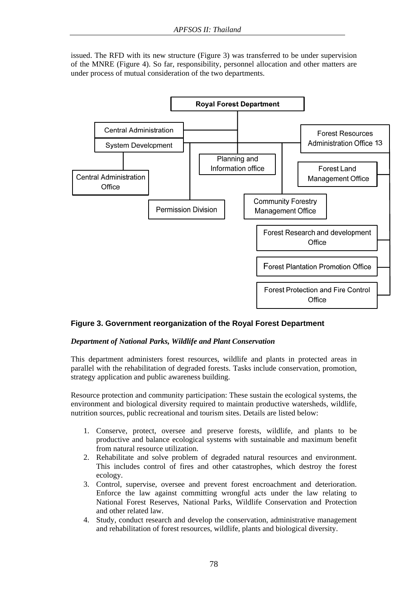issued. The RFD with its new structure (Figure 3) was transferred to be under supervision of the MNRE (Figure 4). So far, responsibility, personnel allocation and other matters are under process of mutual consideration of the two departments.



# **Figure 3. Government reorganization of the Royal Forest Department**

#### *Department of National Parks, Wildlife and Plant Conservation*

This department administers forest resources, wildlife and plants in protected areas in parallel with the rehabilitation of degraded forests. Tasks include conservation, promotion, strategy application and public awareness building.

Resource protection and community participation: These sustain the ecological systems, the environment and biological diversity required to maintain productive watersheds, wildlife, nutrition sources, public recreational and tourism sites. Details are listed below:

- 1. Conserve, protect, oversee and preserve forests, wildlife, and plants to be productive and balance ecological systems with sustainable and maximum benefit from natural resource utilization.
- 2. Rehabilitate and solve problem of degraded natural resources and environment. This includes control of fires and other catastrophes, which destroy the forest ecology.
- 3. Control, supervise, oversee and prevent forest encroachment and deterioration. Enforce the law against committing wrongful acts under the law relating to National Forest Reserves, National Parks, Wildlife Conservation and Protection and other related law.
- 4. Study, conduct research and develop the conservation, administrative management and rehabilitation of forest resources, wildlife, plants and biological diversity.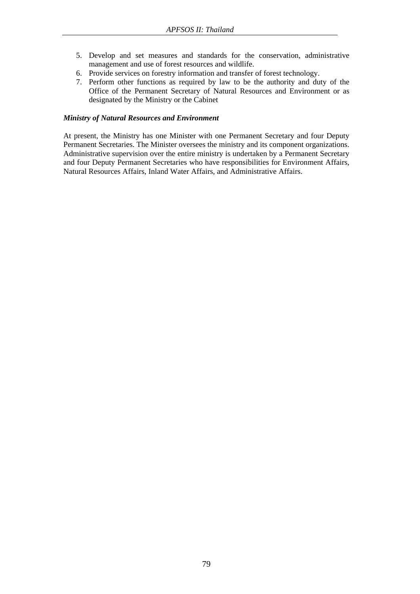- 5. Develop and set measures and standards for the conservation, administrative management and use of forest resources and wildlife.
- 6. Provide services on forestry information and transfer of forest technology.
- 7. Perform other functions as required by law to be the authority and duty of the Office of the Permanent Secretary of Natural Resources and Environment or as designated by the Ministry or the Cabinet

## *Ministry of Natural Resources and Environment*

At present, the Ministry has one Minister with one Permanent Secretary and four Deputy Permanent Secretaries. The Minister oversees the ministry and its component organizations. Administrative supervision over the entire ministry is undertaken by a Permanent Secretary and four Deputy Permanent Secretaries who have responsibilities for Environment Affairs, Natural Resources Affairs, Inland Water Affairs, and Administrative Affairs.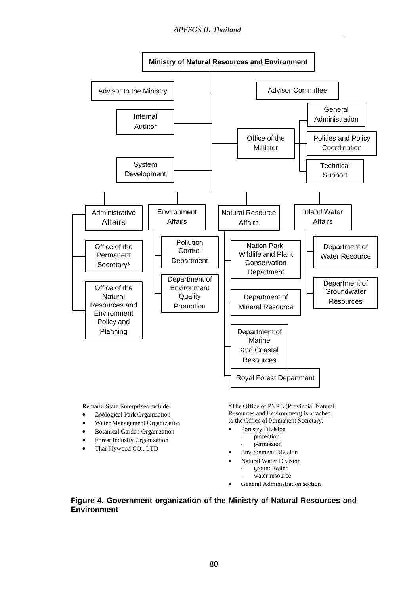

Remark: State Enterprises include:

- Zoological Park Organization
- Water Management Organization
- Botanical Garden Organization
- Forest Industry Organization
- Thai Plywood CO., LTD

\*The Office of PNRE (Provincial Natural Resources and Environment) is attached to the Office of Permanent Secretary.

- Forestry Division
	- protection
	- permission
- Environment Division
- Natural Water Division
	- ground water
	- water resource
- General Administration section

## **Figure 4. Government organization of the Ministry of Natural Resources and Environment**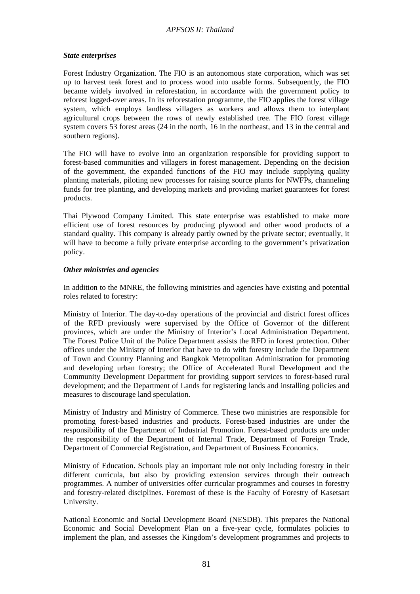## *State enterprises*

Forest Industry Organization. The FIO is an autonomous state corporation, which was set up to harvest teak forest and to process wood into usable forms. Subsequently, the FIO became widely involved in reforestation, in accordance with the government policy to reforest logged-over areas. In its reforestation programme, the FIO applies the forest village system, which employs landless villagers as workers and allows them to interplant agricultural crops between the rows of newly established tree. The FIO forest village system covers 53 forest areas (24 in the north, 16 in the northeast, and 13 in the central and southern regions).

The FIO will have to evolve into an organization responsible for providing support to forest-based communities and villagers in forest management. Depending on the decision of the government, the expanded functions of the FIO may include supplying quality planting materials, piloting new processes for raising source plants for NWFPs, channeling funds for tree planting, and developing markets and providing market guarantees for forest products.

Thai Plywood Company Limited. This state enterprise was established to make more efficient use of forest resources by producing plywood and other wood products of a standard quality. This company is already partly owned by the private sector; eventually, it will have to become a fully private enterprise according to the government's privatization policy.

## *Other ministries and agencies*

In addition to the MNRE, the following ministries and agencies have existing and potential roles related to forestry:

Ministry of Interior. The day-to-day operations of the provincial and district forest offices of the RFD previously were supervised by the Office of Governor of the different provinces, which are under the Ministry of Interior's Local Administration Department. The Forest Police Unit of the Police Department assists the RFD in forest protection. Other offices under the Ministry of Interior that have to do with forestry include the Department of Town and Country Planning and Bangkok Metropolitan Administration for promoting and developing urban forestry; the Office of Accelerated Rural Development and the Community Development Department for providing support services to forest-based rural development; and the Department of Lands for registering lands and installing policies and measures to discourage land speculation.

Ministry of Industry and Ministry of Commerce. These two ministries are responsible for promoting forest-based industries and products. Forest-based industries are under the responsibility of the Department of Industrial Promotion. Forest-based products are under the responsibility of the Department of Internal Trade, Department of Foreign Trade, Department of Commercial Registration, and Department of Business Economics.

Ministry of Education. Schools play an important role not only including forestry in their different curricula, but also by providing extension services through their outreach programmes. A number of universities offer curricular programmes and courses in forestry and forestry-related disciplines. Foremost of these is the Faculty of Forestry of Kasetsart University.

National Economic and Social Development Board (NESDB). This prepares the National Economic and Social Development Plan on a five-year cycle, formulates policies to implement the plan, and assesses the Kingdom's development programmes and projects to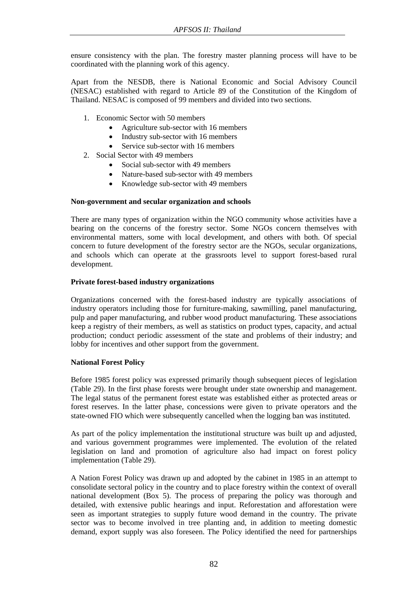ensure consistency with the plan. The forestry master planning process will have to be coordinated with the planning work of this agency.

Apart from the NESDB, there is National Economic and Social Advisory Council (NESAC) established with regard to Article 89 of the Constitution of the Kingdom of Thailand. NESAC is composed of 99 members and divided into two sections.

- 1. Economic Sector with 50 members
	- Agriculture sub-sector with 16 members
	- Industry sub-sector with 16 members
	- Service sub-sector with 16 members
- 2. Social Sector with 49 members
	- Social sub-sector with 49 members
	- Nature-based sub-sector with 49 members
	- Knowledge sub-sector with 49 members

#### **Non-government and secular organization and schools**

There are many types of organization within the NGO community whose activities have a bearing on the concerns of the forestry sector. Some NGOs concern themselves with environmental matters, some with local development, and others with both. Of special concern to future development of the forestry sector are the NGOs, secular organizations, and schools which can operate at the grassroots level to support forest-based rural development.

#### **Private forest-based industry organizations**

Organizations concerned with the forest-based industry are typically associations of industry operators including those for furniture-making, sawmilling, panel manufacturing, pulp and paper manufacturing, and rubber wood product manufacturing. These associations keep a registry of their members, as well as statistics on product types, capacity, and actual production; conduct periodic assessment of the state and problems of their industry; and lobby for incentives and other support from the government.

## **National Forest Policy**

Before 1985 forest policy was expressed primarily though subsequent pieces of legislation (Table 29). In the first phase forests were brought under state ownership and management. The legal status of the permanent forest estate was established either as protected areas or forest reserves. In the latter phase, concessions were given to private operators and the state-owned FIO which were subsequently cancelled when the logging ban was instituted.

As part of the policy implementation the institutional structure was built up and adjusted, and various government programmes were implemented. The evolution of the related legislation on land and promotion of agriculture also had impact on forest policy implementation (Table 29).

A Nation Forest Policy was drawn up and adopted by the cabinet in 1985 in an attempt to consolidate sectoral policy in the country and to place forestry within the context of overall national development (Box 5). The process of preparing the policy was thorough and detailed, with extensive public hearings and input. Reforestation and afforestation were seen as important strategies to supply future wood demand in the country. The private sector was to become involved in tree planting and, in addition to meeting domestic demand, export supply was also foreseen. The Policy identified the need for partnerships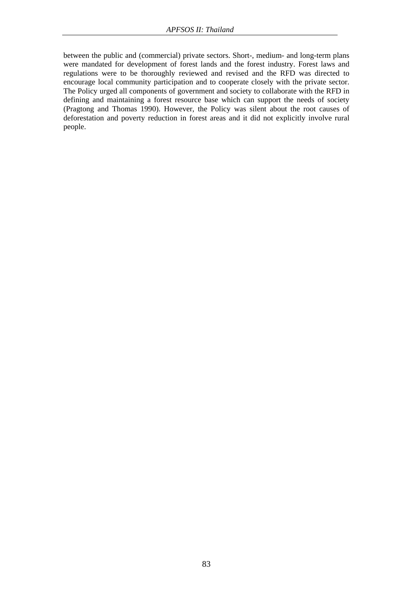between the public and (commercial) private sectors. Short-, medium- and long-term plans were mandated for development of forest lands and the forest industry. Forest laws and regulations were to be thoroughly reviewed and revised and the RFD was directed to encourage local community participation and to cooperate closely with the private sector. The Policy urged all components of government and society to collaborate with the RFD in defining and maintaining a forest resource base which can support the needs of society (Pragtong and Thomas 1990). However, the Policy was silent about the root causes of deforestation and poverty reduction in forest areas and it did not explicitly involve rural people.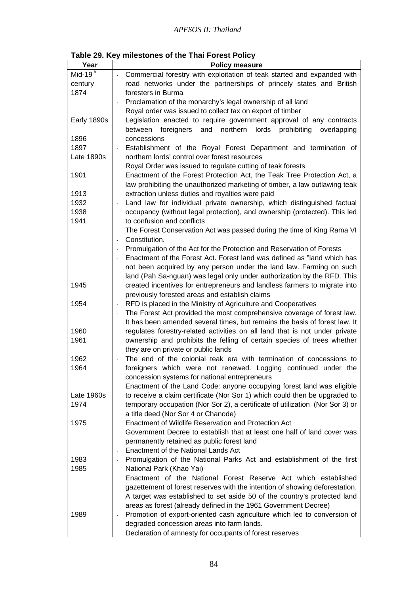|  | Table 29. Key milestones of the Thai Forest Policy |  |  |  |  |
|--|----------------------------------------------------|--|--|--|--|
|--|----------------------------------------------------|--|--|--|--|

| Year        | <b>Policy measure</b>                                                         |
|-------------|-------------------------------------------------------------------------------|
| $Mid-19th$  | Commercial forestry with exploitation of teak started and expanded with       |
| century     | road networks under the partnerships of princely states and British           |
| 1874        | foresters in Burma                                                            |
|             | Proclamation of the monarchy's legal ownership of all land                    |
|             | Royal order was issued to collect tax on export of timber                     |
| Early 1890s | Legislation enacted to require government approval of any contracts           |
|             | foreigners<br>and<br>northern<br>lords<br>prohibiting overlapping<br>between  |
| 1896        | concessions                                                                   |
| 1897        | Establishment of the Royal Forest Department and termination of               |
| Late 1890s  | northern lords' control over forest resources                                 |
|             | Royal Order was issued to regulate cutting of teak forests                    |
| 1901        | Enactment of the Forest Protection Act, the Teak Tree Protection Act, a       |
|             | law prohibiting the unauthorized marketing of timber, a law outlawing teak    |
| 1913        | extraction unless duties and royalties were paid                              |
| 1932        | Land law for individual private ownership, which distinguished factual        |
| 1938        | occupancy (without legal protection), and ownership (protected). This led     |
| 1941        | to confusion and conflicts                                                    |
|             | The Forest Conservation Act was passed during the time of King Rama VI        |
|             | Constitution.                                                                 |
|             | Promulgation of the Act for the Protection and Reservation of Forests         |
|             | Enactment of the Forest Act. Forest land was defined as "land which has       |
|             | not been acquired by any person under the land law. Farming on such           |
|             | land (Pah Sa-nguan) was legal only under authorization by the RFD. This       |
| 1945        | created incentives for entrepreneurs and landless farmers to migrate into     |
|             | previously forested areas and establish claims                                |
| 1954        | RFD is placed in the Ministry of Agriculture and Cooperatives                 |
|             | The Forest Act provided the most comprehensive coverage of forest law.        |
|             | It has been amended several times, but remains the basis of forest law. It    |
| 1960        | regulates forestry-related activities on all land that is not under private   |
| 1961        | ownership and prohibits the felling of certain species of trees whether       |
|             | they are on private or public lands                                           |
| 1962        | The end of the colonial teak era with termination of concessions to           |
| 1964        | foreigners which were not renewed. Logging continued under the                |
|             | concession systems for national entrepreneurs                                 |
|             | Enactment of the Land Code: anyone occupying forest land was eligible         |
| Late 1960s  | to receive a claim certificate (Nor Sor 1) which could then be upgraded to    |
| 1974        | temporary occupation (Nor Sor 2), a certificate of utilization (Nor Sor 3) or |
|             | a title deed (Nor Sor 4 or Chanode)                                           |
| 1975        | <b>Enactment of Wildlife Reservation and Protection Act</b>                   |
|             | Government Decree to establish that at least one half of land cover was       |
|             | permanently retained as public forest land                                    |
|             | <b>Enactment of the National Lands Act</b>                                    |
| 1983        | Promulgation of the National Parks Act and establishment of the first         |
| 1985        | National Park (Khao Yai)                                                      |
|             | Enactment of the National Forest Reserve Act which established                |
|             | gazettement of forest reserves with the intention of showing deforestation.   |
|             | A target was established to set aside 50 of the country's protected land      |
|             | areas as forest (already defined in the 1961 Government Decree)               |
| 1989        | Promotion of export-oriented cash agriculture which led to conversion of      |
|             | degraded concession areas into farm lands.                                    |
|             | Declaration of amnesty for occupants of forest reserves                       |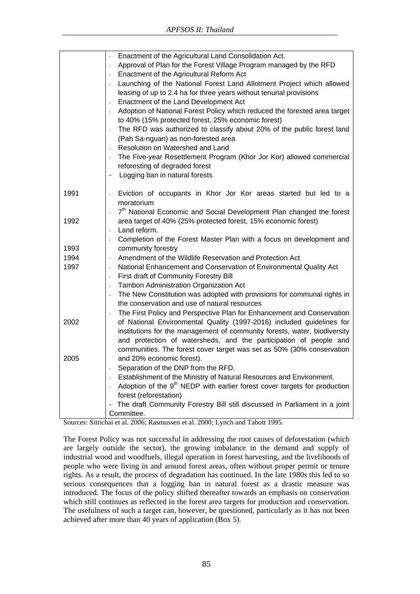|      | Enactment of the Agricultural Land Consolidation Act.                                                 |
|------|-------------------------------------------------------------------------------------------------------|
|      | Approval of Plan for the Forest Village Program managed by the RFD                                    |
|      | Enactment of the Agricultural Reform Act                                                              |
|      | Launching of the National Forest Land Allotment Project which allowed                                 |
|      | leasing of up to 2.4 ha for three years without tenurial provisions                                   |
|      | Enactment of the Land Development Act<br>$\overline{\phantom{a}}$                                     |
|      | Adoption of National Forest Policy which reduced the forested area target<br>$\overline{\phantom{a}}$ |
|      | to 40% (15% protected forest, 25% economic forest)                                                    |
|      | The RFD was authorized to classify about 20% of the public forest land                                |
|      | (Pah Sa-nguan) as non-forested area                                                                   |
|      | Resolution on Watershed and Land                                                                      |
|      | The Five-year Resettlement Program (Khor Jor Kor) allowed commercial                                  |
|      | reforesting of degraded forest                                                                        |
|      | Logging ban in natural forests<br>$\overline{\phantom{0}}$                                            |
| 1991 | Eviction of occupants in Khor Jor Kor areas started but led to a                                      |
|      | moratorium                                                                                            |
|      | 7 <sup>th</sup> National Economic and Social Development Plan changed the forest                      |
| 1992 | area target of 40% (25% protected forest, 15% economic forest)                                        |
|      | Land reform.                                                                                          |
|      | Completion of the Forest Master Plan with a focus on development and                                  |
| 1993 | community forestry                                                                                    |
| 1994 | Amendment of the Wildlife Reservation and Protection Act<br>L,                                        |
| 1997 | National Enhancement and Conservation of Environmental Quality Act<br>$\bar{\phantom{a}}$             |
|      | First draft of Community Forestry Bill                                                                |
|      | Tambon Administration Organization Act                                                                |
|      | The New Constitution was adopted with provisions for communal rights in                               |
|      | the conservation and use of natural resources                                                         |
|      | The First Policy and Perspective Plan for Enhancement and Conservation                                |
| 2002 | of National Environmental Quality (1997-2016) included guidelines for                                 |
|      | institutions for the management of community forests, water, biodiversity                             |
|      | and protection of watersheds, and the participation of people and                                     |
|      | communities. The forest cover target was set as 50% (30% conservation                                 |
| 2005 | and 20% economic forest).                                                                             |
|      | Separation of the DNP from the RFD.                                                                   |
|      | Establishment of the Ministry of Natural Resources and Environment.                                   |
|      | Adoption of the 9 <sup>th</sup> NEDP with earlier forest cover targets for production<br>L,           |
|      | forest (reforestation)                                                                                |
|      | The draft Community Forestry Bill still discussed in Parliament in a joint                            |
|      | Committee.                                                                                            |

Sources: Sittichai et al. 2006; Rasmussen et al. 2000; Lynch and Tabott 1995.

The Forest Policy was not successful in addressing the root causes of deforestation (which are largely outside the sector), the growing imbalance in the demand and supply of industrial wood and woodfuels, illegal operation in forest harvesting, and the livelihoods of people who were living in and around forest areas, often without proper permit or tenure rights. As a result, the process of degradation has continued. In the late 1980s this led to so serious consequences that a logging ban in natural forest as a drastic measure was introduced. The focus of the policy shifted thereafter towards an emphasis on conservation which still continues as reflected in the forest area targets for production and conservation. The usefulness of such a target can, however, be questioned, particularly as it has not been achieved after more than 40 years of application (Box 5).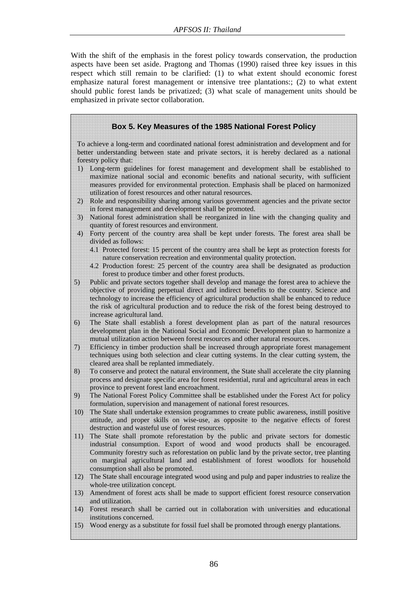With the shift of the emphasis in the forest policy towards conservation, the production aspects have been set aside. Pragtong and Thomas (1990) raised three key issues in this respect which still remain to be clarified: (1) to what extent should economic forest emphasize natural forest management or intensive tree plantations:; (2) to what extent should public forest lands be privatized; (3) what scale of management units should be emphasized in private sector collaboration.

# **Box 5. Key Measures of the 1985 National Forest Policy**

To achieve a long-term and coordinated national forest administration and development and for better understanding between state and private sectors, it is hereby declared as a national forestry policy that:

- 1) Long-term guidelines for forest management and development shall be established to maximize national social and economic benefits and national security, with sufficient measures provided for environmental protection. Emphasis shall be placed on harmonized utilization of forest resources and other natural resources.
- 2) Role and responsibility sharing among various government agencies and the private sector in forest management and development shall be promoted.
- 3) National forest administration shall be reorganized in line with the changing quality and quantity of forest resources and environment.
- 4) Forty percent of the country area shall be kept under forests. The forest area shall be divided as follows:
	- 4.1 Protected forest: 15 percent of the country area shall be kept as protection forests for nature conservation recreation and environmental quality protection.
	- 4.2 Production forest: 25 percent of the country area shall be designated as production forest to produce timber and other forest products.
- 5) Public and private sectors together shall develop and manage the forest area to achieve the objective of providing perpetual direct and indirect benefits to the country. Science and technology to increase the efficiency of agricultural production shall be enhanced to reduce the risk of agricultural production and to reduce the risk of the forest being destroyed to increase agricultural land.
- 6) The State shall establish a forest development plan as part of the natural resources development plan in the National Social and Economic Development plan to harmonize a mutual utilization action between forest resources and other natural resources.
- 7) Efficiency in timber production shall be increased through appropriate forest management techniques using both selection and clear cutting systems. In the clear cutting system, the cleared area shall be replanted immediately.
- 8) To conserve and protect the natural environment, the State shall accelerate the city planning process and designate specific area for forest residential, rural and agricultural areas in each province to prevent forest land encroachment.
- 9) The National Forest Policy Committee shall be established under the Forest Act for policy formulation, supervision and management of national forest resources.
- 10) The State shall undertake extension programmes to create public awareness, instill positive attitude, and proper skills on wise-use, as opposite to the negative effects of forest destruction and wasteful use of forest resources.
- 11) The State shall promote reforestation by the public and private sectors for domestic industrial consumption. Export of wood and wood products shall be encouraged. Community forestry such as reforestation on public land by the private sector, tree planting on marginal agricultural land and establishment of forest woodlots for household consumption shall also be promoted.
- 12) The State shall encourage integrated wood using and pulp and paper industries to realize the whole-tree utilization concept.
- 13) Amendment of forest acts shall be made to support efficient forest resource conservation and utilization.
- 14) Forest research shall be carried out in collaboration with universities and educational institutions concerned.
- 15) Wood energy as a substitute for fossil fuel shall be promoted through energy plantations.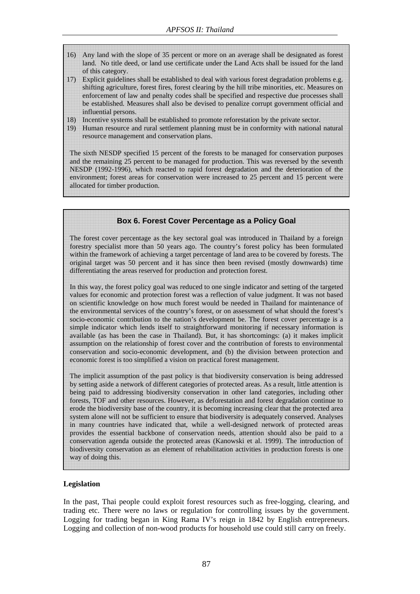- 16) Any land with the slope of 35 percent or more on an average shall be designated as forest land. No title deed, or land use certificate under the Land Acts shall be issued for the land of this category.
- 17) Explicit guidelines shall be established to deal with various forest degradation problems e.g. shifting agriculture, forest fires, forest clearing by the hill tribe minorities, etc. Measures on enforcement of law and penalty codes shall be specified and respective due processes shall be established. Measures shall also be devised to penalize corrupt government official and influential persons.
- 18) Incentive systems shall be established to promote reforestation by the private sector.
- 19) Human resource and rural settlement planning must be in conformity with national natural resource management and conservation plans.

The sixth NESDP specified 15 percent of the forests to be managed for conservation purposes and the remaining 25 percent to be managed for production. This was reversed by the seventh NESDP (1992-1996), which reacted to rapid forest degradation and the deterioration of the environment; forest areas for conservation were increased to 25 percent and 15 percent were allocated for timber production.

#### **Box 6. Forest Cover Percentage as a Policy Goal**

The forest cover percentage as the key sectoral goal was introduced in Thailand by a foreign forestry specialist more than 50 years ago. The country's forest policy has been formulated within the framework of achieving a target percentage of land area to be covered by forests. The original target was 50 percent and it has since then been revised (mostly downwards) time differentiating the areas reserved for production and protection forest.

In this way, the forest policy goal was reduced to one single indicator and setting of the targeted values for economic and protection forest was a reflection of value judgment. It was not based on scientific knowledge on how much forest would be needed in Thailand for maintenance of the environmental services of the country's forest, or on assessment of what should the forest's socio-economic contribution to the nation's development be. The forest cover percentage is a simple indicator which lends itself to straightforward monitoring if necessary information is available (as has been the case in Thailand). But, it has shortcomings: (a) it makes implicit assumption on the relationship of forest cover and the contribution of forests to environmental conservation and socio-economic development, and (b) the division between protection and economic forest is too simplified a vision on practical forest management.

The implicit assumption of the past policy is that biodiversity conservation is being addressed by setting aside a network of different categories of protected areas. As a result, little attention is being paid to addressing biodiversity conservation in other land categories, including other forests, TOF and other resources. However, as deforestation and forest degradation continue to erode the biodiversity base of the country, it is becoming increasing clear that the protected area system alone will not be sufficient to ensure that biodiversity is adequately conserved. Analyses in many countries have indicated that, while a well-designed network of protected areas provides the essential backbone of conservation needs, attention should also be paid to a conservation agenda outside the protected areas (Kanowski et al. 1999). The introduction of biodiversity conservation as an element of rehabilitation activities in production forests is one way of doing this.

## **Legislation**

In the past, Thai people could exploit forest resources such as free-logging, clearing, and trading etc. There were no laws or regulation for controlling issues by the government. Logging for trading began in King Rama IV's reign in 1842 by English entrepreneurs. Logging and collection of non-wood products for household use could still carry on freely.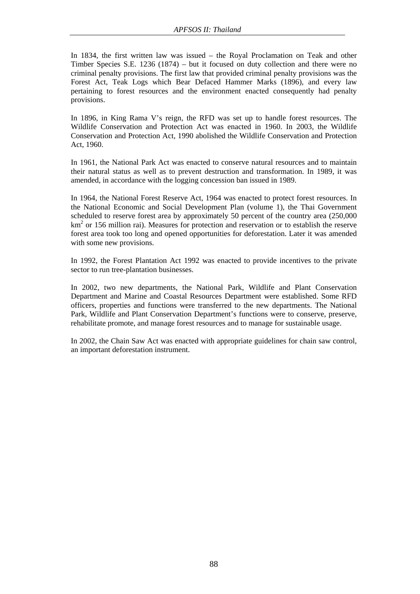In 1834, the first written law was issued – the Royal Proclamation on Teak and other Timber Species S.E. 1236 (1874) – but it focused on duty collection and there were no criminal penalty provisions. The first law that provided criminal penalty provisions was the Forest Act, Teak Logs which Bear Defaced Hammer Marks (1896), and every law pertaining to forest resources and the environment enacted consequently had penalty provisions.

In 1896, in King Rama V's reign, the RFD was set up to handle forest resources. The Wildlife Conservation and Protection Act was enacted in 1960. In 2003, the Wildlife Conservation and Protection Act, 1990 abolished the Wildlife Conservation and Protection Act, 1960.

In 1961, the National Park Act was enacted to conserve natural resources and to maintain their natural status as well as to prevent destruction and transformation. In 1989, it was amended, in accordance with the logging concession ban issued in 1989.

In 1964, the National Forest Reserve Act, 1964 was enacted to protect forest resources. In the National Economic and Social Development Plan (volume 1), the Thai Government scheduled to reserve forest area by approximately 50 percent of the country area (250,000 km<sup>2</sup> or 156 million rai). Measures for protection and reservation or to establish the reserve forest area took too long and opened opportunities for deforestation. Later it was amended with some new provisions.

In 1992, the Forest Plantation Act 1992 was enacted to provide incentives to the private sector to run tree-plantation businesses.

In 2002, two new departments, the National Park, Wildlife and Plant Conservation Department and Marine and Coastal Resources Department were established. Some RFD officers, properties and functions were transferred to the new departments. The National Park, Wildlife and Plant Conservation Department's functions were to conserve, preserve, rehabilitate promote, and manage forest resources and to manage for sustainable usage.

In 2002, the Chain Saw Act was enacted with appropriate guidelines for chain saw control, an important deforestation instrument.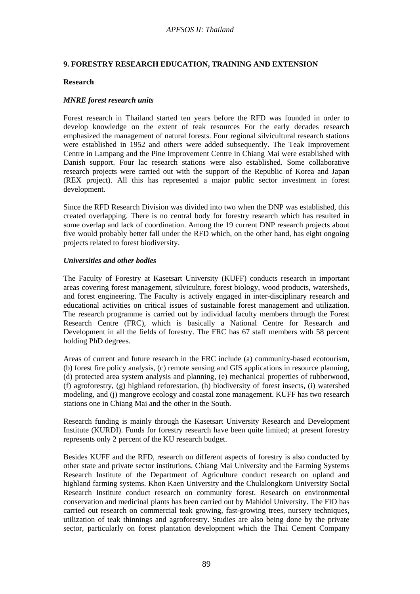# **9. FORESTRY RESEARCH EDUCATION, TRAINING AND EXTENSION**

## **Research**

## *MNRE forest research units*

Forest research in Thailand started ten years before the RFD was founded in order to develop knowledge on the extent of teak resources For the early decades research emphasized the management of natural forests. Four regional silvicultural research stations were established in 1952 and others were added subsequently. The Teak Improvement Centre in Lampang and the Pine Improvement Centre in Chiang Mai were established with Danish support. Four lac research stations were also established. Some collaborative research projects were carried out with the support of the Republic of Korea and Japan (REX project). All this has represented a major public sector investment in forest development.

Since the RFD Research Division was divided into two when the DNP was established, this created overlapping. There is no central body for forestry research which has resulted in some overlap and lack of coordination. Among the 19 current DNP research projects about five would probably better fall under the RFD which, on the other hand, has eight ongoing projects related to forest biodiversity.

## *Universities and other bodies*

The Faculty of Forestry at Kasetsart University (KUFF) conducts research in important areas covering forest management, silviculture, forest biology, wood products, watersheds, and forest engineering. The Faculty is actively engaged in inter-disciplinary research and educational activities on critical issues of sustainable forest management and utilization. The research programme is carried out by individual faculty members through the Forest Research Centre (FRC), which is basically a National Centre for Research and Development in all the fields of forestry. The FRC has 67 staff members with 58 percent holding PhD degrees.

Areas of current and future research in the FRC include (a) community-based ecotourism, (b) forest fire policy analysis, (c) remote sensing and GIS applications in resource planning, (d) protected area system analysis and planning, (e) mechanical properties of rubberwood, (f) agroforestry, (g) highland reforestation, (h) biodiversity of forest insects, (i) watershed modeling, and (j) mangrove ecology and coastal zone management. KUFF has two research stations one in Chiang Mai and the other in the South.

Research funding is mainly through the Kasetsart University Research and Development Institute (KURDI). Funds for forestry research have been quite limited; at present forestry represents only 2 percent of the KU research budget.

Besides KUFF and the RFD, research on different aspects of forestry is also conducted by other state and private sector institutions. Chiang Mai University and the Farming Systems Research Institute of the Department of Agriculture conduct research on upland and highland farming systems. Khon Kaen University and the Chulalongkorn University Social Research Institute conduct research on community forest. Research on environmental conservation and medicinal plants has been carried out by Mahidol University. The FIO has carried out research on commercial teak growing, fast-growing trees, nursery techniques, utilization of teak thinnings and agroforestry. Studies are also being done by the private sector, particularly on forest plantation development which the Thai Cement Company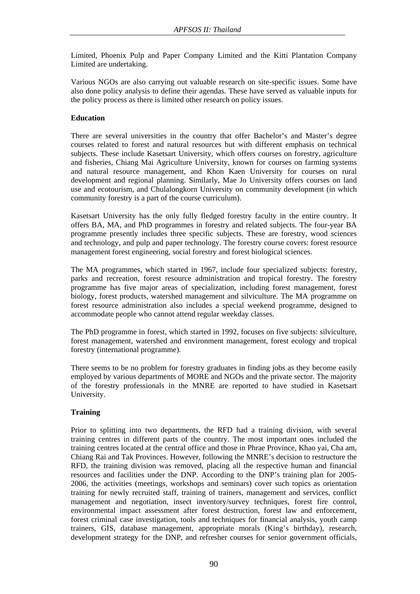Limited, Phoenix Pulp and Paper Company Limited and the Kitti Plantation Company Limited are undertaking.

Various NGOs are also carrying out valuable research on site-specific issues. Some have also done policy analysis to define their agendas. These have served as valuable inputs for the policy process as there is limited other research on policy issues.

# **Education**

There are several universities in the country that offer Bachelor's and Master's degree courses related to forest and natural resources but with different emphasis on technical subjects. These include Kasetsart University, which offers courses on forestry, agriculture and fisheries, Chiang Mai Agriculture University, known for courses on farming systems and natural resource management, and Khon Kaen University for courses on rural development and regional planning. Similarly, Mae Jo University offers courses on land use and ecotourism, and Chulalongkorn University on community development (in which community forestry is a part of the course curriculum).

Kasetsart University has the only fully fledged forestry faculty in the entire country. It offers BA, MA, and PhD programmes in forestry and related subjects. The four-year BA programme presently includes three specific subjects. These are forestry, wood sciences and technology, and pulp and paper technology. The forestry course covers: forest resource management forest engineering, social forestry and forest biological sciences.

The MA programmes, which started in 1967, include four specialized subjects: forestry, parks and recreation, forest resource administration and tropical forestry. The forestry programme has five major areas of specialization, including forest management, forest biology, forest products, watershed management and silviculture. The MA programme on forest resource administration also includes a special weekend programme, designed to accommodate people who cannot attend regular weekday classes.

The PhD programme in forest, which started in 1992, focuses on five subjects: silviculture, forest management, watershed and environment management, forest ecology and tropical forestry (international programme).

There seems to be no problem for forestry graduates in finding jobs as they become easily employed by various departments of MORE and NGOs and the private sector. The majority of the forestry professionals in the MNRE are reported to have studied in Kasetsart University.

## **Training**

Prior to splitting into two departments, the RFD had a training division, with several training centres in different parts of the country. The most important ones included the training centres located at the central office and those in Phrae Province, Khao yai, Cha am, Chiang Rai and Tak Provinces. However, following the MNRE's decision to restructure the RFD, the training division was removed, placing all the respective human and financial resources and facilities under the DNP. According to the DNP's training plan for 2005- 2006, the activities (meetings, workshops and seminars) cover such topics as orientation training for newly recruited staff, training of trainers, management and services, conflict management and negotiation, insect inventory/survey techniques, forest fire control, environmental impact assessment after forest destruction, forest law and enforcement, forest criminal case investigation, tools and techniques for financial analysis, youth camp trainers, GIS, database management, appropriate morals (King's birthday), research, development strategy for the DNP, and refresher courses for senior government officials,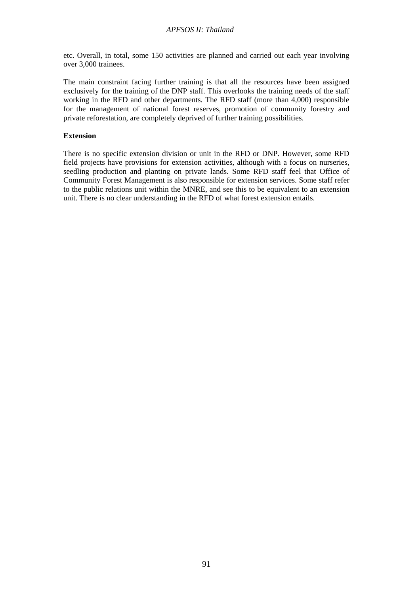etc. Overall, in total, some 150 activities are planned and carried out each year involving over 3,000 trainees.

The main constraint facing further training is that all the resources have been assigned exclusively for the training of the DNP staff. This overlooks the training needs of the staff working in the RFD and other departments. The RFD staff (more than 4,000) responsible for the management of national forest reserves, promotion of community forestry and private reforestation, are completely deprived of further training possibilities.

## **Extension**

There is no specific extension division or unit in the RFD or DNP. However, some RFD field projects have provisions for extension activities, although with a focus on nurseries, seedling production and planting on private lands. Some RFD staff feel that Office of Community Forest Management is also responsible for extension services. Some staff refer to the public relations unit within the MNRE, and see this to be equivalent to an extension unit. There is no clear understanding in the RFD of what forest extension entails.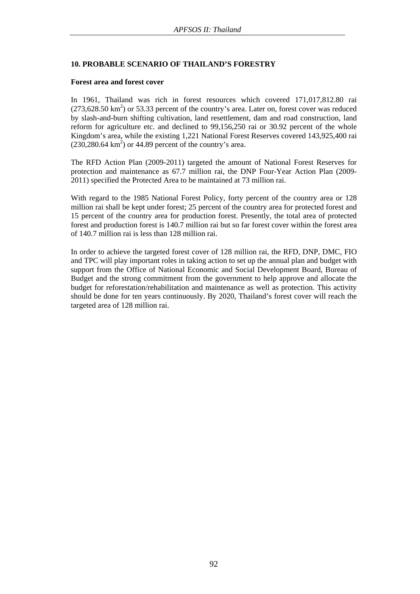# **10. PROBABLE SCENARIO OF THAILAND'S FORESTRY**

#### **Forest area and forest cover**

In 1961, Thailand was rich in forest resources which covered 171,017,812.80 rai  $(273,628.50 \text{ km}^2)$  or 53.33 percent of the country's area. Later on, forest cover was reduced by slash-and-burn shifting cultivation, land resettlement, dam and road construction, land reform for agriculture etc. and declined to 99,156,250 rai or 30.92 percent of the whole Kingdom's area, while the existing 1,221 National Forest Reserves covered 143,925,400 rai  $(230, 280.64 \text{ km}^2)$  or 44.89 percent of the country's area.

The RFD Action Plan (2009-2011) targeted the amount of National Forest Reserves for protection and maintenance as 67.7 million rai, the DNP Four-Year Action Plan (2009- 2011) specified the Protected Area to be maintained at 73 million rai.

With regard to the 1985 National Forest Policy, forty percent of the country area or 128 million rai shall be kept under forest; 25 percent of the country area for protected forest and 15 percent of the country area for production forest. Presently, the total area of protected forest and production forest is 140.7 million rai but so far forest cover within the forest area of 140.7 million rai is less than 128 million rai.

In order to achieve the targeted forest cover of 128 million rai, the RFD, DNP, DMC, FIO and TPC will play important roles in taking action to set up the annual plan and budget with support from the Office of National Economic and Social Development Board, Bureau of Budget and the strong commitment from the government to help approve and allocate the budget for reforestation/rehabilitation and maintenance as well as protection. This activity should be done for ten years continuously. By 2020, Thailand's forest cover will reach the targeted area of 128 million rai.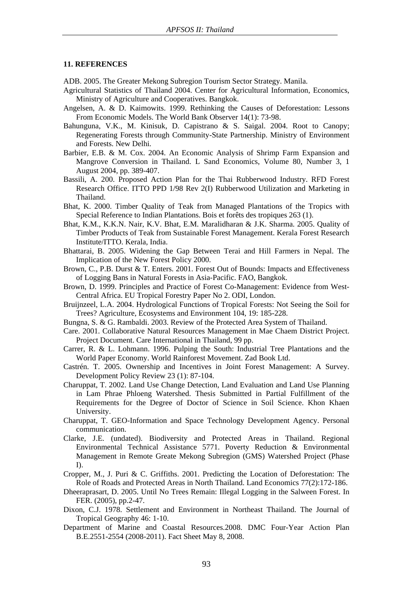#### **11. REFERENCES**

ADB. 2005. The Greater Mekong Subregion Tourism Sector Strategy. Manila.

- Agricultural Statistics of Thailand 2004. Center for Agricultural Information, Economics, Ministry of Agriculture and Cooperatives. Bangkok.
- Angelsen, A. & D. Kaimowits. 1999. Rethinking the Causes of Deforestation: Lessons From Economic Models. The World Bank Observer 14(1): 73-98.
- Bahunguna, V.K., M. Kinisuk, D. Capistrano & S. Saigal. 2004. Root to Canopy; Regenerating Forests through Community-State Partnership. Ministry of Environment and Forests. New Delhi.
- Barbier, E.B. & M. Cox. 2004. An Economic Analysis of Shrimp Farm Expansion and Mangrove Conversion in Thailand. L Sand Economics, Volume 80, Number 3, 1 August 2004, pp. 389-407.
- Bassili, A. 200. Proposed Action Plan for the Thai Rubberwood Industry. RFD Forest Research Office. ITTO PPD 1/98 Rev 2(I) Rubberwood Utilization and Marketing in Thailand.
- Bhat, K. 2000. Timber Quality of Teak from Managed Plantations of the Tropics with Special Reference to Indian Plantations. Bois et forêts des tropiques 263 (1).
- Bhat, K.M., K.K.N. Nair, K.V. Bhat, E.M. Maralidharan & J.K. Sharma. 2005. Quality of Timber Products of Teak from Sustainable Forest Management. Kerala Forest Research Institute/ITTO. Kerala, India.
- Bhattarai, B. 2005. Widening the Gap Between Terai and Hill Farmers in Nepal. The Implication of the New Forest Policy 2000.
- Brown, C., P.B. Durst & T. Enters. 2001. Forest Out of Bounds: Impacts and Effectiveness of Logging Bans in Natural Forests in Asia-Pacific. FAO, Bangkok.
- Brown, D. 1999. Principles and Practice of Forest Co-Management: Evidence from West-Central Africa. EU Tropical Forestry Paper No 2. ODI, London.
- Bruijnzeel, L.A. 2004. Hydrological Functions of Tropical Forests: Not Seeing the Soil for Trees? Agriculture, Ecosystems and Environment 104, 19: 185-228.
- Bungna, S. & G. Rambaldi. 2003. Review of the Protected Area System of Thailand.
- Care. 2001. Collaborative Natural Resources Management in Mae Chaem District Project. Project Document. Care International in Thailand, 99 pp.
- Carrer, R. & L. Lohmann. 1996. Pulping the South: Industrial Tree Plantations and the World Paper Economy. World Rainforest Movement. Zad Book Ltd.
- Castrén. T. 2005. Ownership and Incentives in Joint Forest Management: A Survey. Development Policy Review 23 (1): 87-104.
- Charuppat, T. 2002. Land Use Change Detection, Land Evaluation and Land Use Planning in Lam Phrae Phloeng Watershed. Thesis Submitted in Partial Fulfillment of the Requirements for the Degree of Doctor of Science in Soil Science. Khon Khaen University.
- Charuppat, T. GEO-Information and Space Technology Development Agency. Personal communication.
- Clarke, J.E. (undated). Biodiversity and Protected Areas in Thailand. Regional Environmental Technical Assistance 5771. Poverty Reduction & Environmental Management in Remote Greate Mekong Subregion (GMS) Watershed Project (Phase I).
- Cropper, M., J. Puri & C. Griffiths. 2001. Predicting the Location of Deforestation: The Role of Roads and Protected Areas in North Thailand. Land Economics 77(2):172-186.
- Dheeraprasart, D. 2005. Until No Trees Remain: Illegal Logging in the Salween Forest. In FER. (2005), pp.2-47.
- Dixon, C.J. 1978. Settlement and Environment in Northeast Thailand. The Journal of Tropical Geography 46: 1-10.
- Department of Marine and Coastal Resources.2008. DMC Four-Year Action Plan B.E.2551-2554 (2008-2011). Fact Sheet May 8, 2008.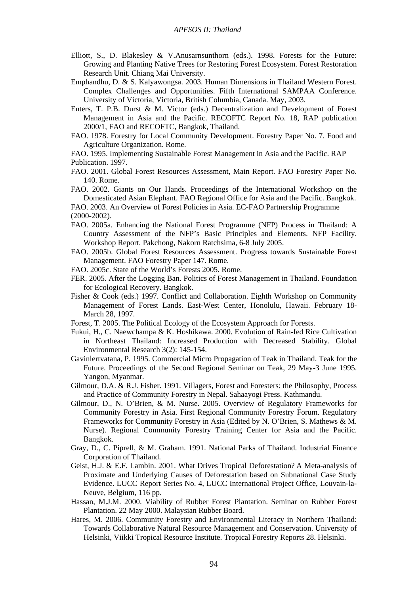- Elliott, S., D. Blakesley & V.Anusarnsunthorn (eds.). 1998. Forests for the Future: Growing and Planting Native Trees for Restoring Forest Ecosystem. Forest Restoration Research Unit. Chiang Mai University.
- Emphandhu, D. & S. Kalyawongsa. 2003. Human Dimensions in Thailand Western Forest. Complex Challenges and Opportunities. Fifth International SAMPAA Conference. University of Victoria, Victoria, British Columbia, Canada. May, 2003.
- Enters, T. P.B. Durst & M. Victor (eds.) Decentralization and Development of Forest Management in Asia and the Pacific. RECOFTC Report No. 18, RAP publication 2000/1, FAO and RECOFTC, Bangkok, Thailand.
- FAO. 1978. Forestry for Local Community Development. Forestry Paper No. 7. Food and Agriculture Organization. Rome.
- FAO. 1995. Implementing Sustainable Forest Management in Asia and the Pacific. RAP Publication. 1997.
- FAO. 2001. Global Forest Resources Assessment, Main Report. FAO Forestry Paper No. 140. Rome.
- FAO. 2002. Giants on Our Hands. Proceedings of the International Workshop on the Domesticated Asian Elephant. FAO Regional Office for Asia and the Pacific. Bangkok.

FAO. 2003. An Overview of Forest Policies in Asia. EC-FAO Partnership Programme (2000-2002).

- FAO. 2005a. Enhancing the National Forest Programme (NFP) Process in Thailand: A Country Assessment of the NFP's Basic Principles and Elements. NFP Facility. Workshop Report. Pakchong, Nakorn Ratchsima, 6-8 July 2005.
- FAO. 2005b. Global Forest Resources Assessment. Progress towards Sustainable Forest Management. FAO Forestry Paper 147. Rome.
- FAO. 2005c. State of the World's Forests 2005. Rome.
- FER. 2005. After the Logging Ban. Politics of Forest Management in Thailand. Foundation for Ecological Recovery. Bangkok.
- Fisher & Cook (eds.) 1997. Conflict and Collaboration. Eighth Workshop on Community Management of Forest Lands. East-West Center, Honolulu, Hawaii. February 18- March 28, 1997.
- Forest, T. 2005. The Political Ecology of the Ecosystem Approach for Forests.
- Fukui, H., C. Naewchampa & K. Hoshikawa. 2000. Evolution of Rain-fed Rice Cultivation in Northeast Thailand: Increased Production with Decreased Stability. Global Environmental Research 3(2): 145-154.
- Gavinlertvatana, P. 1995. Commercial Micro Propagation of Teak in Thailand. Teak for the Future. Proceedings of the Second Regional Seminar on Teak, 29 May-3 June 1995. Yangon, Myanmar.
- Gilmour, D.A. & R.J. Fisher. 1991. Villagers, Forest and Foresters: the Philosophy, Process and Practice of Community Forestry in Nepal. Sahaayogi Press. Kathmandu.
- Gilmour, D., N. O'Brien, & M. Nurse. 2005. Overview of Regulatory Frameworks for Community Forestry in Asia. First Regional Community Forestry Forum. Regulatory Frameworks for Community Forestry in Asia (Edited by N. O'Brien, S. Mathews & M. Nurse). Regional Community Forestry Training Center for Asia and the Pacific. Bangkok.
- Gray, D., C. Piprell, & M. Graham. 1991. National Parks of Thailand. Industrial Finance Corporation of Thailand.
- Geist, H.J. & E.F. Lambin. 2001. What Drives Tropical Deforestation? A Meta-analysis of Proximate and Underlying Causes of Deforestation based on Subnational Case Study Evidence. LUCC Report Series No. 4, LUCC International Project Office, Louvain-la-Neuve, Belgium, 116 pp.
- Hassan, M.J.M. 2000. Viability of Rubber Forest Plantation. Seminar on Rubber Forest Plantation. 22 May 2000. Malaysian Rubber Board.
- Hares, M. 2006. Community Forestry and Environmental Literacy in Northern Thailand: Towards Collaborative Natural Resource Management and Conservation. University of Helsinki, Viikki Tropical Resource Institute. Tropical Forestry Reports 28. Helsinki.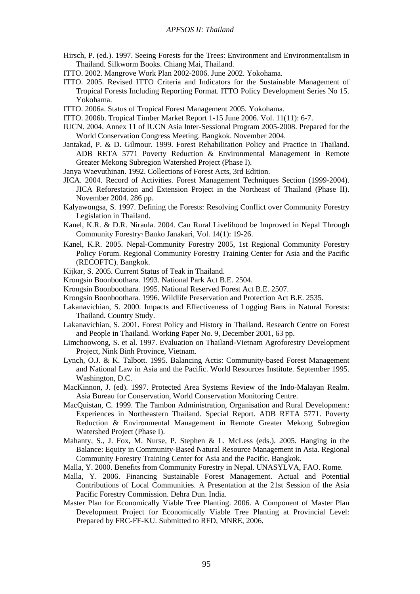- Hirsch, P. (ed.). 1997. Seeing Forests for the Trees: Environment and Environmentalism in Thailand. Silkworm Books. Chiang Mai, Thailand.
- ITTO. 2002. Mangrove Work Plan 2002-2006. June 2002. Yokohama.
- ITTO. 2005. Revised ITTO Criteria and Indicators for the Sustainable Management of Tropical Forests Including Reporting Format. ITTO Policy Development Series No 15. Yokohama.
- ITTO. 2006a. Status of Tropical Forest Management 2005. Yokohama.
- ITTO. 2006b. Tropical Timber Market Report 1-15 June 2006. Vol. 11(11): 6-7.
- IUCN. 2004. Annex 11 of IUCN Asia Inter-Sessional Program 2005-2008. Prepared for the World Conservation Congress Meeting. Bangkok. November 2004.
- Jantakad, P. & D. Gilmour. 1999. Forest Rehabilitation Policy and Practice in Thailand. ADB RETA 5771 Poverty Reduction & Environmental Management in Remote Greater Mekong Subregion Watershed Project (Phase I).
- Janya Waevuthinan. 1992. Collections of Forest Acts, 3rd Edition.
- JICA. 2004. Record of Activities. Forest Management Techniques Section (1999-2004). JICA Reforestation and Extension Project in the Northeast of Thailand (Phase II). November 2004. 286 pp.
- Kalyawongsa, S. 1997. Defining the Forests: Resolving Conflict over Community Forestry Legislation in Thailand.
- Kanel, K.R. & D.R. Niraula. 2004. Can Rural Livelihood be Improved in Nepal Through Community Forestry? Banko Janakari, Vol. 14(1): 19-26.
- Kanel, K.R. 2005. Nepal-Community Forestry 2005, 1st Regional Community Forestry Policy Forum. Regional Community Forestry Training Center for Asia and the Pacific (RECOFTC). Bangkok.
- Kijkar, S. 2005. Current Status of Teak in Thailand.
- Krongsin Boonboothara. 1993. National Park Act B.E. 2504.
- Krongsin Boonboothara. 1995. National Reserved Forest Act B.E. 2507.
- Krongsin Boonboothara. 1996. Wildlife Preservation and Protection Act B.E. 2535.
- Lakanavichian, S. 2000. Impacts and Effectiveness of Logging Bans in Natural Forests: Thailand. Country Study.
- Lakanavichian, S. 2001. Forest Policy and History in Thailand. Research Centre on Forest and People in Thailand. Working Paper No. 9, December 2001, 63 pp.
- Limchoowong, S. et al. 1997. Evaluation on Thailand-Vietnam Agroforestry Development Project, Nink Binh Province, Vietnam.
- Lynch, O.J. & K. Talbott. 1995. Balancing Actis: Community-based Forest Management and National Law in Asia and the Pacific. World Resources Institute. September 1995. Washington, D.C.
- MacKinnon, J. (ed). 1997. Protected Area Systems Review of the Indo-Malayan Realm. Asia Bureau for Conservation, World Conservation Monitoring Centre.
- MacQuistan, C. 1999. The Tambon Administration, Organisation and Rural Development: Experiences in Northeastern Thailand. Special Report. ADB RETA 5771. Poverty Reduction & Environmental Management in Remote Greater Mekong Subregion Watershed Project (Phase I).
- Mahanty, S., J. Fox, M. Nurse, P. Stephen & L. McLess (eds.). 2005. Hanging in the Balance: Equity in Community-Based Natural Resource Management in Asia. Regional Community Forestry Training Center for Asia and the Pacific. Bangkok.
- Malla, Y. 2000. Benefits from Community Forestry in Nepal. UNASYLVA, FAO. Rome.
- Malla, Y. 2006. Financing Sustainable Forest Management. Actual and Potential Contributions of Local Communities. A Presentation at the 21st Session of the Asia Pacific Forestry Commission. Dehra Dun. India.
- Master Plan for Economically Viable Tree Planting. 2006. A Component of Master Plan Development Project for Economically Viable Tree Planting at Provincial Level: Prepared by FRC-FF-KU. Submitted to RFD, MNRE, 2006.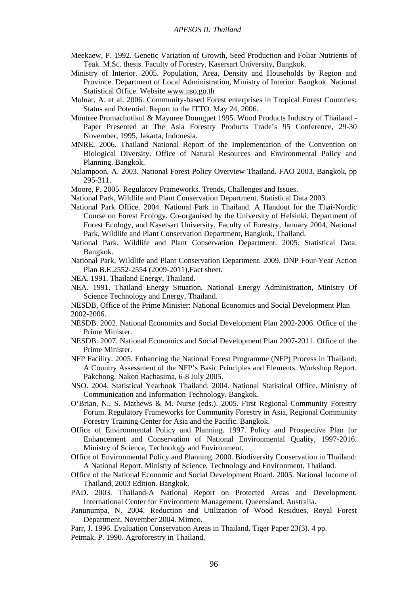- Meekaew, P. 1992. Genetic Variation of Growth, Seed Production and Foliar Nutrients of Teak. M.Sc. thesis. Faculty of Forestry, Kasersart University, Bangkok.
- Ministry of Interior. 2005. Population, Area, Density and Households by Region and Province. Department of Local Administration, Ministry of Interior. Bangkok. National Statistical Office. Website www.nso.go.th
- Molnar, A. et al. 2006. Community-based Forest enterprises in Tropical Forest Countries: Status and Potential. Report to the ITTO. May 24, 2006.
- Montree Promachotikul & Mayuree Doungpet 1995. Wood Products Industry of Thailand Paper Presented at The Asia Forestry Products Trade's 95 Conference, 29-30 November, 1995, Jakarta, Indonesia.
- MNRE. 2006. Thailand National Report of the Implementation of the Convention on Biological Diversity. Office of Natural Resources and Environmental Policy and Planning. Bangkok.
- Nalampoon, A. 2003. National Forest Policy Overview Thailand. FAO 2003. Bangkok, pp 295-311.
- Moore, P. 2005. Regulatory Frameworks. Trends, Challenges and Issues.
- National Park, Wildlife and Plant Conservation Department. Statistical Data 2003.
- National Park Office. 2004. National Park in Thailand. A Handout for the Thai-Nordic Course on Forest Ecology. Co-organised by the University of Helsinki, Department of Forest Ecology, and Kasetsart University, Faculty of Forestry, January 2004, National Park, Wildlife and Plant Conservation Department, Bangkok, Thailand.
- National Park, Wildlife and Plant Conservation Department. 2005. Statistical Data. Bangkok.
- National Park, Wildlife and Plant Conservation Department. 2009. DNP Four-Year Action Plan B.E.2552-2554 (2009-2011).Fact sheet.
- NEA. 1991. Thailand Energy, Thailand.
- NEA. 1991. Thailand Energy Situation, National Energy Administration, Ministry Of Science Technology and Energy, Thailand.

NESDB, Office of the Prime Minister: National Economics and Social Development Plan 2002-2006.

- NESDB. 2002. National Economics and Social Development Plan 2002-2006. Office of the Prime Minister.
- NESDB. 2007. National Economics and Social Development Plan 2007-2011. Office of the Prime Minister.
- NFP Facility. 2005. Enhancing the National Forest Programme (NFP) Process in Thailand: A Country Assessment of the NFP's Basic Principles and Elements. Workshop Report. Pakchong, Nakon Rachasima, 6-8 July 2005.
- NSO. 2004. Statistical Yearbook Thailand. 2004. National Statistical Office. Ministry of Communication and Information Technology. Bangkok.
- O'Brian, N., S. Mathews & M. Nurse (eds.). 2005. First Regional Community Forestry Forum. Regulatory Frameworks for Community Forestry in Asia, Regional Community Forestry Training Center for Asia and the Pacific. Bangkok.
- Office of Environmental Policy and Planning. 1997. Policy and Prospective Plan for Enhancement and Conservation of National Environmental Quality, 1997-2016. Ministry of Science, Technology and Environment.
- Office of Environmental Policy and Planning. 2000. Biodiversity Conservation in Thailand: A National Report. Ministry of Science, Technology and Environment. Thailand.
- Office of the National Economic and Social Development Board. 2005. National Income of Thailand, 2003 Edition. Bangkok.
- PAD. 2003. Thailand-A National Report on Protected Areas and Development. International Center for Environment Management. Queensland. Australia.
- Panunumpa, N. 2004. Reduction and Utilization of Wood Residues, Royal Forest Department. November 2004. Mimeo.
- Parr, J. 1996. Evaluation Conservation Areas in Thailand. Tiger Paper 23(3). 4 pp.

Petmak. P. 1990. Agroforestry in Thailand.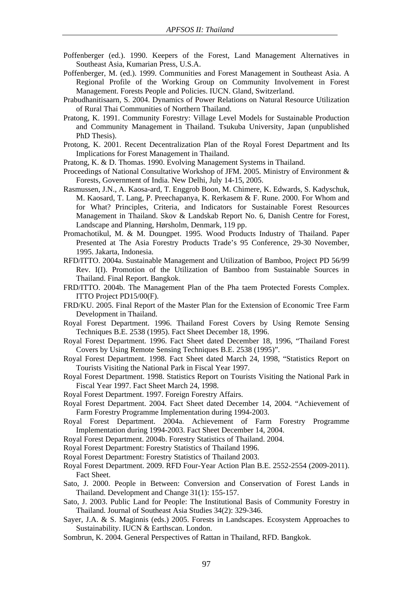- Poffenberger (ed.). 1990. Keepers of the Forest, Land Management Alternatives in Southeast Asia, Kumarian Press, U.S.A.
- Poffenberger, M. (ed.). 1999. Communities and Forest Management in Southeast Asia. A Regional Profile of the Working Group on Community Involvement in Forest Management. Forests People and Policies. IUCN. Gland, Switzerland.
- Prabudhanitisaarn, S. 2004. Dynamics of Power Relations on Natural Resource Utilization of Rural Thai Communities of Northern Thailand.
- Pratong, K. 1991. Community Forestry: Village Level Models for Sustainable Production and Community Management in Thailand. Tsukuba University, Japan (unpublished PhD Thesis).
- Protong, K. 2001. Recent Decentralization Plan of the Royal Forest Department and Its Implications for Forest Management in Thailand.
- Pratong, K. & D. Thomas. 1990. Evolving Management Systems in Thailand.
- Proceedings of National Consultative Workshop of JFM. 2005. Ministry of Environment & Forests, Government of India. New Delhi, July 14-15, 2005.
- Rasmussen, J.N., A. Kaosa-ard, T. Enggrob Boon, M. Chimere, K. Edwards, S. Kadyschuk, M. Kaosard, T. Lang, P. Preechapanya, K. Rerkasem & F. Rune. 2000. For Whom and for What? Principles, Criteria, and Indicators for Sustainable Forest Resources Management in Thailand. Skov & Landskab Report No. 6, Danish Centre for Forest, Landscape and Planning, Hørsholm, Denmark, 119 pp.
- Promachotikul, M. & M. Doungpet. 1995. Wood Products Industry of Thailand. Paper Presented at The Asia Forestry Products Trade's 95 Conference, 29-30 November, 1995. Jakarta, Indonesia.
- RFD/ITTO. 2004a. Sustainable Management and Utilization of Bamboo, Project PD 56/99 Rev. I(I). Promotion of the Utilization of Bamboo from Sustainable Sources in Thailand. Final Report. Bangkok.
- FRD/ITTO. 2004b. The Management Plan of the Pha taem Protected Forests Complex. ITTO Project PD15/00(F).
- FRD/KU. 2005. Final Report of the Master Plan for the Extension of Economic Tree Farm Development in Thailand.
- Royal Forest Department. 1996. Thailand Forest Covers by Using Remote Sensing Techniques B.E. 2538 (1995). Fact Sheet December 18, 1996.
- Royal Forest Department. 1996. Fact Sheet dated December 18, 1996, "Thailand Forest Covers by Using Remote Sensing Techniques B.E. 2538 (1995)".
- Royal Forest Department. 1998. Fact Sheet dated March 24, 1998, "Statistics Report on Tourists Visiting the National Park in Fiscal Year 1997.
- Royal Forest Department. 1998. Statistics Report on Tourists Visiting the National Park in Fiscal Year 1997. Fact Sheet March 24, 1998.
- Royal Forest Department. 1997. Foreign Forestry Affairs.
- Royal Forest Department. 2004. Fact Sheet dated December 14, 2004. "Achievement of Farm Forestry Programme Implementation during 1994-2003.
- Royal Forest Department. 2004a. Achievement of Farm Forestry Programme Implementation during 1994-2003. Fact Sheet December 14, 2004.
- Royal Forest Department. 2004b. Forestry Statistics of Thailand. 2004.
- Royal Forest Department: Forestry Statistics of Thailand 1996.
- Royal Forest Department: Forestry Statistics of Thailand 2003.
- Royal Forest Department. 2009. RFD Four-Year Action Plan B.E. 2552-2554 (2009-2011). Fact Sheet.
- Sato, J. 2000. People in Between: Conversion and Conservation of Forest Lands in Thailand. Development and Change 31(1): 155-157.
- Sato, J. 2003. Public Land for People: The Institutional Basis of Community Forestry in Thailand. Journal of Southeast Asia Studies 34(2): 329-346.
- Sayer, J.A. & S. Maginnis (eds.) 2005. Forests in Landscapes. Ecosystem Approaches to Sustainability. IUCN & Earthscan. London.
- Sombrun, K. 2004. General Perspectives of Rattan in Thailand, RFD. Bangkok.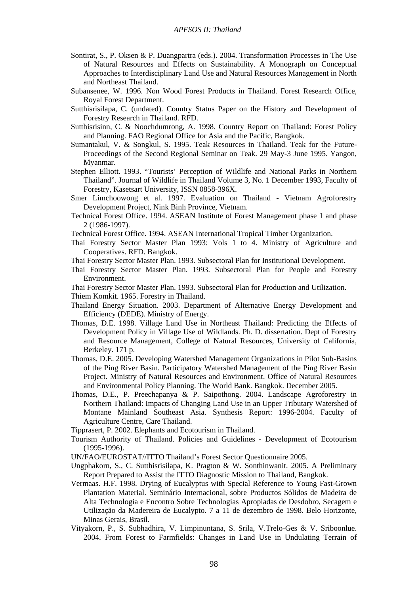- Sontirat, S., P. Oksen & P. Duangpartra (eds.). 2004. Transformation Processes in The Use of Natural Resources and Effects on Sustainability. A Monograph on Conceptual Approaches to Interdisciplinary Land Use and Natural Resources Management in North and Northeast Thailand.
- Subansenee, W. 1996. Non Wood Forest Products in Thailand. Forest Research Office, Royal Forest Department.
- Sutthisrisilapa, C. (undated). Country Status Paper on the History and Development of Forestry Research in Thailand. RFD.
- Sutthisrisinn, C. & Noochdumrong, A. 1998. Country Report on Thailand: Forest Policy and Planning. FAO Regional Office for Asia and the Pacific, Bangkok.
- Sumantakul, V. & Songkul, S. 1995. Teak Resources in Thailand. Teak for the Future-Proceedings of the Second Regional Seminar on Teak. 29 May-3 June 1995. Yangon, Myanmar.
- Stephen Elliott. 1993. "Tourists' Perception of Wildlife and National Parks in Northern Thailand". Journal of Wildlife in Thailand Volume 3, No. 1 December 1993, Faculty of Forestry, Kasetsart University, ISSN 0858-396X.
- Smer Limchoowong et al. 1997. Evaluation on Thailand Vietnam Agroforestry Development Project, Nink Binh Province, Vietnam.
- Technical Forest Office. 1994. ASEAN Institute of Forest Management phase 1 and phase 2 (1986-1997).
- Technical Forest Office. 1994. ASEAN International Tropical Timber Organization.
- Thai Forestry Sector Master Plan 1993: Vols 1 to 4. Ministry of Agriculture and Cooperatives. RFD. Bangkok.
- Thai Forestry Sector Master Plan. 1993. Subsectoral Plan for Institutional Development.
- Thai Forestry Sector Master Plan. 1993. Subsectoral Plan for People and Forestry Environment.
- Thai Forestry Sector Master Plan. 1993. Subsectoral Plan for Production and Utilization.
- Thiem Komkit. 1965. Forestry in Thailand.
- Thailand Energy Situation. 2003. Department of Alternative Energy Development and Efficiency (DEDE). Ministry of Energy.
- Thomas, D.E. 1998. Village Land Use in Northeast Thailand: Predicting the Effects of Development Policy in Village Use of Wildlands. Ph. D. dissertation. Dept of Forestry and Resource Management, College of Natural Resources, University of California, Berkeley. 171 p.
- Thomas, D.E. 2005. Developing Watershed Management Organizations in Pilot Sub-Basins of the Ping River Basin. Participatory Watershed Management of the Ping River Basin Project. Ministry of Natural Resources and Environment. Office of Natural Resources and Environmental Policy Planning. The World Bank. Bangkok. December 2005.
- Thomas, D.E., P. Preechapanya & P. Saipothong. 2004. Landscape Agroforestry in Northern Thailand: Impacts of Changing Land Use in an Upper Tributary Watershed of Montane Mainland Southeast Asia. Synthesis Report: 1996-2004. Faculty of Agriculture Centre, Care Thailand.
- Tipprasert, P. 2002. Elephants and Ecotourism in Thailand.
- Tourism Authority of Thailand. Policies and Guidelines Development of Ecotourism (1995-1996).
- UN/FAO/EUROSTAT//ITTO Thailand's Forest Sector Questionnaire 2005.
- Ungphakorn, S., C. Sutthisrisilapa, K. Pragton & W. Sonthinwanit. 2005. A Preliminary Report Prepared to Assist the ITTO Diagnostic Mission to Thailand, Bangkok.
- Vermaas. H.F. 1998. Drying of Eucalyptus with Special Reference to Young Fast-Grown Plantation Material. Seminário Internacional, sobre Productos Sólidos de Madeira de Alta Technologia e Encontro Sobre Technologias Apropiadas de Desdobro, Secagem e Utilização da Madereira de Eucalypto. 7 a 11 de dezembro de 1998. Belo Horizonte, Minas Gerais, Brasil.
- Vityakorn, P., S. Subhadhira, V. Limpinuntana, S. Srila, V.Trelo-Ges & V. Sriboonlue. 2004. From Forest to Farmfields: Changes in Land Use in Undulating Terrain of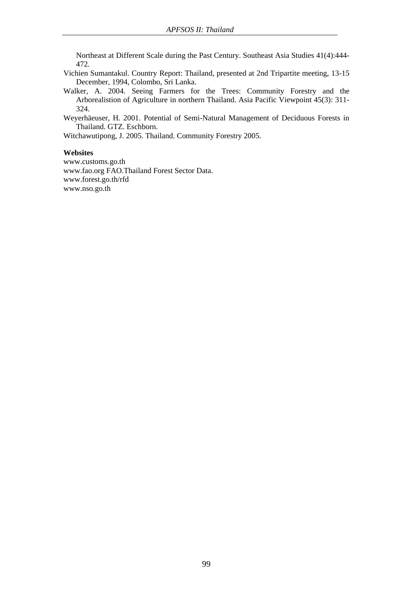Northeast at Different Scale during the Past Century. Southeast Asia Studies 41(4):444- 472.

- Vichien Sumantakul. Country Report: Thailand, presented at 2nd Tripartite meeting, 13-15 December, 1994, Colombo, Sri Lanka.
- Walker, A. 2004. Seeing Farmers for the Trees: Community Forestry and the Arborealistion of Agriculture in northern Thailand. Asia Pacific Viewpoint 45(3): 311- 324.

Weyerhäeuser, H. 2001. Potential of Semi-Natural Management of Deciduous Forests in Thailand. GTZ. Eschborn.

Witchawutipong, J. 2005. Thailand. Community Forestry 2005.

#### **Websites**

www.customs.go.th www.fao.org FAO.Thailand Forest Sector Data. www.forest.go.th/rfd www.nso.go.th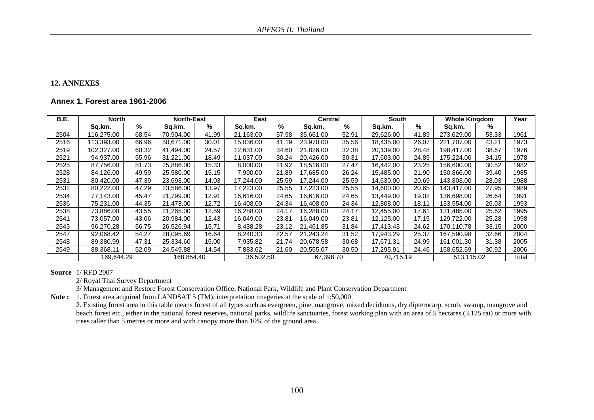#### **12. ANNEXES**

## **Annex 1. Forest area 1961-2006**

| <b>B.E.</b> | <b>North</b> |       | <b>North-East</b><br>East |       | <b>Central</b> |       | South     |       | <b>Whole Kingdom</b> |       | Year       |       |       |
|-------------|--------------|-------|---------------------------|-------|----------------|-------|-----------|-------|----------------------|-------|------------|-------|-------|
|             | Sq.km.       | %     | Sq.km.                    | %     | Sq.km.         | %     | Sq.km.    | %     | Sq.km.               | %     | Sq.km.     | %     |       |
| 2504        | 16,275.00    | 68.54 | 70,904.00                 | 41.99 | 21,163.00      | 57.98 | 35,661.00 | 52.91 | 29,626.00            | 41.89 | 273,629.00 | 53.33 | 1961  |
| 2516        | 113,393.00   | 66.96 | 50.671.00                 | 30.01 | 15,036.00      | 41.19 | 23,970.00 | 35.56 | 18,435.00            | 26.07 | 221.707.00 | 43.21 | 1973  |
| 2519        | 102,327.00   | 60.32 | 41,494.00                 | 24.57 | 12,631.00      | 34.60 | 21,826.00 | 32.38 | 20,139.00            | 28.48 | 198.417.00 | 38.67 | 1976  |
| 2521        | 94,937.00    | 55.96 | 31,221.00                 | 18.49 | 11,037.00      | 30.24 | 20,426.00 | 30.31 | 17,603.00            | 24.89 | 175,224.00 | 34.15 | 1978  |
| 2525        | 87,756.00    | 51.73 | 25,886.00                 | 15.33 | 8,000.00       | 21.92 | 18,516.00 | 27.47 | 16,442.00            | 23.25 | 156,600.00 | 30.52 | 1982  |
| 2528        | 84,126.00    | 49.59 | 25,580.00                 | 15.15 | 7,990.00       | 21.89 | 17,685.00 | 26.24 | 15,485.00            | 21.90 | 150.866.00 | 39.40 | 1985  |
| 2531        | 80,420.00    | 47.39 | 23,693.00                 | 14.03 | 17,244.00      | 25.59 | 17,244.00 | 25.59 | 14,630.00            | 20.69 | 143,803.00 | 28.03 | 1988  |
| 2532        | 80,222.00    | 47.29 | 23,586.00                 | 13.97 | 17,223.00      | 25.55 | 17,223.00 | 25.55 | 14,600.00            | 20.65 | 143,417.00 | 27.95 | 1989  |
| 2534        | 77.143.00    | 45.47 | 21,799.00                 | 12.91 | 16.616.00      | 24.65 | 16.616.00 | 24.65 | 13,449.00            | 19.02 | 136.698.00 | 26.64 | 1991  |
| 2536        | 75,231.00    | 44.35 | 21,473.00                 | 12.72 | 16,408.00      | 24.34 | 16,408.00 | 24.34 | 12,808.00            | 18.11 | 133,554.00 | 26.03 | 1993  |
| 2538        | 73,886.00    | 43.55 | 21,265.00                 | 12.59 | 16,288.00      | 24.17 | 16,288.00 | 24.17 | 12,455.00            | 17.61 | 131,485.00 | 25.62 | 1995  |
| 2541        | 73,057.00    | 43.06 | 20,984.00                 | 12.43 | 16,049.00      | 23.81 | 16,049.00 | 23.81 | 12,125.00            | 17.15 | 129,722.00 | 25.28 | 1998  |
| 2543        | 96,270.28    | 56.75 | 26,526.94                 | 15.71 | 8,438.28       | 23.12 | 21,461.85 | 31.84 | 17,413.43            | 24.62 | 170,110.78 | 33.15 | 2000  |
| 2547        | 92,068.42    | 54.27 | 28,095.69                 | 16.64 | 8,240.33       | 22.57 | 21,243.24 | 31.52 | 17,943.29            | 25.37 | 167,590.98 | 32.66 | 2004  |
| 2548        | 89,380.99    | 47.31 | 25,334.60                 | 15.00 | 7,935.82       | 21.74 | 20,678.58 | 30.68 | 17,671.31            | 24.99 | 161,001.30 | 31.38 | 2005  |
| 2549        | 88,368.11    | 52.09 | 24,549.88                 | 14.54 | 883.62         | 21.60 | 20,555.07 | 30.50 | 17,295.91            | 24.46 | 158,652.59 | 30.92 | 2006  |
|             | 169.644.29   |       | 168,854.40                |       | 36,502.50      |       | 67,398.70 |       | 70.715.19            |       | 513.115.02 |       | Total |

**Source** 1/ RFD 2007

2/ Royal Thai Survey Department

3/ Management and Restore Forest Conservation Office, National Park, Wildlife and Plant Conservation Department

**Note :** 1. Forest area acquired from LANDSAT 5 (TM), interpretation imageries at the scale of 1:50,000

2. Existing forest area in this table means forest of all types such as evergreen, pine, mangrove, mixed deciduous, dry dipterocarp, scrub, swamp, mangrove and beach forest etc., either in the national forest reserves, national parks, wildlife sanctuaries, forest working plan with an area of 5 hectares (3.125 rai) or more with trees taller than 5 metres or more and with canopy more than 10% of the ground area.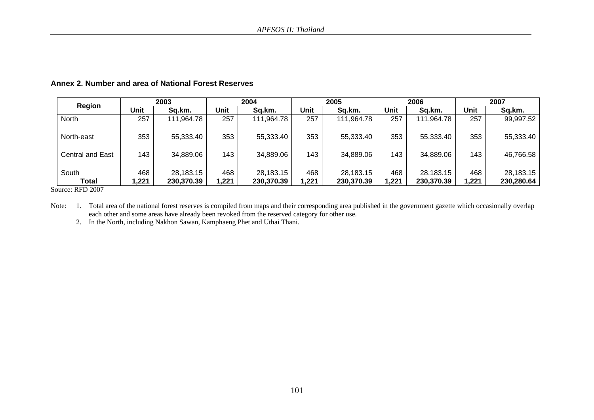| Region                  | 2003  |            | 2004 |            | 2005 |            | 2006 |            | 2007 |            |
|-------------------------|-------|------------|------|------------|------|------------|------|------------|------|------------|
|                         | Unit  | Sq.km.     | Unit | Sq.km.     | Unit | Sq.km.     | Unit | Sq.km.     | Unit | Sq.km.     |
| North                   | 257   | 111,964.78 | 257  | 111,964.78 | 257  | 111,964.78 | 257  | 111,964.78 | 257  | 99,997.52  |
| North-east              | 353   | 55,333.40  | 353  | 55,333.40  | 353  | 55,333.40  | 353  | 55,333.40  | 353  | 55,333.40  |
| <b>Central and East</b> | 143   | 34,889.06  | 143  | 34,889.06  | 143  | 34,889.06  | 143  | 34,889.06  | 143  | 46,766.58  |
| South                   | 468   | 28,183.15  | 468  | 28,183.15  | 468  | 28,183.15  | 468  | 28,183.15  | 468  | 28,183.15  |
| <b>Total</b>            | 1,221 | 230,370.39 | ,221 | 230,370.39 | ,221 | 230,370.39 | ,221 | 230,370.39 | ,221 | 230,280.64 |

## **Annex 2. Number and area of National Forest Reserves**

Source: RFD 2007

Note: 1. Total area of the national forest reserves is compiled from maps and their corresponding area published in the government gazette which occasionally overlap each other and some areas have already been revoked from the reserved category for other use.

2. In the North, including Nakhon Sawan, Kamphaeng Phet and Uthai Thani.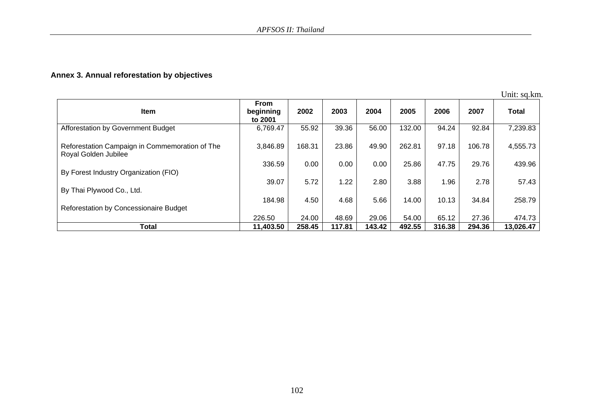# **Annex 3. Annual reforestation by objectives**

Unit: sq.km.

| Item                                                                   | <b>From</b><br>beginning<br>to 2001 | 2002   | 2003   | 2004   | 2005   | 2006   | 2007   | <b>Total</b> |
|------------------------------------------------------------------------|-------------------------------------|--------|--------|--------|--------|--------|--------|--------------|
| Afforestation by Government Budget                                     | 6,769.47                            | 55.92  | 39.36  | 56.00  | 132.00 | 94.24  | 92.84  | 7,239.83     |
| Reforestation Campaign in Commemoration of The<br>Royal Golden Jubilee | 3,846.89                            | 168.31 | 23.86  | 49.90  | 262.81 | 97.18  | 106.78 | 4,555.73     |
| By Forest Industry Organization (FIO)                                  | 336.59                              | 0.00   | 0.00   | 0.00   | 25.86  | 47.75  | 29.76  | 439.96       |
| By Thai Plywood Co., Ltd.                                              | 39.07                               | 5.72   | 1.22   | 2.80   | 3.88   | 1.96   | 2.78   | 57.43        |
| Reforestation by Concessionaire Budget                                 | 184.98                              | 4.50   | 4.68   | 5.66   | 14.00  | 10.13  | 34.84  | 258.79       |
|                                                                        | 226.50                              | 24.00  | 48.69  | 29.06  | 54.00  | 65.12  | 27.36  | 474.73       |
| <b>Total</b>                                                           | 11,403.50                           | 258.45 | 117.81 | 143.42 | 492.55 | 316.38 | 294.36 | 13,026.47    |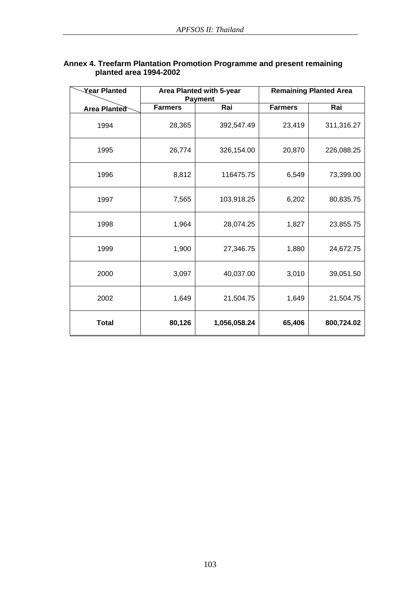| <b>Year Planted</b> |                | Area Planted with 5-year<br><b>Payment</b> |                | <b>Remaining Planted Area</b> |
|---------------------|----------------|--------------------------------------------|----------------|-------------------------------|
| Area Planted        | <b>Farmers</b> | Rai                                        | <b>Farmers</b> | Rai                           |
| 1994                | 28,365         | 392,547.49                                 | 23,419         | 311,316.27                    |
| 1995                | 26,774         | 326,154.00                                 | 20,870         | 226,088.25                    |
| 1996                | 8,812          | 116475.75                                  | 6,549          | 73,399.00                     |
| 1997                | 7,565          | 103,918.25                                 | 6,202          | 80,835.75                     |
| 1998                | 1,964          | 28,074.25                                  | 1,827          | 23,855.75                     |
| 1999                | 1,900          | 27,346.75                                  | 1,880          | 24,672.75                     |
| 2000                | 3,097          | 40,037.00                                  | 3,010          | 39,051.50                     |
| 2002                | 1,649          | 21,504.75                                  | 1,649          | 21,504.75                     |
| <b>Total</b>        | 80,126         | 1,056,058.24                               | 65,406         | 800,724.02                    |

# **Annex 4. Treefarm Plantation Promotion Programme and present remaining planted area 1994-2002**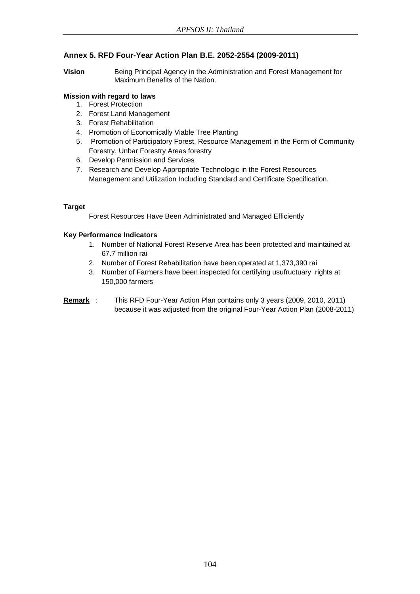# **Annex 5. RFD Four-Year Action Plan B.E. 2052-2554 (2009-2011)**

**Vision** Being Principal Agency in the Administration and Forest Management for Maximum Benefits of the Nation.

## **Mission with regard to laws**

- 1. Forest Protection
- 2. Forest Land Management
- 3. Forest Rehabilitation
- 4. Promotion of Economically Viable Tree Planting
- 5. Promotion of Participatory Forest, Resource Management in the Form of Community Forestry, Unbar Forestry Areas forestry
- 6. Develop Permission and Services
- 7. Research and Develop Appropriate Technologic in the Forest Resources Management and Utilization Including Standard and Certificate Specification.

## **Target**

Forest Resources Have Been Administrated and Managed Efficiently

## **Key Performance Indicators**

- 1. Number of National Forest Reserve Area has been protected and maintained at 67.7 million rai
- 2. Number of Forest Rehabilitation have been operated at 1,373,390 rai
- 3. Number of Farmers have been inspected for certifying usufructuary rights at 150,000 farmers
- **Remark** : This RFD Four-Year Action Plan contains only 3 years (2009, 2010, 2011) because it was adjusted from the original Four-Year Action Plan (2008-2011)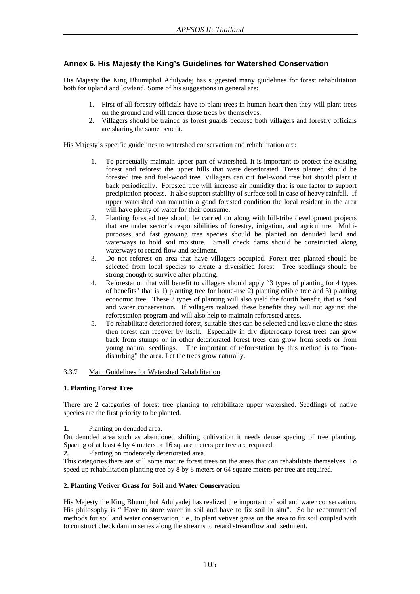# **Annex 6. His Majesty the King's Guidelines for Watershed Conservation**

His Majesty the King Bhumiphol Adulyadej has suggested many guidelines for forest rehabilitation both for upland and lowland. Some of his suggestions in general are:

- 1. First of all forestry officials have to plant trees in human heart then they will plant trees on the ground and will tender those trees by themselves.
- 2. Villagers should be trained as forest guards because both villagers and forestry officials are sharing the same benefit.

His Majesty's specific guidelines to watershed conservation and rehabilitation are:

- 1. To perpetually maintain upper part of watershed. It is important to protect the existing forest and reforest the upper hills that were deteriorated. Trees planted should be forested tree and fuel-wood tree. Villagers can cut fuel-wood tree but should plant it back periodically. Forested tree will increase air humidity that is one factor to support precipitation process. It also support stability of surface soil in case of heavy rainfall. If upper watershed can maintain a good forested condition the local resident in the area will have plenty of water for their consume.
- 2. Planting forested tree should be carried on along with hill-tribe development projects that are under sector's responsibilities of forestry, irrigation, and agriculture. Multipurposes and fast growing tree species should be planted on denuded land and waterways to hold soil moisture. Small check dams should be constructed along waterways to retard flow and sediment.
- 3. Do not reforest on area that have villagers occupied. Forest tree planted should be selected from local species to create a diversified forest. Tree seedlings should be strong enough to survive after planting.
- 4. Reforestation that will benefit to villagers should apply "3 types of planting for 4 types of benefits" that is 1) planting tree for home-use 2) planting edible tree and 3) planting economic tree. These 3 types of planting will also yield the fourth benefit, that is "soil and water conservation. If villagers realized these benefits they will not against the reforestation program and will also help to maintain reforested areas.
- 5. To rehabilitate deteriorated forest, suitable sites can be selected and leave alone the sites then forest can recover by itself. Especially in dry dipterocarp forest trees can grow back from stumps or in other deteriorated forest trees can grow from seeds or from young natural seedlings. The important of reforestation by this method is to "nondisturbing" the area. Let the trees grow naturally.

#### 3.3.7 Main Guidelines for Watershed Rehabilitation

#### **1. Planting Forest Tree**

There are 2 categories of forest tree planting to rehabilitate upper watershed. Seedlings of native species are the first priority to be planted.

**1.** Planting on denuded area.

On denuded area such as abandoned shifting cultivation it needs dense spacing of tree planting. Spacing of at least 4 by 4 meters or 16 square meters per tree are required.

**2.** Planting on moderately deteriorated area.

This categories there are still some mature forest trees on the areas that can rehabilitate themselves. To speed up rehabilitation planting tree by 8 by 8 meters or 64 square meters per tree are required.

#### **2. Planting Vetiver Grass for Soil and Water Conservation**

His Majesty the King Bhumiphol Adulyadej has realized the important of soil and water conservation. His philosophy is "Have to store water in soil and have to fix soil in situ". So he recommended methods for soil and water conservation, i.e., to plant vetiver grass on the area to fix soil coupled with to construct check dam in series along the streams to retard streamflow and sediment.